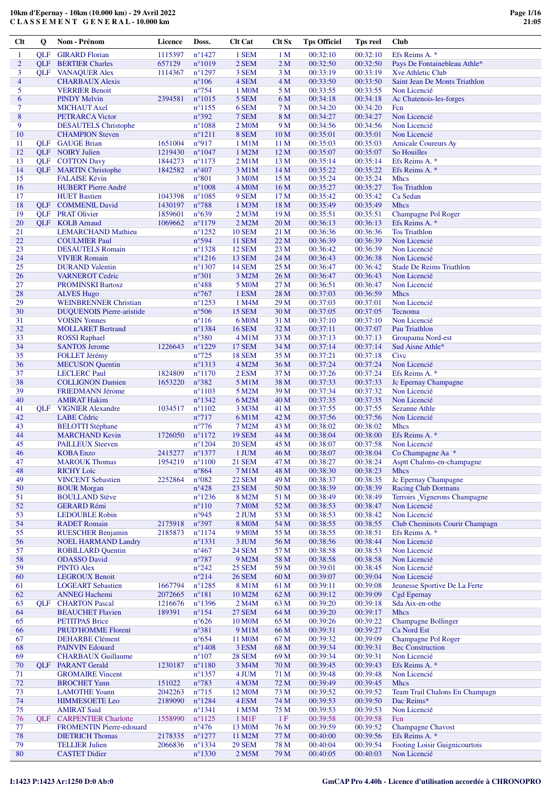**C L A S S E M E N T G E N E R A L - 10.000 km**

| Clt            | Q          | Nom - Prénom                     | Licence | Doss.            | <b>Clt Cat</b>      | <b>Clt Sx</b>    | <b>Tps Officiel</b> | Tps reel | <b>Club</b>                     |
|----------------|------------|----------------------------------|---------|------------------|---------------------|------------------|---------------------|----------|---------------------------------|
| $\mathbf{1}$   | OLF        | <b>GIRARD</b> Florian            | 1115397 | $n^{\circ}$ 1427 | 1 SEM               | 1 <sub>M</sub>   | 00:32:10            | 00:32:10 | Efs Reims A. *                  |
| $\overline{c}$ | <b>OLF</b> | <b>BERTIER Charles</b>           | 657129  | $n^{\circ}1019$  | 2 SEM               | 2M               | 00:32:50            | 00:32:50 | Pays De Fontainebleau Athle*    |
| 3              |            |                                  |         |                  | 3 SEM               | 3 M              | 00:33:19            | 00:33:19 | <b>Xve Athletic Club</b>        |
|                |            | <b>QLF</b> VANAQUER Alex         | 1114367 | $n^{\circ}1297$  |                     |                  |                     |          |                                 |
| $\overline{4}$ |            | <b>CHARBAUX Alexis</b>           |         | $n^{\circ}106$   | 4 SEM               | 4 M              | 00:33:50            | 00:33:50 | Saint Jean De Monts Triathlon   |
| 5              |            | <b>VERRIER Benoit</b>            |         | $n^{\circ}754$   | 1 M0M               | 5 M              | 00:33:55            | 00:33:55 | Non Licencié                    |
| 6              |            | <b>PINDY Melvin</b>              | 2394581 | $n^{\circ}1015$  | 5 SEM               | 6 M              | 00:34:18            | 00:34:18 | Ac Chatenois-les-forges         |
| 7              |            | <b>MICHAUT</b> Axel              |         | $n^{\circ}$ 1155 | 6 SEM               | 7 M              | 00:34:20            | 00:34:20 | Fcn                             |
| 8              |            | PETRARCA Victor                  |         | $n^{\circ}392$   | 7 SEM               | 8 M              | 00:34:27            | 00:34:27 | Non Licencié                    |
| 9              |            | <b>DESAUTELS</b> Christophe      |         | $n^{\circ}1088$  | 2 M <sub>0</sub> M  | 9 M              | 00:34:56            | 00:34:56 | Non Licencié                    |
| 10             |            | <b>CHAMPION Steven</b>           |         | $n^{\circ}1211$  | 8 SEM               | 10 <sub>M</sub>  | 00:35:01            | 00:35:01 | Non Licencié                    |
| 11             |            | <b>QLF</b> GAUGE Brian           | 1651004 | n°917            | 1 M1M               | 11 <sub>M</sub>  | 00:35:03            | 00:35:03 | <b>Amicale Coureurs Ay</b>      |
| 12             |            | <b>QLF NOIRY</b> Julien          | 1219430 | $n^{\circ}1047$  | 1 M2M               | 12 <sub>M</sub>  | 00:35:07            | 00:35:07 | So Houilles                     |
|                |            |                                  |         |                  |                     |                  |                     |          |                                 |
| 13             |            | <b>QLF</b> COTTON Davy           | 1844273 | $n^{\circ}1173$  | 2 M1M               | 13 <sub>M</sub>  | 00:35:14            | 00:35:14 | Efs Reims A. *                  |
| 14             |            | <b>QLF</b> MARTIN Christophe     | 1842582 | $n^{\circ}407$   | 3 M1M               | 14 M             | 00:35:22            | 00:35:22 | Efs Reims A. *                  |
| 15             |            | <b>FALAISE Kévin</b>             |         | $n^{\circ}801$   | 3 M0M               | 15 M             | 00:35:24            | 00:35:24 | <b>Mhcs</b>                     |
| 16             |            | <b>HUBERT Pierre André</b>       |         | $n^{\circ}1008$  | 4 M <sub>O</sub> M  | 16 <sub>M</sub>  | 00:35:27            | 00:35:27 | <b>Tos Triathlon</b>            |
| 17             |            | <b>HUET Bastien</b>              | 1043398 | $n^{\circ}1085$  | 9 SEM               | 17 <sub>M</sub>  | 00:35:42            | 00:35:42 | Ca Sedan                        |
| 18             |            | <b>QLF</b> COMMENIL David        | 1430197 | $n^{\circ}788$   | 1 M3M               | 18 M             | 00:35:49            | 00:35:49 | <b>Mhcs</b>                     |
| 19             |            | <b>QLF</b> PRAT Olivier          | 1859601 | $n^{\circ}639$   | $2$ M $3$ M         | 19 <sub>M</sub>  | 00:35:51            | 00:35:51 | Champagne Pol Roger             |
| 20             |            | <b>OLF</b> KOLB Arnaud           | 1069662 | $n^{\circ}1179$  | 2 M2M               | 20 <sub>M</sub>  | 00:36:13            | 00:36:13 | Efs Reims A. *                  |
| 21             |            | <b>LEMARCHAND Mathieu</b>        |         | $n^{\circ}$ 1252 | <b>10 SEM</b>       | 21 M             | 00:36:36            | 00:36:36 | <b>Tos Triathlon</b>            |
| 22             |            |                                  |         |                  |                     |                  |                     |          |                                 |
|                |            | <b>COULMIER Paul</b>             |         | $n^{\circ}594$   | <b>11 SEM</b>       | 22 M             | 00:36:39            | 00:36:39 | Non Licencié                    |
| 23             |            | <b>DESAUTELS</b> Romain          |         | $n^{\circ}$ 1328 | <b>12 SEM</b>       | 23 M             | 00:36:42            | 00:36:39 | Non Licencié                    |
| 24             |            | <b>VIVIER Romain</b>             |         | $n^{\circ}1216$  | <b>13 SEM</b>       | 24 M             | 00:36:43            | 00:36:38 | Non Licencié                    |
| 25             |            | <b>DURAND</b> Valentin           |         | $n^{\circ}$ 1307 | <b>14 SEM</b>       | 25 M             | 00:36:47            | 00:36:42 | <b>Stade De Reims Triathlon</b> |
| 26             |            | <b>VARNEROT Cedric</b>           |         | $n^{\circ}301$   | 3 M2M               | 26 M             | 00:36:47            | 00:36:43 | Non Licencié                    |
| 27             |            | <b>PROMINSKI Bartosz</b>         |         | $n^{\circ}488$   | <b>5 M0M</b>        | 27 M             | 00:36:51            | 00:36:47 | Non Licencié                    |
| 28             |            | <b>ALVES Hugo</b>                |         | $n^{\circ}767$   | 1 ESM               | 28 M             | 00:37:03            | 00:36:59 | <b>Mhcs</b>                     |
| 29             |            | <b>WEINBRENNER Christian</b>     |         | $n^{\circ}$ 1253 | 1 M4M               | 29 M             | 00:37:03            | 00:37:01 | Non Licencié                    |
| 30             |            |                                  |         | $n^{\circ}506$   | <b>15 SEM</b>       |                  | 00:37:05            | 00:37:05 | Tecnoma                         |
|                |            | <b>DUQUENOIS Pierre-aristide</b> |         |                  |                     | 30 M             |                     |          |                                 |
| 31             |            | <b>VOISIN Yonnes</b>             |         | $n^{\circ}116$   | 6 M <sub>0</sub> M  | 31 M             | 00:37:10            | 00:37:10 | Non Licencié                    |
| 32             |            | <b>MOLLARET Bertrand</b>         |         | $n^{\circ}$ 1384 | <b>16 SEM</b>       | 32 M             | 00:37:11            | 00:37:07 | Pau Triathlon                   |
| 33             |            | <b>ROSSI</b> Raphael             |         | $n^{\circ}380$   | 4 M1M               | 33 M             | 00:37:13            | 00:37:13 | Groupama Nord-est               |
| 34             |            | <b>SANTOS Jerome</b>             | 1226643 | $n^{\circ}1229$  | <b>17 SEM</b>       | 34 M             | 00:37:14            | 00:37:14 | Sud Aisne Athle*                |
| 35             |            | <b>FOLLET Jérémy</b>             |         | $n^{\circ}$ 725  | <b>18 SEM</b>       | 35 M             | 00:37:21            | 00:37:18 | Cive                            |
| 36             |            | <b>MECUSON</b> Quentin           |         | $n^{\circ}$ 1313 | 4 M2M               | 36 M             | 00:37:24            | 00:37:24 | Non Licencié                    |
| 37             |            | <b>LECLERC</b> Paul              | 1824809 | $n^{\circ}1170$  | 2 ESM               | 37 M             | 00:37:26            | 00:37:24 | Efs Reims A. *                  |
| 38             |            | <b>COLLIGNON Damien</b>          | 1653220 | $n^{\circ}382$   | 5 M1M               | 38 M             | 00:37:33            | 00:37:33 | Jc Epernay Champagne            |
| 39             |            |                                  |         | $n^{\circ}1103$  |                     | 39 M             | 00:37:34            | 00:37:32 | Non Licencié                    |
|                |            | <b>FRIEDMANN Jérome</b>          |         |                  | 5 M2M               |                  |                     |          |                                 |
| 40             |            | <b>AMIRAT Hakim</b>              |         | $n^{\circ}$ 1342 | 6 M2M               | 40 M             | 00:37:35            | 00:37:35 | Non Licencié                    |
| 41             | <b>QLF</b> | <b>VIGNIER Alexandre</b>         | 1034517 | $n^{\circ}1102$  | 3 M3M               | 41 M             | 00:37:55            | 00:37:55 | <b>Sezanne Athle</b>            |
| 42             |            | <b>LABE</b> Cédric               |         | $n^{\circ}717$   | 6 M1M               | 42 M             | 00:37:56            | 00:37:56 | Non Licencié                    |
| 43             |            | <b>BELOTTI</b> Stéphane          |         | $n^{\circ}776$   | 7 M2M               | 43 M             | 00:38:02            | 00:38:02 | <b>Mhcs</b>                     |
| 44             |            | <b>MARCHAND Kevin</b>            | 1726050 | $n^{\circ}1172$  | <b>19 SEM</b>       | 44 M             | 00:38:04            | 00:38:00 | Efs Reims A. *                  |
| 45             |            | <b>PAILLEUX Steeven</b>          |         | $n^{\circ}1204$  | <b>20 SEM</b>       | 45 M             | 00:38:07            | 00:37:58 | Non Licencié                    |
| 46             |            | <b>KOBA Enzo</b>                 | 2415277 | $n^{\circ}$ 1377 | 1 JUM               | 46 M             | 00:38:07            | 00:38:04 | Co Champagne Aa *               |
| 47             |            | <b>MAROUK Thomas</b>             | 1954219 | $n^{\circ}1100$  | <b>21 SEM</b>       | 47 M             | 00:38:27            | 00:38:24 | Asptt Chalons-en-champagne      |
| 48             |            | <b>RICHY</b> Loïc                |         | $n^{\circ}864$   | 7 M1M               | 48 M             | 00:38:30            | 00:38:23 | <b>Mhcs</b>                     |
|                |            |                                  |         |                  |                     |                  |                     |          |                                 |
| 49             |            | <b>VINCENT Sebastien</b>         | 2252864 | $n^{\circ}082$   | <b>22 SEM</b>       | 49 M             | 00:38:37            | 00:38:35 | Jc Epernay Champagne            |
| 50             |            | <b>BOUR Morgan</b>               |         | $n^{\circ}428$   | 23 SEM              | 50 M             | 00:38:39            | 00:38:39 | <b>Racing Club Dormans</b>      |
| 51             |            | <b>BOULLAND Stève</b>            |         | $n^{\circ}$ 1236 | 8 M2M               | 51 M             | 00:38:49            | 00:38:49 | Terroirs _Vignerons Champagne   |
| 52             |            | <b>GERARD Rémi</b>               |         | $n^{\circ}110$   | <b>7 M0M</b>        | 52 M             | 00:38:53            | 00:38:47 | Non Licencié                    |
| 53             |            | <b>LEDOUBLE Robin</b>            |         | n°945            | $2$ JUM $\,$        | $\overline{53}M$ | 00:38:53            | 00:38:42 | Non Licencié                    |
| 54             |            | <b>RADET</b> Romain              | 2175918 | $n^{\circ}397$   | <b>8 MOM</b>        | 54 M             | 00:38:55            | 00:38:55 | Club Cheminots Courir Champagn  |
| 55             |            | <b>RUESCHER Benjamin</b>         | 2185873 | $n^{\circ}1174$  | 9 M <sub>0</sub> M  | 55 M             | 00:38:55            | 00:38:51 | Efs Reims A. *                  |
| 56             |            | <b>NOEL HARMAND Landry</b>       |         | $n^{\circ}$ 1331 | 3 JUM               | 56 M             | 00:38:56            | 00:38:44 | Non Licencié                    |
| 57             |            | <b>ROBILLARD Quentin</b>         |         | $n^{\circ}467$   | <b>24 SEM</b>       | 57 M             | 00:38:58            | 00:38:53 | Non Licencié                    |
| 58             |            | <b>ODASSO David</b>              |         | $n^{\circ}787$   | 9 M2M               | 58 M             | 00:38:58            | 00:38:58 | Non Licencié                    |
| 59             |            |                                  |         | $n^{\circ}242$   | <b>25 SEM</b>       |                  | 00:39:01            | 00:38:45 | Non Licencié                    |
|                |            | <b>PINTO Alex</b>                |         |                  |                     | 59 M             |                     |          |                                 |
| 60             |            | <b>LEGROUX Benoit</b>            |         | $n^{\circ}214$   | <b>26 SEM</b>       | 60 M             | 00:39:07            | 00:39:04 | Non Licencié                    |
| 61             |            | <b>LOGEART</b> Sebastien         | 1667794 | $n^{\circ}1285$  | 8 M1M               | 61 M             | 00:39:11            | 00:39:08 | Jeunesse Sportive De La Ferte   |
| 62             |            | <b>ANNEG Hachemi</b>             | 2072665 | $n^{\circ}181$   | 10 M2M              | 62 M             | 00:39:12            | 00:39:09 | Cgd Epernay                     |
| 63             | OLF        | <b>CHARTON Pascal</b>            | 1216676 | $n^{\circ}$ 1396 | 2 M4M               | 63 M             | 00:39:20            | 00:39:18 | Sda Aix-en-othe                 |
| 64             |            | <b>BEAUCHET Flavien</b>          | 189391  | $n^{\circ}154$   | <b>27 SEM</b>       | 64 M             | 00:39:20            | 00:39:17 | <b>Mhcs</b>                     |
| 65             |            | <b>PETITPAS Brice</b>            |         | $n^{\circ}626$   | 10 M <sub>0</sub> M | 65 M             | 00:39:26            | 00:39:22 | <b>Champagne Bollinger</b>      |
| 66             |            | PRUD'HOMME Florent               |         | n°381            | 9 M1M               | 66 M             | 00:39:31            | 00:39:27 | Ca Nord Est                     |
| 67             |            | <b>DEHARBE</b> Clément           |         | $n^{\circ}654$   | 11 M <sub>0</sub> M | 67 M             | 00:39:32            | 00:39:09 | Champagne Pol Roger             |
| 68             |            | <b>PAINVIN Edouard</b>           |         | $n^{\circ}$ 1408 | 3 ESM               | 68 M             | 00:39:34            | 00:39:31 | <b>Bec Construction</b>         |
|                |            |                                  |         |                  |                     |                  |                     |          |                                 |
| 69             |            | <b>CHARBAUX Guillaume</b>        |         | $n^{\circ}107$   | <b>28 SEM</b>       | 69 M             | 00:39:34            | 00:39:31 | Non Licencié                    |
| 70             | <b>OLF</b> | <b>PARANT Gerald</b>             | 1230187 | $n^{\circ}1180$  | 3 M4M               | 70 M             | 00:39:45            | 00:39:43 | Efs Reims A. *                  |
| 71             |            | <b>GROMAIRE</b> Vincent          |         | $n^{\circ}$ 1357 | 4 JUM               | 71 M             | 00:39:48            | 00:39:48 | Non Licencié                    |
| 72             |            | <b>BROCHET Yann</b>              | 151022  | $n^{\circ}783$   | 4 M3M               | 72 M             | 00:39:49            | 00:39:45 | <b>Mhcs</b>                     |
| 73             |            | <b>LAMOTHE Yoann</b>             | 2042263 | $n^{\circ}715$   | 12 M0M              | 73 M             | 00:39:52            | 00:39:52 | Team Trail Chalons En Champagn  |
| 74             |            | <b>HIMMESOETE</b> Leo            | 2189090 | $n^{\circ}1284$  | 4 ESM               | 74 M             | 00:39:53            | 00:39:50 | Dac Reims*                      |
| 75             |            | <b>AMIRAT Said</b>               |         | $n^{\circ}1341$  | 1 M5M               | 75 M             | 00:39:53            | 00:39:53 | Non Licencié                    |
| 76             | OLF        | <b>CARPENTIER Charlotte</b>      | 1558990 | $n^{\circ}1125$  | 1 M1F               | 1F               | 00:39:58            | 00:39:58 | Fcn                             |
| 77             |            | <b>FROMENTIN Pierre-edouard</b>  |         | $n^{\circ}476$   | 13 M <sub>0</sub> M | 76 M             | 00:39:59            | 00:39:52 | <b>Champagne Chavost</b>        |
| 78             |            |                                  |         | $n^{\circ}1277$  | 11 M2M              | 77 M             | 00:40:00            | 00:39:56 | Efs Reims A. *                  |
|                |            | <b>DIETRICH Thomas</b>           | 2178335 |                  |                     |                  |                     |          |                                 |
| 79             |            | <b>TELLIER Julien</b>            | 2066836 | $n^{\circ}$ 1334 | <b>29 SEM</b>       | 78 M             | 00:40:04            | 00:39:54 | Footing Loisir Guignicourtois   |
| 80             |            | <b>CASTET Didier</b>             |         | $n^{\circ}1330$  | 2 M5M               | 79 M             | 00:40:05            | 00:40:03 | Non Licencié                    |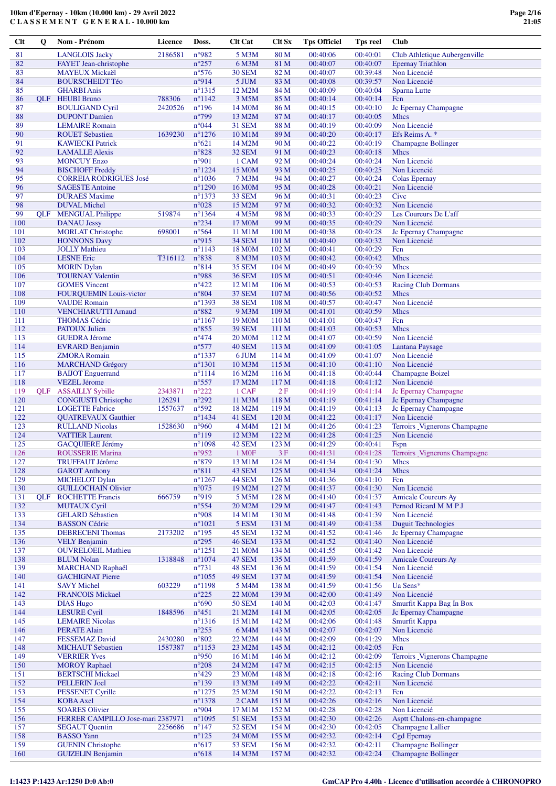| <b>Clt</b> | Q          | Nom - Prénom                                               | Licence | Doss.                              | <b>Clt Cat</b>                       | <b>Clt Sx</b>            | <b>Tps Officiel</b>  | <b>Tps reel</b>      | Club                                                   |
|------------|------------|------------------------------------------------------------|---------|------------------------------------|--------------------------------------|--------------------------|----------------------|----------------------|--------------------------------------------------------|
| 81         |            | <b>LANGLOIS Jacky</b>                                      | 2186581 | n°982                              | 5 M3M                                | 80 M                     | 00:40:06             | 00:40:01             | Club Athletique Aubergenville                          |
| 82         |            | FAYET Jean-christophe                                      |         | $n^{\circ}257$                     | 6 M3M                                | 81 M                     | 00:40:07             | 00:40:07             | <b>Epernay Triathlon</b>                               |
| 83         |            | <b>MAYEUX Mickaël</b>                                      |         | $n^{\circ}576$                     | <b>30 SEM</b>                        | 82 M                     | 00:40:07             | 00:39:48             | Non Licencié                                           |
| 84         |            | <b>BOURSCHEIDT Téo</b>                                     |         | n°914                              | 5 JUM                                | 83 M                     | 00:40:08             | 00:39:57             | Non Licencié                                           |
| 85<br>86   | <b>OLF</b> | <b>GHARBI Anis</b><br><b>HEUBI Bruno</b>                   | 788306  | $n^{\circ}1315$<br>$n^{\circ}1142$ | 12 M2M<br>3 M5M                      | 84 M<br>85 M             | 00:40:09<br>00:40:14 | 00:40:04<br>00:40:14 | Sparna Lutte<br>Fcn                                    |
| 87         |            | <b>BOULIGAND Cyril</b>                                     | 2420526 | $n^{\circ}196$                     | 14 M <sub>0</sub> M                  | 86 M                     | 00:40:15             | 00:40:10             | Jc Epernay Champagne                                   |
| 88         |            | <b>DUPONT</b> Damien                                       |         | $n^{\circ}799$                     | 13 M2M                               | 87 M                     | 00:40:17             | 00:40:05             | <b>Mhcs</b>                                            |
| 89         |            | <b>LEMAIRE</b> Romain                                      |         | $n^{\circ}044$                     | <b>31 SEM</b>                        | 88 M                     | 00:40:19             | 00:40:09             | Non Licencié                                           |
| 90         |            | <b>ROUET Sebastien</b>                                     | 1639230 | $n^{\circ}1276$                    | 10 M1M                               | 89 M                     | 00:40:20             | 00:40:17             | Efs Reims A. *                                         |
| 91         |            | <b>KAWIECKI Patrick</b>                                    |         | $n^{\circ}621$                     | 14 M2M                               | 90 M                     | 00:40:22             | 00:40:19             | <b>Champagne Bollinger</b>                             |
| 92<br>93   |            | <b>LAMALLE Alexis</b>                                      |         | $n^{\circ}828$                     | <b>32 SEM</b>                        | 91 M                     | 00:40:23             | 00:40:18<br>00:40:24 | <b>Mhcs</b><br>Non Licencié                            |
| 94         |            | <b>MONCUY Enzo</b><br><b>BISCHOFF Freddy</b>               |         | n°901<br>$n^{\circ}1224$           | 1 CAM<br>15 M <sub>0</sub> M         | 92 M<br>93 M             | 00:40:24<br>00:40:25 | 00:40:25             | Non Licencié                                           |
| 95         |            | <b>CORREIA RODRIGUES José</b>                              |         | $n^{\circ}1036$                    | 7 M3M                                | 94 M                     | 00:40:27             | 00:40:24             | Colas Epernay                                          |
| 96         |            | <b>SAGESTE Antoine</b>                                     |         | $n^{\circ}1290$                    | 16 M <sub>0</sub> M                  | 95 M                     | 00:40:28             | 00:40:21             | Non Licencié                                           |
| 97         |            | <b>DURAES</b> Maxime                                       |         | $n^{\circ}1373$                    | 33 SEM                               | 96 M                     | 00:40:31             | 00:40:23             | Civc                                                   |
| 98         |            | <b>DUVAL Michel</b>                                        |         | $n^{\circ}028$                     | 15 M2M                               | 97 M                     | 00:40:32             | 00:40:32             | Non Licencié                                           |
| 99         | <b>OLF</b> | <b>MENGUAL Philippe</b>                                    | 519874  | $n^{\circ}$ 1364                   | 4 M5M                                | 98 M                     | 00:40:33             | 00:40:29             | Les Coureurs De L'aff                                  |
| 100<br>101 |            | <b>DANAU Jessy</b><br><b>MORLAT Christophe</b>             | 698001  | $n^{\circ}234$<br>$n^{\circ}$ 564  | 17 M <sub>0</sub> M<br>11 M1M        | 99 M<br>100 <sub>M</sub> | 00:40:35<br>00:40:38 | 00:40:29<br>00:40:28 | Non Licencié<br>Jc Epernay Champagne                   |
| 102        |            | <b>HONNONS Davy</b>                                        |         | n°915                              | <b>34 SEM</b>                        | 101 M                    | 00:40:40             | 00:40:32             | Non Licencié                                           |
| 103        |            | <b>JOLLY Mathieu</b>                                       |         | $n^{\circ}1143$                    | 18 M <sub>0</sub> M                  | 102 M                    | 00:40:41             | 00:40:29             | Fcn                                                    |
| 104        |            | <b>LESNE</b> Eric                                          | T316112 | $n^{\circ}838$                     | 8 M3M                                | 103 M                    | 00:40:42             | 00:40:42             | Mhcs                                                   |
| 105        |            | <b>MORIN</b> Dylan                                         |         | $n^{\circ}814$                     | <b>35 SEM</b>                        | 104 M                    | 00:40:49             | 00:40:39             | <b>Mhcs</b>                                            |
| 106        |            | <b>TOURNAY Valentin</b>                                    |         | n°988                              | <b>36 SEM</b>                        | 105 M                    | 00:40:51             | 00:40:46             | Non Licencié                                           |
| 107<br>108 |            | <b>GOMES</b> Vincent<br><b>FOUROUEMIN Louis-victor</b>     |         | $n^{\circ}422$<br>$n^{\circ}804$   | 12 M1M<br><b>37 SEM</b>              | 106 M<br>107 M           | 00:40:53<br>00:40:56 | 00:40:53<br>00:40:52 | <b>Racing Club Dormans</b><br><b>Mhcs</b>              |
| 109        |            | <b>VAUDE</b> Romain                                        |         | $n^{\circ}1393$                    | <b>38 SEM</b>                        | 108 M                    | 00:40:57             | 00:40:47             | Non Licencié                                           |
| 110        |            | <b>VENCHIARUTTI Arnaud</b>                                 |         | $n^{\circ}882$                     | 9 M3M                                | 109 M                    | 00:41:01             | 00:40:59             | Mhcs                                                   |
| 111        |            | <b>THOMAS Cédric</b>                                       |         | $n^{\circ}1167$                    | 19 M <sub>0</sub> M                  | 110 M                    | 00:41:01             | 00:40:47             | Fcn                                                    |
| 112        |            | <b>PATOUX Julien</b>                                       |         | $n^{\circ}855$                     | <b>39 SEM</b>                        | 111 M                    | 00:41:03             | 00:40:53             | <b>Mhcs</b>                                            |
| 113        |            | <b>GUEDRA Jérome</b>                                       |         | $n^{\circ}474$                     | <b>20 MOM</b>                        | 112 M                    | 00:41:07             | 00:40:59             | Non Licencié                                           |
| 114        |            | <b>EVRARD Benjamin</b>                                     |         | $n^{\circ}577$<br>$n^{\circ}1337$  | 40 SEM                               | 113 M                    | 00:41:09             | 00:41:05<br>00:41:07 | <b>Lantana Paysage</b><br>Non Licencié                 |
| 115<br>116 |            | <b>ZMORA</b> Romain<br><b>MARCHAND Grégory</b>             |         | $n^{\circ}1301$                    | 6 JUM<br>10 M3M                      | 114 M<br>115 M           | 00:41:09<br>00:41:10 | 00:41:10             | Non Licencié                                           |
| 117        |            | <b>BAIJOT</b> Enguerrand                                   |         | $n^{\circ}1114$                    | 16 M2M                               | 116 M                    | 00:41:18             | 00:40:44             | <b>Champagne Boizel</b>                                |
| 118        |            | <b>VEZEL Jérome</b>                                        |         | $n^{\circ}557$                     | 17 M2M                               | 117 M                    | 00:41:18             | 00:41:12             | Non Licencié                                           |
| 119        | <b>OLF</b> | <b>ASSAILLY Sybille</b>                                    | 2343871 | $n^{\circ}222$                     | 1 CAF                                | 2F                       | 00:41:19             | 00:41:14             | Jc Epernay Champagne                                   |
| 120        |            | <b>CONGIUSTI Christophe</b>                                | 126291  | $n^{\circ}292$                     | 11 M3M                               | 118 M                    | 00:41:19             | 00:41:14             | Jc Epernay Champagne                                   |
| 121<br>122 |            | <b>LOGETTE Fabrice</b>                                     | 1557637 | $n^{\circ}592$<br>$n^{\circ}$ 1434 | 18 M2M                               | 119 M                    | 00:41:19             | 00:41:13<br>00:41:17 | Jc Epernay Champagne<br>Non Licencié                   |
| 123        |            | <b>QUATREVAUX Gauthier</b><br><b>RULLAND Nicolas</b>       | 1528630 | n°960                              | 41 SEM<br>4 M4M                      | 120 M<br>121 M           | 00:41:22<br>00:41:26 | 00:41:23             | Terroirs Vignerons Champagne                           |
| 124        |            | <b>VATTIER Laurent</b>                                     |         | $n^{\circ}119$                     | 12 M3M                               | 122 M                    | 00:41:28             | 00:41:25             | Non Licencié                                           |
| 125        |            | <b>GACQUIERE Jérémy</b>                                    |         | $n^{\circ}1098$                    | 42 SEM                               | 123 M                    | 00:41:29             | 00:40:41             | <b>Fspn</b>                                            |
| 126        |            | <b>ROUSSERIE Marina</b>                                    |         | $n^{\circ}952$                     | 1 M <sub>OF</sub>                    | 3F                       | 00:41:31             | 00:41:28             | Terroirs _Vignerons Champagne                          |
| 127        |            | TRUFFAUT Jérôme                                            |         | $n^{\circ}879$                     | 13 M1M                               | 124 M                    | 00:41:34             | 00:41:30             | Mhcs                                                   |
| 128<br>129 |            | <b>GAROT Anthony</b><br><b>MICHELOT Dylan</b>              |         | $n^{\circ}811$<br>$n^{\circ}1267$  | 43 SEM                               | 125 M<br>126 M           | 00:41:34<br>00:41:36 | 00:41:24             | <b>Mhcs</b><br>Fcn                                     |
| 130        |            | <b>GUILLOCHAIN Olivier</b>                                 |         | $n^{\circ}075$                     | 44 SEM<br>19 M2M                     | 127 M                    | 00:41:37             | 00:41:10<br>00:41:30 | Non Licencié                                           |
| 131        | <b>OLF</b> | <b>ROCHETTE Francis</b>                                    | 666759  | n°919                              | 5 M5M                                | 128 M                    | 00:41:40             | 00:41:37             | <b>Amicale Coureurs Ay</b>                             |
| 132        |            | <b>MUTAUX Cyril</b>                                        |         | $n^{\circ}554$                     | 20 M2M                               | 129 M                    | 00:41:47             | 00:41:43             | Pernod Ricard M M P J                                  |
| 133        |            | <b>GELARD Sébastien</b>                                    |         | n°908                              | 14 M1M                               | 130 M                    | 00:41:48             | 00:41:39             | Non Licencié                                           |
| 134        |            | <b>BASSON Cédric</b>                                       |         | $n^{\circ}1021$                    | 5 ESM                                | 131 M                    | 00:41:49             | 00:41:38             | <b>Duguit Technologies</b>                             |
| 135<br>136 |            | <b>DEBRECENI</b> Thomas<br><b>VELY Benjamin</b>            | 2173202 | $n^{\circ}195$<br>$n^{\circ}295$   | 45 SEM<br><b>46 SEM</b>              | 132 M<br>133 M           | 00:41:52<br>00:41:52 | 00:41:46<br>00:41:40 | Jc Epernay Champagne<br>Non Licencié                   |
| 137        |            | <b>OUVRELOEIL Mathieu</b>                                  |         | $n^{\circ}1251$                    | 21 M <sub>0</sub> M                  | 134 M                    | 00:41:55             | 00:41:42             | Non Licencié                                           |
| 138        |            | <b>BLUM Nolan</b>                                          | 1318848 | $n^{\circ}1074$                    | 47 SEM                               | 135 M                    | 00:41:59             | 00:41:59             | <b>Amicale Coureurs Ay</b>                             |
| 139        |            | <b>MARCHAND Raphaël</b>                                    |         | $n^{\circ}731$                     | 48 SEM                               | 136 M                    | 00:41:59             | 00:41:54             | Non Licencié                                           |
| 140        |            | <b>GACHIGNAT Pierre</b>                                    |         | $n^{\circ}1055$                    | 49 SEM                               | 137 M                    | 00:41:59             | 00:41:54             | Non Licencié                                           |
| 141        |            | <b>SAVY Michel</b>                                         | 603229  | $n^{\circ}1198$                    | 5 M4M                                | 138 M                    | 00:41:59             | 00:41:56             | Ua Sens*                                               |
| 142<br>143 |            | <b>FRANCOIS Mickael</b><br><b>DIAS Hugo</b>                |         | $n^{\circ}225$<br>$n^{\circ}690$   | 22 M <sub>0</sub> M<br><b>50 SEM</b> | 139 M<br>140 M           | 00:42:00<br>00:42:03 | 00:41:49<br>00:41:47 | Non Licencié<br>Smurfit Kappa Bag In Box               |
| 144        |            | <b>LESURE Cyril</b>                                        | 1848596 | $n^{\circ}451$                     | 21 M2M                               | 141 M                    | 00:42:05             | 00:42:05             | Jc Epernay Champagne                                   |
| 145        |            | <b>LEMAIRE Nicolas</b>                                     |         | $n^{\circ}$ 1316                   | 15 M1M                               | 142 M                    | 00:42:06             | 00:41:48             | Smurfit Kappa                                          |
| 146        |            | <b>PERATE Alain</b>                                        |         | $n^{\circ}255$                     | 6 M4M                                | 143 M                    | 00:42:07             | 00:42:07             | Non Licencié                                           |
| 147        |            | <b>FESSEMAZ David</b>                                      | 2430280 | $n^{\circ}802$                     | 22 M2M                               | 144 M                    | 00:42:09             | 00:41:29             | <b>Mhcs</b>                                            |
| 148        |            | <b>MICHAUT Sebastien</b>                                   | 1587387 | $n^{\circ}1153$                    | 23 M2M                               | 145 M                    | 00:42:12             | 00:42:05             | Fcn                                                    |
| 149<br>150 |            | <b>VERRIER Yves</b><br><b>MOROY Raphael</b>                |         | $n^{\circ}950$<br>$n^{\circ}208$   | 16 M1M<br>24 M2M                     | 146 M<br>147 M           | 00:42:12<br>00:42:15 | 00:42:09<br>00:42:15 | Terroirs _Vignerons Champagne<br>Non Licencié          |
| 151        |            | <b>BERTSCHI Mickael</b>                                    |         | $n^{\circ}429$                     | 23 M <sub>0</sub> M                  | 148 M                    | 00:42:18             | 00:42:16             | <b>Racing Club Dormans</b>                             |
| 152        |            | PELLERIN Joel                                              |         | $n^{\circ}139$                     | 13 M3M                               | 149 M                    | 00:42:22             | 00:42:11             | Non Licencié                                           |
| 153        |            | <b>PESSENET Cyrille</b>                                    |         | $n^{\circ}1275$                    | 25 M2M                               | 150 M                    | 00:42:22             | 00:42:13             | Fcn                                                    |
| 154        |            | <b>KOBA</b> Axel                                           |         | $n^{\circ}$ 1378                   | 2 CAM                                | 151 M                    | 00:42:26             | 00:42:16             | Non Licencié                                           |
| 155<br>156 |            | <b>SOARES Olivier</b>                                      |         | n°904                              | 17 M1M                               | 152 M                    | 00:42:28<br>00:42:30 | 00:42:28             | Non Licencié                                           |
| 157        |            | FERRER CAMPILLO Jose-mari 2387971<br><b>SEGAUT Quentin</b> | 2256686 | $n^{\circ}1095$<br>$n^{\circ}$ 147 | <b>51 SEM</b><br>52 SEM              | 153 M<br>154 M           | 00:42:30             | 00:42:26<br>00:42:05 | Asptt Chalons-en-champagne<br><b>Champagne Lallier</b> |
| 158        |            | <b>BASSO</b> Yann                                          |         | $n^{\circ}125$                     | 24 M <sub>0</sub> M                  | 155 M                    | 00:42:32             | 00:42:14             | <b>Cgd Epernay</b>                                     |
| 159        |            | <b>GUENIN Christophe</b>                                   |         | $n^{\circ}617$                     | <b>53 SEM</b>                        | 156 M                    | 00:42:32             | 00:42:11             | <b>Champagne Bollinger</b>                             |
| 160        |            | <b>GUIZELIN Benjamin</b>                                   |         | $n^{\circ}618$                     | 14 M3M                               | 157 M                    | 00:42:32             | 00:42:24             | <b>Champagne Bollinger</b>                             |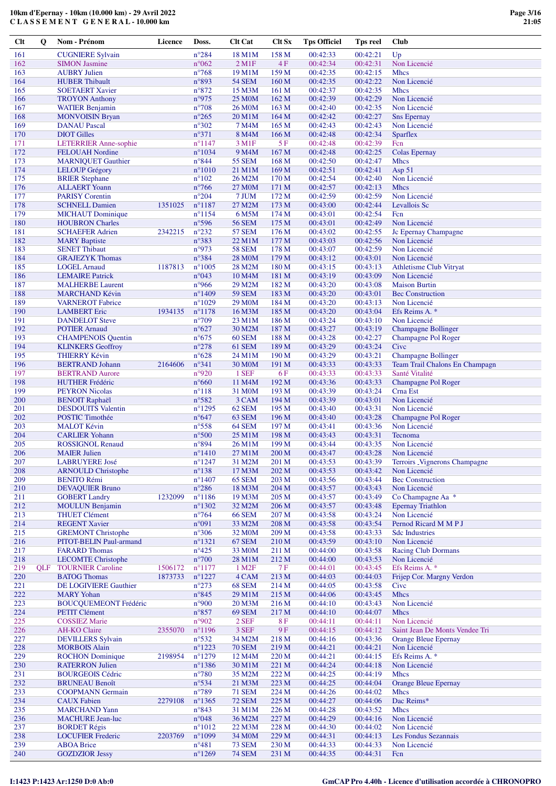**C L A S S E M E N T G E N E R A L - 10.000 km**

| <b>Clt</b> | $\mathbf 0$ | Nom - Prénom                                         | <b>Licence</b> | Doss.                               | <b>Clt Cat</b>                       | Clt Sx                    | <b>Tps Officiel</b>  | <b>Tps reel</b>      | <b>Club</b>                                                  |
|------------|-------------|------------------------------------------------------|----------------|-------------------------------------|--------------------------------------|---------------------------|----------------------|----------------------|--------------------------------------------------------------|
| 161        |             | <b>CUGNIERE Sylvain</b>                              |                | $n^{\circ}284$                      | 18 M1M                               | 158 M                     | 00:42:33             | 00:42:21             | Up                                                           |
| 162        |             | <b>SIMON Jasmine</b>                                 |                | $n^{\circ}062$                      | $2$ M1F                              | 4F                        | 00:42:34             | 00:42:31             | Non Licencié                                                 |
| 163<br>164 |             | <b>AUBRY Julien</b><br><b>HUBER Thibault</b>         |                | $n^{\circ}768$<br>n°893             | 19 M1M<br><b>54 SEM</b>              | 159 M<br>160 M            | 00:42:35<br>00:42:35 | 00:42:15<br>00:42:22 | <b>Mhcs</b><br>Non Licencié                                  |
| 165        |             | <b>SOETAERT Xavier</b>                               |                | $n^{\circ}872$                      | 15 M3M                               | 161 <sub>M</sub>          | 00:42:37             | 00:42:35             | Mhcs                                                         |
| 166        |             | <b>TROYON Anthony</b>                                |                | n°975                               | 25 M <sub>0</sub> M                  | 162 M                     | 00:42:39             | 00:42:29             | Non Licencié                                                 |
| 167        |             | <b>WATIER Benjamin</b>                               |                | $n^{\circ}708$                      | 26 M <sub>0</sub> M                  | 163 M                     | 00:42:40             | 00:42:35             | Non Licencié                                                 |
| 168        |             | <b>MONVOISIN Bryan</b>                               |                | $n^{\circ}265$                      | 20 M1M                               | 164 M                     | 00:42:42             | 00:42:27             | <b>Sns Epernay</b>                                           |
| 169<br>170 |             | <b>DANAU Pascal</b><br><b>DIOT</b> Gilles            |                | $n^{\circ}302$<br>$n^{\circ}371$    | 7 M4M<br>8 M4M                       | 165 M<br>166 M            | 00:42:43<br>00:42:48 | 00:42:43<br>00:42:34 | Non Licencié<br><b>Sparflex</b>                              |
| 171        |             | <b>LETERRIER Anne-sophie</b>                         |                | $n^{\circ}1147$                     | 3 M1F                                | 5F                        | 00:42:48             | 00:42:39             | Fcn                                                          |
| 172        |             | <b>FELOUAH Nordine</b>                               |                | $n^{\circ}1034$                     | 9 M <sub>4</sub> M                   | 167 M                     | 00:42:48             | 00:42:25             | <b>Colas Epernay</b>                                         |
| 173        |             | <b>MARNIQUET Gauthier</b>                            |                | $n^{\circ}844$                      | <b>55 SEM</b>                        | 168 M                     | 00:42:50             | 00:42:47             | Mhcs                                                         |
| 174        |             | <b>LELOUP Grégory</b>                                |                | $n^{\circ}1010$                     | 21 M1M                               | 169 M                     | 00:42:51             | 00:42:41             | Asp 51                                                       |
| 175<br>176 |             | <b>BRIER Stephane</b><br><b>ALLAERT</b> Yoann        |                | $n^{\circ}102$<br>$n^{\circ}$ 766   | 26 M2M<br>27 M <sub>0</sub> M        | 170 <sub>M</sub><br>171 M | 00:42:54<br>00:42:57 | 00:42:40<br>00:42:13 | Non Licencié<br><b>Mhcs</b>                                  |
| 177        |             | <b>PARISY Corentin</b>                               |                | $n^{\circ}204$                      | 7 JUM                                | 172 M                     | 00:42:59             | 00:42:59             | Non Licencié                                                 |
| 178        |             | <b>SCHNELL Damien</b>                                | 1351025        | $n^{\circ}1187$                     | 27 M2M                               | 173 M                     | 00:43:00             | 00:42:44             | Levallois Sc                                                 |
| 179        |             | <b>MICHAUT</b> Dominique                             |                | $n^{\circ}1154$                     | 6 M5M                                | 174M                      | 00:43:01             | 00:42:54             | Fcn                                                          |
| 180        |             | <b>HOUBRON Charles</b>                               |                | $n^{\circ}$ 596                     | <b>56 SEM</b>                        | 175 <sub>M</sub>          | 00:43:01             | 00:42:49             | Non Licencié                                                 |
| 181<br>182 |             | <b>SCHAEFER Adrien</b><br><b>MARY Baptiste</b>       | 2342215        | $n^{\circ}232$<br>n°383             | <b>57 SEM</b><br>22 M1M              | 176 M<br>177 M            | 00:43:02<br>00:43:03 | 00:42:55<br>00:42:56 | Jc Epernay Champagne<br>Non Licencié                         |
| 183        |             | <b>SENET Thibaut</b>                                 |                | n°973                               | <b>58 SEM</b>                        | 178 M                     | 00:43:07             | 00:42:59             | Non Licencié                                                 |
| 184        |             | <b>GRAJEZYK Thomas</b>                               |                | n°384                               | <b>28 M0M</b>                        | 179 M                     | 00:43:12             | 00:43:01             | Non Licencié                                                 |
| 185        |             | <b>LOGEL Arnaud</b>                                  | 1187813        | $n^{\circ}1005$                     | 28 M2M                               | 180 M                     | 00:43:15             | 00:43:13             | <b>Athletisme Club Vitryat</b>                               |
| 186        |             | <b>LEMAIRE</b> Patrick                               |                | n°043                               | 10 M <sub>4</sub> M                  | 181 M                     | 00:43:19             | 00:43:09             | Non Licencié                                                 |
| 187        |             | <b>MALHERBE Laurent</b>                              |                | n°966                               | 29 M2M                               | 182 M                     | 00:43:20             | 00:43:08             | <b>Maison Burtin</b>                                         |
| 188<br>189 |             | <b>MARCHAND Kévin</b><br><b>VARNEROT</b> Fabrice     |                | $n^{\circ}$ 1409<br>$n^{\circ}1029$ | <b>59 SEM</b><br>29 M <sub>0</sub> M | 183 M<br>184 M            | 00:43:20<br>00:43:20 | 00:43:01<br>00:43:13 | <b>Bec Construction</b><br>Non Licencié                      |
| 190        |             | <b>LAMBERT</b> Eric                                  | 1934135        | $n^{\circ}1178$                     | 16 M3M                               | 185 M                     | 00:43:20             | 00:43:04             | Efs Reims A. *                                               |
| 191        |             | <b>DANDELOT</b> Steve                                |                | $n^{\circ}709$                      | 23 M1M                               | 186 M                     | 00:43:24             | 00:43:10             | Non Licencié                                                 |
| 192        |             | <b>POTIER Arnaud</b>                                 |                | $n^{\circ}627$                      | 30 M2M                               | 187 M                     | 00:43:27             | 00:43:19             | <b>Champagne Bollinger</b>                                   |
| 193        |             | <b>CHAMPENOIS Quentin</b>                            |                | $n^{\circ}675$                      | 60 SEM                               | 188 M                     | 00:43:28             | 00:42:27             | Champagne Pol Roger                                          |
| 194        |             | <b>KLINKERS Geoffroy</b>                             |                | $n^{\circ}278$                      | 61 SEM                               | 189 M                     | 00:43:29             | 00:43:24             | Cive                                                         |
| 195<br>196 |             | <b>THIERRY Kévin</b><br><b>BERTRAND Johann</b>       | 2164606        | $n^{\circ}628$<br>$n^{\circ}341$    | 24 M1M<br>30 M <sub>0</sub> M        | 190 <sub>M</sub><br>191 M | 00:43:29<br>00:43:33 | 00:43:21<br>00:43:33 | <b>Champagne Bollinger</b><br>Team Trail Chalons En Champagn |
| 197        |             | <b>BERTRAND Aurore</b>                               |                | n°920                               | 1 SEF                                | 6 F                       | 00:43:33             | 00:43:33             | Santé Vitalité                                               |
| 198        |             | <b>HUTHER Frédéric</b>                               |                | $n^{\circ}660$                      | 11 M4M                               | 192 M                     | 00:43:36             | 00:43:33             | Champagne Pol Roger                                          |
| 199        |             | <b>PEYRON Nicolas</b>                                |                | $n^{\circ}118$                      | 31 M0M                               | 193 M                     | 00:43:39             | 00:43:24             | Crna Est                                                     |
| 200        |             | <b>BENOIT Raphaël</b>                                |                | n°582                               | 3 CAM                                | 194 M                     | 00:43:39             | 00:43:01             | Non Licencié                                                 |
| 201        |             | <b>DESDOUITS</b> Valentin                            |                | $n^{\circ}$ 1295                    | 62 SEM                               | 195 M                     | 00:43:40             | 00:43:31             | Non Licencié                                                 |
| 202<br>203 |             | <b>POSTIC Timothée</b><br><b>MALOT Kévin</b>         |                | $n^{\circ}647$                      | 63 SEM                               | 196 M                     | 00:43:40             | 00:43:28<br>00:43:36 | Champagne Pol Roger                                          |
| 204        |             | <b>CARLIER Yohann</b>                                |                | $n^{\circ}$ 558<br>$n^{\circ}500$   | 64 SEM<br>25 M1M                     | 197 M<br>198 M            | 00:43:41<br>00:43:43 | 00:43:31             | Non Licencié<br>Tecnoma                                      |
| 205        |             | <b>ROSSIGNOL Renaud</b>                              |                | $n^{\circ}894$                      | 26 M1M                               | 199 M                     | 00:43:44             | 00:43:35             | Non Licencié                                                 |
| 206        |             | <b>MAIER Julien</b>                                  |                | $n^{\circ}1410$                     | 27 M1M                               | 200 M                     | 00:43:47             | 00:43:28             | Non Licencié                                                 |
| 207        |             | <b>LABRUYERE José</b>                                |                | $n^{\circ}1247$                     | 31 M2M                               | 201 M                     | 00:43:53             | 00:43:39             | Terroirs Vignerons Champagne                                 |
| 208        |             | <b>ARNOULD Christophe</b>                            |                | $n^{\circ}138$                      | 17 M3M                               | 202 M                     | 00:43:53             | 00:43:42             | Non Licencié                                                 |
| 209<br>210 |             | <b>BENITO Rémi</b><br><b>DEVAQUIER Bruno</b>         |                | $n^{\circ}$ 1407<br>$n^{\circ}286$  | 65 SEM<br>18 M3M                     | 203 M<br>204 M            | 00:43:56<br>00:43:57 | 00:43:44<br>00:43:43 | <b>Bec Construction</b><br>Non Licencié                      |
| 211        |             | <b>GOBERT Landry</b>                                 | 1232099        | $n^{\circ}1186$                     | 19 M3M                               | 205 M                     | 00:43:57             | 00:43:49             | Co Champagne Aa *                                            |
| 212        |             | <b>MOULUN Benjamin</b>                               |                | $n^{\circ}$ 1302                    | 32 M2M                               | 206 M                     | 00:43:57             | 00:43:48             | <b>Epernay Triathlon</b>                                     |
| 213        |             | <b>THUET Clément</b>                                 |                | $n^{\circ}$ 764                     | <b>66 SEM</b>                        | 207 M                     | 00:43:58             | 00:43:24             | Non Licencié                                                 |
| 214        |             | <b>REGENT Xavier</b>                                 |                | n°091                               | 33 M2M                               | 208 M                     | 00:43:58             | 00:43:54             | Pernod Ricard M M P J                                        |
| 215        |             | <b>GREMONT Christophe</b>                            |                | $n^{\circ}306$                      | 32 M <sub>0</sub> M                  | 209 M                     | 00:43:58             | 00:43:33             | <b>Sdc Industries</b>                                        |
| 216<br>217 |             | PITOT-BELIN Paul-armand<br><b>FARARD</b> Thomas      |                | $n^{\circ}1321$<br>$n^{\circ}425$   | 67 SEM<br>33 M <sub>0</sub> M        | 210 M<br>211 M            | 00:43:59<br>00:44:00 | 00:43:10<br>00:43:58 | Non Licencié<br><b>Racing Club Dormans</b>                   |
| 218        |             | <b>LECOMTE Christophe</b>                            |                | $n^{\circ}700$                      | 28 M1M                               | 212 M                     | 00:44:00             | 00:43:53             | Non Licencié                                                 |
| 219        | <b>OLF</b>  | <b>TOURNIER Caroline</b>                             | 1506172        | $n^{\circ}1177$                     | 1 M <sub>2</sub> F                   | 7 F                       | 00:44:01             | 00:43:45             | Efs Reims A. *                                               |
| 220        |             | <b>BATOG Thomas</b>                                  | 1873733        | $n^{\circ}1227$                     | 4 CAM                                | 213 M                     | 00:44:03             | 00:44:03             | Frijep Cor. Margny Verdon                                    |
| 221        |             | DE LOGIVIERE Gauthier                                |                | $n^{\circ}273$                      | 68 SEM                               | 214 M                     | 00:44:05             | 00:43:58             | Cive                                                         |
| $222\,$    |             | <b>MARY</b> Yohan                                    |                | $n^{\circ}845$                      | 29 M1M                               | 215 M                     | 00:44:06             | 00:43:45             | <b>Mhcs</b>                                                  |
| 223<br>224 |             | <b>BOUCQUEMEONT Frédéric</b><br><b>PETIT Clément</b> |                | $n^{\circ}900$<br>$n^{\circ}857$    | 20 M3M<br>69 SEM                     | 216 M<br>217 M            | 00:44:10<br>00:44:10 | 00:43:43<br>00:44:07 | Non Licencié<br><b>Mhcs</b>                                  |
| 225        |             | <b>COSSIEZ Marie</b>                                 |                | n°902                               | $2$ SEF                              | 8 F                       | 00:44:11             | 00:44:11             | Non Licencié                                                 |
| 226        |             | <b>AH-KO Claire</b>                                  | 2355070        | $n^{\circ}1196$                     | $3\,\mathrm{SEF}$                    | $9F$                      | 00:44:15             | 00:44:12             | Saint Jean De Monts Vendee Tri                               |
| 227        |             | <b>DEVILLERS</b> Sylvain                             |                | $n^{\circ}532$                      | 34 M2M                               | 218 M                     | 00:44:16             | 00:43:36             | <b>Orange Bleue Epernay</b>                                  |
| 228        |             | <b>MORBOIS Alain</b>                                 |                | $n^{\circ}1223$                     | <b>70 SEM</b>                        | 219M                      | 00:44:21             | 00:44:21             | Non Licencié                                                 |
| 229<br>230 |             | <b>ROCHON</b> Dominique                              | 2198954        | $n^{\circ}1279$<br>$n^{\circ}$ 1386 | 12 M <sub>4</sub> M                  | 220 M                     | 00:44:21<br>00:44:24 | 00:44:15<br>00:44:18 | Efs Reims A. *                                               |
| 231        |             | <b>RATERRON Julien</b><br><b>BOURGEOIS Cédric</b>    |                | $n^{\circ}780$                      | 30 M1M<br>35 M2M                     | 221 M<br>222 M            | 00:44:25             | 00:44:19             | Non Licencié<br>Mhcs                                         |
| 232        |             | <b>BRUNEAU Benoît</b>                                |                | $n^{\circ}$ 534                     | 21 M3M                               | 223 M                     | 00:44:25             | 00:44:04             | <b>Orange Bleue Epernay</b>                                  |
| 233        |             | <b>COOPMANN</b> Germain                              |                | $n^{\circ}789$                      | <b>71 SEM</b>                        | 224 M                     | 00:44:26             | 00:44:02             | <b>Mhcs</b>                                                  |
| 234        |             | <b>CAUX</b> Fabien                                   | 2279108        | $n^{\circ}$ 1365                    | <b>72 SEM</b>                        | 225 M                     | 00:44:27             | 00:44:06             | Dac Reims*                                                   |
| 235        |             | <b>MARCHAND Yann</b>                                 |                | $n^{\circ}843$                      | 31 M1M                               | 226 M                     | 00:44:28             | 00:43:52             | Mhcs                                                         |
| 236        |             | <b>MACHURE Jean-luc</b><br><b>BORDET Régis</b>       |                | $n^{\circ}048$                      | 36 M2M                               | 227 M                     | 00:44:29             | 00:44:16             | Non Licencié                                                 |
| 237<br>238 |             | <b>LOCUFIER Frederic</b>                             | 2203769        | $n^{\circ}1012$<br>$n^{\circ}1099$  | 22 M3M<br>34 M0M                     | 228 M<br>229 M            | 00:44:30<br>00:44:31 | 00:44:02<br>00:44:13 | Non Licencié<br>Les Fondus Sezannais                         |
| 239        |             | <b>ABOA</b> Brice                                    |                | $n^{\circ}481$                      | <b>73 SEM</b>                        | 230 M                     | 00:44:33             | 00:44:33             | Non Licencié                                                 |
| 240        |             | <b>GOZDZIOR Jessy</b>                                |                | $n^{\circ}1269$                     | <b>74 SEM</b>                        | 231 M                     | 00:44:35             | 00:44:31             | Fcn                                                          |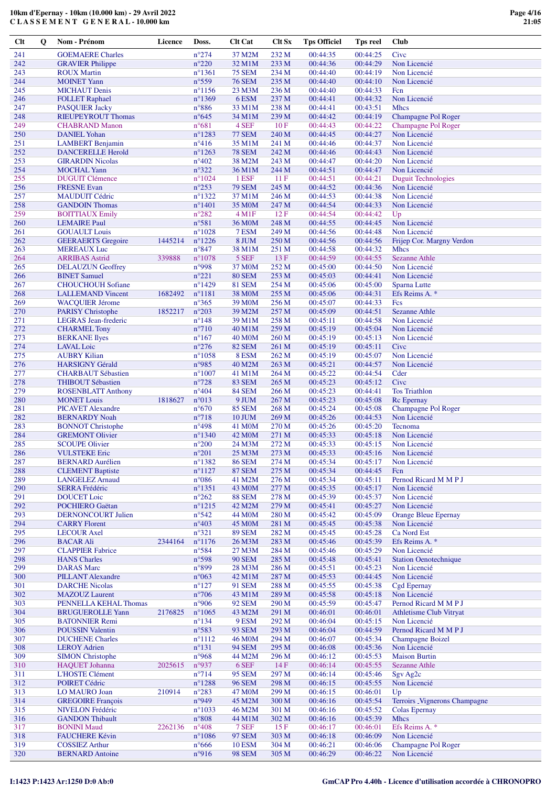**C L A S S E M E N T G E N E R A L - 10.000 km**

| <b>Clt</b> | $\mathbf 0$ | Nom - Prénom                                         | Licence | Doss.                                           | <b>Clt Cat</b>                       | Clt Sx         | <b>Tps Officiel</b>  | <b>Tps reel</b>      | Club                                                    |
|------------|-------------|------------------------------------------------------|---------|-------------------------------------------------|--------------------------------------|----------------|----------------------|----------------------|---------------------------------------------------------|
| 241        |             | <b>GOEMAERE Charles</b>                              |         | $n^{\circ}274$                                  | 37 M2M                               | 232 M          | 00:44:35             | 00:44:25             | Civc                                                    |
| 242        |             | <b>GRAVIER Philippe</b>                              |         | $n^{\circ}220$                                  | 32 M1M                               | 233 M          | 00:44:36             | 00:44:29             | Non Licencié                                            |
| 243        |             | <b>ROUX Martin</b>                                   |         | $n^{\circ}1361$                                 | <b>75 SEM</b>                        | 234 M          | 00:44:40             | 00:44:19             | Non Licencié                                            |
| 244<br>245 |             | <b>MOINET Yann</b><br><b>MICHAUT</b> Denis           |         | $n^{\circ}559$<br>$n^{\circ}1156$               | <b>76 SEM</b><br>23 M3M              | 235 M<br>236 M | 00:44:40<br>00:44:40 | 00:44:10<br>00:44:33 | Non Licencié<br>Fcn                                     |
| 246        |             | <b>FOLLET Raphael</b>                                |         | $n^{\circ}$ 1369                                | 6 ESM                                | 237 M          | 00:44:41             | 00:44:32             | Non Licencié                                            |
| 247        |             | <b>PASQUIER Jacky</b>                                |         | $n^{\circ}886$                                  | 33 M1M                               | 238 M          | 00:44:41             | 00:43:51             | <b>Mhcs</b>                                             |
| 248        |             | <b>RIEUPEYROUT Thomas</b>                            |         | $n^{\circ}645$                                  | 34 M1M                               | 239 M          | 00:44:42             | 00:44:19             | Champagne Pol Roger                                     |
| 249<br>250 |             | <b>CHABRAND Manon</b><br><b>DANIEL Yohan</b>         |         | $n^{\circ}681$<br>$n^{\circ}$ 1283              | 4 SEF<br><b>77 SEM</b>               | 10 F<br>240 M  | 00:44:43<br>00:44:45 | 00:44:22<br>00:44:27 | Champagne Pol Roger<br>Non Licencié                     |
| 251        |             | <b>LAMBERT</b> Benjamin                              |         | $n^{\circ}416$                                  | 35 M1M                               | 241 M          | 00:44:46             | 00:44:37             | Non Licencié                                            |
| 252        |             | <b>DANCERELLE Herold</b>                             |         | $n^{\circ}1263$                                 | <b>78 SEM</b>                        | 242 M          | 00:44:46             | 00:44:43             | Non Licencié                                            |
| 253        |             | <b>GIRARDIN Nicolas</b>                              |         | $n^{\circ}402$                                  | 38 M2M                               | 243 M          | 00:44:47             | 00:44:20             | Non Licencié                                            |
| 254        |             | <b>MOCHAL Yann</b>                                   |         | $n^{\circ}322$                                  | 36 M1M                               | 244 M          | 00:44:51             | 00:44:47             | Non Licencié                                            |
| 255<br>256 |             | <b>DUGUIT Clémence</b><br><b>FRESNE Evan</b>         |         | $n^{\circ}1024$<br>$n^{\circ}253$               | 1 ESF<br><b>79 SEM</b>               | 11F<br>245 M   | 00:44:51<br>00:44:52 | 00:44:21<br>00:44:36 | <b>Duguit Technologies</b><br>Non Licencié              |
| 257        |             | <b>MAUDUIT Cédric</b>                                |         | $n^{\circ}$ 1322                                | 37 M1M                               | 246 M          | 00:44:53             | 00:44:38             | Non Licencié                                            |
| 258        |             | <b>GANDOIN</b> Thomas                                |         | $n^{\circ}$ 1401                                | 35 M <sub>0</sub> M                  | 247 M          | 00:44:54             | 00:44:33             | Non Licencié                                            |
| 259        |             | <b>BOITTIAUX Emily</b>                               |         | $n^{\circ}282$                                  | $4 \,\mathrm{M1F}$                   | 12F            | 00:44:54             | 00:44:42             | Up                                                      |
| 260        |             | <b>LEMAIRE Paul</b>                                  |         | n°581                                           | 36 M <sub>0</sub> M                  | 248 M          | 00:44:55             | 00:44:45             | Non Licencié                                            |
| 261<br>262 |             | <b>GOUAULT</b> Louis<br><b>GEERAERTS</b> Gregoire    | 1445214 | $n^{\circ}1028$<br>$n^{\circ}$ 1226             | 7 ESM<br>8 JUM                       | 249 M<br>250 M | 00:44:56<br>00:44:56 | 00:44:48<br>00:44:56 | Non Licencié<br>Frijep Cor. Margny Verdon               |
| 263        |             | <b>MEREAUX</b> Luc                                   |         | $n^{\circ}847$                                  | 38 M1M                               | 251 M          | 00:44:58             | 00:44:32             | <b>Mhcs</b>                                             |
| 264        |             | <b>ARRIBAS Astrid</b>                                | 339888  | $n^{\circ}1078$                                 | 5 SEF                                | 13F            | 00:44:59             | 00:44:55             | <b>Sezanne Athle</b>                                    |
| 265        |             | <b>DELAUZUN Geoffrey</b>                             |         | n°998                                           | 37 M <sub>0</sub> M                  | 252 M          | 00:45:00             | 00:44:50             | Non Licencié                                            |
| 266        |             | <b>BINET Samuel</b>                                  |         | $n^{\circ}221$                                  | <b>80 SEM</b>                        | 253 M          | 00:45:03             | 00:44:41             | Non Licencié                                            |
| 267<br>268 |             | <b>CHOUCHOUH Sofiane</b><br><b>LALLEMAND Vincent</b> | 1682492 | $n^{\circ}$ 1429<br>$n^{\circ}1181$             | <b>81 SEM</b><br>38 M <sub>0</sub> M | 254 M<br>255 M | 00:45:06<br>00:45:06 | 00:45:00<br>00:44:31 | Sparna Lutte<br>Efs Reims A. *                          |
| 269        |             | <b>WACQUIER Jérome</b>                               |         | $n^{\circ}365$                                  | 39 M <sub>0</sub> M                  | 256 M          | 00:45:07             | 00:44:33             | Fcs                                                     |
| 270        |             | <b>PARISY Christophe</b>                             | 1852217 | $n^{\circ}203$                                  | 39 M2M                               | 257 M          | 00:45:09             | 00:44:51             | <b>Sezanne Athle</b>                                    |
| 271        |             | LEGRAS Jean-frederic                                 |         | $n^{\circ}$ 148                                 | 39 M1M                               | 258 M          | 00:45:11             | 00:44:58             | Non Licencié                                            |
| 272        |             | <b>CHARMEL Tony</b>                                  |         | $n^{\circ}710$                                  | 40 M1M                               | 259 M          | 00:45:19             | 00:45:04             | Non Licencié                                            |
| 273<br>274 |             | <b>BERKANE</b> Ilyes<br><b>LAVAL</b> Loic            |         | $n^{\circ}167$<br>$n^{\circ}276$                | <b>40 MOM</b><br><b>82 SEM</b>       | 260 M<br>261 M | 00:45:19<br>00:45:19 | 00:45:13<br>00:45:11 | Non Licencié<br>Cive                                    |
| 275        |             | <b>AUBRY Kilian</b>                                  |         | $n^{\circ}1058$                                 | 8 ESM                                | 262 M          | 00:45:19             | 00:45:07             | Non Licencié                                            |
| 276        |             | <b>HARSIGNY Gérald</b>                               |         | n°985                                           | 40 M2M                               | 263 M          | 00:45:21             | 00:44:57             | Non Licencié                                            |
| 277        |             | <b>CHARBAUT Sébastien</b>                            |         | $n^{\circ}1007$                                 | 41 M1M                               | 264 M          | 00:45:22             | 00:44:54             | Cder                                                    |
| 278        |             | <b>THIBOUT Sébastien</b>                             |         | $n^{\circ}728$                                  | <b>83 SEM</b>                        | 265 M          | 00:45:23             | 00:45:12             | Civc                                                    |
| 279<br>280 |             | <b>ROSENBLATT Anthony</b><br><b>MONET Louis</b>      | 1818627 | $n^{\circ}404$<br>$n^{\circ}013$                | <b>84 SEM</b><br>9 JUM               | 266 M<br>267 M | 00:45:23<br>00:45:23 | 00:44:41<br>00:45:08 | <b>Tos Triathlon</b><br>Rc Epernay                      |
| 281        |             | <b>PICAVET Alexandre</b>                             |         | $n^{\circ}670$                                  | <b>85 SEM</b>                        | 268 M          | 00:45:24             | 00:45:08             | Champagne Pol Roger                                     |
| 282        |             | <b>BERNARDY Noah</b>                                 |         | $n^{\circ}718$                                  | <b>10 JUM</b>                        | 269 M          | 00:45:26             | 00:44:53             | Non Licencié                                            |
| 283        |             | <b>BONNOT Christophe</b>                             |         | $n^{\circ}498$                                  | 41 M <sub>0</sub> M                  | 270 M          | 00:45:26             | 00:45:20             | Tecnoma                                                 |
| 284        |             | <b>GREMONT Olivier</b>                               |         | $n^{\circ}$ 1340                                | 42 M <sub>0</sub> M                  | 271 M          | 00:45:33             | 00:45:18             | Non Licencié                                            |
| 285<br>286 |             | <b>SCOUPE Olivier</b><br><b>VULSTEKE Eric</b>        |         | $n^{\circ}200$<br>$n^{\circ}201$                | 24 M3M<br>25 M3M                     | 272 M<br>273 M | 00:45:33<br>00:45:33 | 00:45:15<br>00:45:16 | Non Licencié<br>Non Licencié                            |
| 287        |             | <b>BERNARD</b> Aurélien                              |         | $n^{\circ}$ 1382                                | <b>86 SEM</b>                        | 274 M          | 00:45:34             | 00:45:17             | Non Licencié                                            |
| 288        |             | <b>CLEMENT Baptiste</b>                              |         | $n^{\circ}1127$                                 | <b>87 SEM</b>                        | 275 M          | 00:45:34             | 00:44:45             | Fcn                                                     |
| 289        |             | <b>LANGELEZ Arnaud</b>                               |         | $n^{\circ}086$                                  | 41 M2M                               | 276 M          | 00:45:34             | 00:45:11             | Pernod Ricard M M P J                                   |
| 290        |             | <b>SERRA Frédéric</b>                                |         | $n^{\circ}$ 1351                                | 43 M <sub>0</sub> M                  | 277 M          | 00:45:35             | 00:45:17             | Non Licencié                                            |
| 291<br>292 |             | <b>DOUCET</b> Loic<br>POCHIERO Gaëtan                |         | $n^{\circ}262$<br>$n^{\circ}1215$               | <b>88 SEM</b><br>42 M2M              | 278 M<br>279 M | 00:45:39<br>00:45:41 | 00:45:37<br>00:45:27 | Non Licencié<br>Non Licencié                            |
| 293        |             | <b>DERNONCOURT Julien</b>                            |         | $n^{\circ}542$                                  | 44 M <sub>0</sub> M                  | 280 M          | 00:45:42             | 00:45:09             | <b>Orange Bleue Epernay</b>                             |
| 294        |             | <b>CARRY Florent</b>                                 |         | $n^{\circ}403$                                  | 45 M <sub>0</sub> M                  | 281 M          | 00:45:45             | 00:45:38             | Non Licencié                                            |
| 295        |             | <b>LECOUR Axel</b>                                   |         | $n^{\circ}321$                                  | <b>89 SEM</b>                        | 282 M          | 00:45:45             | 00:45:28             | Ca Nord Est                                             |
| 296        |             | <b>BACAR Ali</b>                                     | 2344164 | $n^{\circ}1176$                                 | 26 M3M                               | 283 M          | 00:45:46             | 00:45:39             | Efs Reims A. *                                          |
| 297<br>298 |             | <b>CLAPPIER Fabrice</b><br><b>HANS</b> Charles       |         | n°584<br>n°598                                  | 27 M3M<br><b>90 SEM</b>              | 284 M<br>285 M | 00:45:46<br>00:45:48 | 00:45:29<br>00:45:41 | Non Licencié<br><b>Station Oenotechnique</b>            |
| 299        |             | <b>DARAS</b> Marc                                    |         | n°899                                           | 28 M3M                               | 286 M          | 00:45:51             | 00:45:23             | Non Licencié                                            |
| 300        |             | <b>PILLANT Alexandre</b>                             |         | $n^{\circ}063$                                  | 42 M1M                               | 287 M          | 00:45:53             | 00:44:45             | Non Licencié                                            |
| 301        |             | <b>DARCHE Nicolas</b>                                |         | $n^{\circ}127$                                  | 91 SEM                               | 288 M          | 00:45:55             | 00:45:38             | <b>Cgd Epernay</b>                                      |
| 302        |             | <b>MAZOUZ Laurent</b>                                |         | $n^{\circ}706$                                  | 43 M1M                               | 289 M          | 00:45:58             | 00:45:18             | Non Licencié                                            |
| 303<br>304 |             | PENNELLA KEHAL Thomas<br><b>BRUGUEROLLE Yann</b>     | 2176825 | n°906<br>$n^{\circ}1065$                        | <b>92 SEM</b><br>43 M2M              | 290 M<br>291 M | 00:45:59<br>00:46:01 | 00:45:47<br>00:46:01 | Pernod Ricard M M P J<br><b>Athletisme Club Vitryat</b> |
| 305        |             | <b>BATONNIER Remi</b>                                |         | $n^{\circ}$ 134                                 | 9 ESM                                | 292 M          | 00:46:04             | 00:45:15             | Non Licencié                                            |
| 306        |             | <b>POUSSIN Valentin</b>                              |         | $n^{\circ}583$                                  | <b>93 SEM</b>                        | 293 M          | 00:46:04             | 00:44:59             | Pernod Ricard M M P J                                   |
| 307        |             | <b>DUCHENE Charles</b>                               |         | $n^{\circ}1112$                                 | 46 M <sub>0</sub> M                  | 294 M          | 00:46:07             | 00:45:34             | <b>Champagne Boizel</b>                                 |
| 308        |             | <b>LEROY Adrien</b>                                  |         | $n^{\circ}131$                                  | <b>94 SEM</b>                        | 295 M          | 00:46:08             | 00:45:36             | Non Licencié                                            |
| 309<br>310 |             | <b>SIMON Christophe</b><br>HAQUET Johanna            | 2025615 | n°968<br>n°937                                  | 44 M2M<br>6 SEF                      | 296 M<br>14F   | 00:46:12<br>00:46:14 | 00:45:53<br>00:45:55 | <b>Maison Burtin</b><br><b>Sezanne Athle</b>            |
| 311        |             | L'HOSTE Clément                                      |         | $n^{\circ}714$                                  | <b>95 SEM</b>                        | 297 M          | 00:46:14             | 00:45:46             | Sgv Ag <sub>2c</sub>                                    |
| 312        |             | POIRET Cédric                                        |         | $n^{\circ}1288$                                 | <b>96 SEM</b>                        | 298 M          | 00:46:15             | 00:45:55             | Non Licencié                                            |
| 313        |             | LO MAURO Joan                                        | 210914  | $n^{\circ}283$                                  | 47 M <sub>0</sub> M                  | 299 M          | 00:46:15             | 00:46:01             | Up                                                      |
| 314        |             | <b>GREGOIRE François</b>                             |         | n°949                                           | 45 M2M                               | 300 M          | 00:46:16             | 00:45:54             | Terroirs Vignerons Champagne                            |
| 315<br>316 |             | <b>NIVELON</b> Frédéric<br><b>GANDON Thibault</b>    |         | $n^{\circ}1033$<br>$\mathtt{n}^{\mathtt{o}}808$ | 46 M2M<br>44 M1M                     | 301 M<br>302 M | 00:46:16<br>00:46:16 | 00:45:52<br>00:45:39 | Colas Epernay<br><b>Mhcs</b>                            |
| 317        |             | <b>BONINI Maud</b>                                   | 2262136 | $n^{\circ}408$                                  | 7 SEF                                | 15F            | 00:46:17             | 00:46:01             | Efs Reims A. *                                          |
| 318        |             | <b>FAUCHERE Kévin</b>                                |         | $n^{\circ}1086$                                 | <b>97 SEM</b>                        | 303 M          | 00:46:18             | 00:46:09             | Non Licencié                                            |
| 319        |             | <b>COSSIEZ Arthur</b>                                |         | $n^{\circ}666$                                  | <b>10 ESM</b>                        | 304 M          | 00:46:21             | 00:46:06             | Champagne Pol Roger                                     |
| 320        |             | <b>BERNARD Antoine</b>                               |         | n°916                                           | <b>98 SEM</b>                        | 305 M          | 00:46:29             | 00:46:22             | Non Licencié                                            |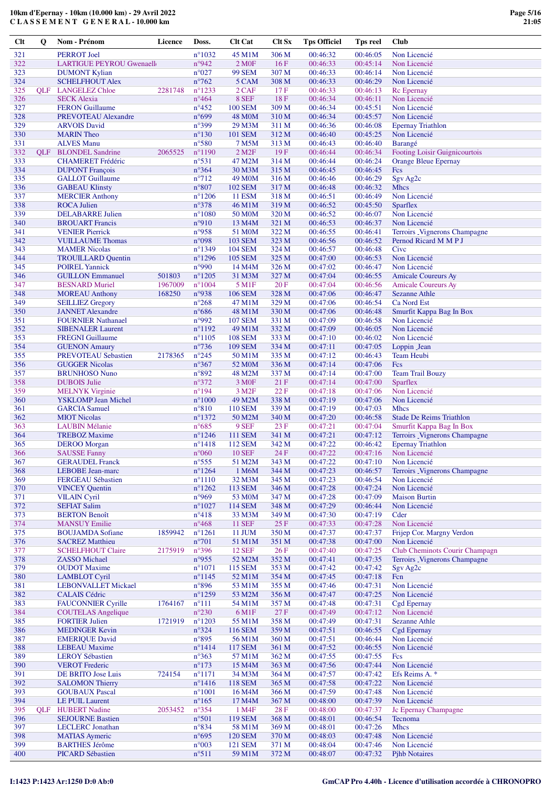| $Cl$ | Q          | Nom - Prénom                                     | Licence | Doss.                            | <b>Clt Cat</b>           | <b>Clt Sx</b>  | <b>Tps Officiel</b> | Tps reel             | Club                                |
|------|------------|--------------------------------------------------|---------|----------------------------------|--------------------------|----------------|---------------------|----------------------|-------------------------------------|
| 321  |            | <b>PERROT</b> Joel                               |         | $n^{\circ}1032$                  | 45 M1M                   | 306 M          | 00:46:32            | 00:46:05             | Non Licencié                        |
| 322  |            | LARTIGUE PEYROU Gwenaell                         |         | n°942                            | 2 M <sub>OF</sub>        | 16F            | 00:46:33            | 00:45:14             | Non Licencié                        |
| 323  |            | <b>DUMONT Kylian</b>                             |         | $n^{\circ}027$                   | <b>99 SEM</b>            | 307 M          | 00:46:33            | 00:46:14             | Non Licencié                        |
| 324  |            | <b>SCHELFHOUT Alex</b>                           |         | $n^{\circ}762$                   | 5 CAM                    | 308 M          | 00:46:33            | 00:46:29             | Non Licencié                        |
| 325  |            | <b>OLF</b> LANGELEZ Chloe                        | 2281748 | $n^{\circ}$ 1233                 | 2 CAF                    | 17F            | 00:46:33            | 00:46:13             | Rc Epernay                          |
| 326  |            | <b>SECK Alexia</b>                               |         | $n^{\circ}464$                   | 8 SEF                    | 18F            | 00:46:34            | 00:46:11             | Non Licencié                        |
| 327  |            | <b>FERON Guillaume</b>                           |         | $n^{\circ}452$                   | <b>100 SEM</b>           | 309 M          | 00:46:34            | 00:45:51             | Non Licencié                        |
| 328  |            | PREVOTEAU Alexandre                              |         | $n^{\circ}699$                   | 48 M <sub>0</sub> M      | 310 M          | 00:46:34            | 00:45:57             | Non Licencié                        |
| 329  |            | <b>ARVOIS David</b>                              |         | $n^{\circ}399$                   | 29 M3M                   | 311 M          | 00:46:36            | 00:46:08             | <b>Epernay Triathlon</b>            |
| 330  |            | <b>MARIN</b> Theo                                |         | $n^{\circ}130$                   | 101 SEM                  | 312 M          | 00:46:40            | 00:45:25             | Non Licencié                        |
| 331  |            | <b>ALVES Manu</b>                                |         | n°580                            | 7 M5M                    | 313 M          | 00:46:43            | 00:46:40             | Barangé                             |
| 332  | <b>OLF</b> | <b>BLONDEL Sandrine</b>                          | 2065525 | $n^{\circ}1190$                  | $2$ M <sub>2</sub> $F$   | 19F            | 00:46:44            | 00:46:34             | Footing Loisir Guignicourtois       |
| 333  |            | <b>CHAMERET</b> Frédéric                         |         | $n^{\circ}531$                   | 47 M2M                   | 314 M          | 00:46:44            | 00:46:24             | <b>Orange Bleue Epernay</b>         |
| 334  |            |                                                  |         | $n^{\circ}364$                   |                          |                |                     |                      |                                     |
| 335  |            | <b>DUPONT</b> François                           |         | $n^{\circ}712$                   | 30 M3M                   | 315 M          | 00:46:45            | 00:46:45             | <b>Fcs</b>                          |
| 336  |            | <b>GALLOT</b> Guillaume                          |         | $n^{\circ}807$                   | 49 M <sub>0</sub> M      | 316 M          | 00:46:46            | 00:46:29<br>00:46:32 | Sgv Ag2c                            |
|      |            | <b>GABEAU Klinsty</b>                            |         |                                  | 102 SEM                  | 317 M          | 00:46:48            |                      | <b>Mhcs</b>                         |
| 337  |            | <b>MERCIER Anthony</b>                           |         | $n^{\circ}$ 1206                 | <b>11 ESM</b>            | 318 M          | 00:46:51            | 00:46:49             | Non Licencié                        |
| 338  |            | <b>ROCA Julien</b>                               |         | $n^{\circ}378$                   | 46 M1M                   | 319 M          | 00:46:52            | 00:45:50             | Sparflex                            |
| 339  |            | <b>DELABARRE Julien</b>                          |         | $n^{\circ}1080$                  | 50 M <sub>0</sub> M      | 320 M          | 00:46:52            | 00:46:07             | Non Licencié                        |
| 340  |            | <b>BROUART</b> Francis                           |         | n°910                            | 13 M4M                   | 321 M          | 00:46:53            | 00:46:37             | Non Licencié                        |
| 341  |            | <b>VENIER Pierrick</b>                           |         | $n^{\circ}958$                   | 51 M <sub>0</sub> M      | 322 M          | 00:46:55            | 00:46:41             | Terroirs _Vignerons Champagne       |
| 342  |            | <b>VUILLAUME Thomas</b>                          |         | $n^{\circ}098$                   | 103 SEM                  | 323 M          | 00:46:56            | 00:46:52             | Pernod Ricard M M P J               |
| 343  |            | <b>MAMER Nicolas</b>                             |         | $n^{\circ}$ 1349                 | <b>104 SEM</b>           | 324 M          | 00:46:57            | 00:46:48             | Cive                                |
| 344  |            | <b>TROUILLARD Quentin</b>                        |         | $n^{\circ}$ 1296                 | <b>105 SEM</b>           | 325 M          | 00:47:00            | 00:46:53             | Non Licencié                        |
| 345  |            | <b>POIREL Yannick</b>                            |         | n°990                            | 14 M4M                   | 326 M          | 00:47:02            | 00:46:47             | Non Licencié                        |
| 346  |            | <b>GUILLON Emmanuel</b>                          | 501803  | $n^{\circ}1205$                  | 31 M3M                   | 327 M          | 00:47:04            | 00:46:55             | <b>Amicale Coureurs Ay</b>          |
| 347  |            | <b>BESNARD Muriel</b>                            | 1967009 | $n^{\circ}1004$                  | 5 M1F                    | 20 F           | 00:47:04            | 00:46:56             | <b>Amicale Coureurs Ay</b>          |
| 348  |            | <b>MOREAU</b> Anthony                            | 168250  | n°938                            | <b>106 SEM</b>           | 328 M          | 00:47:06            | 00:46:47             | <b>Sezanne Athle</b>                |
| 349  |            | <b>SEILLIEZ Gregory</b>                          |         | $n^{\circ}268$                   | 47 M1M                   | 329 M          | 00:47:06            | 00:46:54             | Ca Nord Est                         |
| 350  |            | <b>JANNET</b> Alexandre                          |         | $n^{\circ}686$                   | 48 M1M                   | 330 M          | 00:47:06            | 00:46:48             | Smurfit Kappa Bag In Box            |
| 351  |            | <b>FOURNIER Nathanael</b>                        |         | n°992                            | <b>107 SEM</b>           | 331 M          | 00:47:09            | 00:46:58             | Non Licencié                        |
| 352  |            | <b>SIBENALER Laurent</b>                         |         | $n^{\circ}1192$                  | 49 M1M                   | 332 M          | 00:47:09            | 00:46:05             | Non Licencié                        |
| 353  |            | <b>FREGNI</b> Guillaume                          |         | $n^{\circ}1105$                  | <b>108 SEM</b>           | 333 M          | 00:47:10            | 00:46:02             | Non Licencié                        |
| 354  |            | <b>GUENON Amaury</b>                             |         | $n^{\circ}$ 736                  | <b>109 SEM</b>           | 334 M          | 00:47:11            | 00:47:05             | Loppin Jean                         |
| 355  |            | <b>PREVOTEAU Sebastien</b>                       | 2178365 | $n^{\circ}245$                   | 50 M1M                   | 335 M          | 00:47:12            | 00:46:43             | <b>Team Heubi</b>                   |
| 356  |            | <b>GUGGER Nicolas</b>                            |         | $n^{\circ}367$                   | 52 M <sub>0</sub> M      | 336 M          | 00:47:14            | 00:47:06             | Fcs                                 |
| 357  |            | <b>BRUNHOSO Nuno</b>                             |         | $n^{\circ}892$                   | 48 M2M                   | 337 M          | 00:47:14            | 00:47:00             | <b>Team Trail Bouzy</b>             |
| 358  |            | <b>DUBOIS</b> Julie                              |         | $n^{\circ}372$                   | 3 M <sub>OF</sub>        | 21 F           | 00:47:14            | 00:47:00             | Sparflex                            |
| 359  |            | <b>MELNYK Virginie</b>                           |         | $n^{\circ}194$                   | 3 M <sub>2F</sub>        | 22 F           | 00:47:18            | 00:47:06             | Non Licencié                        |
| 360  |            | <b>YSKLOMP</b> Jean Michel                       |         | $n^{\circ}1000$                  | 49 M2M                   | 338 M          | 00:47:19            | 00:47:06             | Non Licencié                        |
| 361  |            | <b>GARCIA</b> Samuel                             |         | $n^{\circ}810$                   | <b>110 SEM</b>           | 339 M          | 00:47:19            | 00:47:03             | <b>Mhcs</b>                         |
| 362  |            | <b>MIOT</b> Nicolas                              |         | $n^{\circ}$ 1372                 | 50 M2M                   | 340 M          | 00:47:20            | 00:46:58             | <b>Stade De Reims Triathlon</b>     |
| 363  |            | <b>LAUBIN Mélanie</b>                            |         | $n^{\circ}685$                   | 9 SEF                    | 23 F           | 00:47:21            | 00:47:04             | Smurfit Kappa Bag In Box            |
| 364  |            | <b>TREBOZ Maxime</b>                             |         | $n^{\circ}$ 1246                 | <b>111 SEM</b>           | 341 M          | 00:47:21            | 00:47:12             | Terroirs _Vignerons Champagne       |
| 365  |            | <b>DEROO</b> Morgan                              |         | $n^{\circ}$ 1418                 | <b>112 SEM</b>           | 342 M          | 00:47:22            | 00:46:42             | <b>Epernay Triathlon</b>            |
| 366  |            | <b>SAUSSE Fanny</b>                              |         | $n^{\circ}060$                   | <b>10 SEF</b>            | 24 F           | 00:47:22            | 00:47:16             | Non Licencié                        |
| 367  |            | <b>GERAUDEL Franck</b>                           |         | $n^{\circ}$ 555                  | 51 M2M                   | 343 M          | 00:47:22            | 00:47:10             | Non Licencié                        |
| 368  |            | <b>LEBOBE</b> Jean-marc                          |         | $n^{\circ}1264$                  | 1 M6M                    | 344 M          | 00:47:23            | 00:46:57             | <b>Terroirs Vignerons Champagne</b> |
| 369  |            | FERGEAU Sébastien                                |         | $n^{\circ}1110$                  | 32 M3M                   | 345 M          | 00:47:23            | 00:46:54             | Non Licencié                        |
| 370  |            | <b>VINCEY Quentin</b>                            |         | $n^{\circ}$ 1262                 | 113 SEM                  | 346 M          | 00:47:28            | 00:47:24             | Non Licencié                        |
| 371  |            | <b>VILAIN Cyril</b>                              |         | n°969                            | 53 M <sub>0</sub> M      | 347 M          | 00:47:28            | 00:47:09             | <b>Maison Burtin</b>                |
| 372  |            | <b>SEFIAT Salim</b>                              |         | $n^{\circ}1027$                  | <b>114 SEM</b>           | 348 M          | 00:47:29            | 00:46:44             | Non Licencié                        |
| 373  |            | <b>BERTON Benoît</b>                             |         | $n^{\circ}418$                   | 33 M3M                   | 349 M          | 00:47:30            | 00:47:19             | Cder                                |
| 374  |            | <b>MANSUY Emilie</b>                             |         | $n^{\circ}468$                   | <b>11 SEF</b>            | 25F            | 00:47:33            | 00:47:28             | Non Licencié                        |
| 375  |            | <b>BOUJAMDA Sofiane</b>                          | 1859942 | $n^{\circ}1261$                  | 11 JUM                   | 350 M          | 00:47:37            | 00:47:37             | Frijep Cor. Margny Verdon           |
| 376  |            | <b>SACREZ Matthieu</b>                           |         | $n^{\circ}701$                   | 51 M1M                   | 351 M          | 00:47:38            | 00:47:00             | Non Licencié                        |
| 377  |            | <b>SCHELFHOUT Claire</b>                         | 2175919 | $n^{\circ}396$                   | <b>12 SEF</b>            | 26F            | 00:47:40            | 00:47:25             | Club Cheminots Courir Champagn      |
| 378  |            | <b>ZASSO</b> Michael                             |         | n°955                            | 52 M2M                   | 352 M          | 00:47:41            | 00:47:35             | Terroirs Vignerons Champagne        |
| 379  |            | <b>OUDOT</b> Maxime                              |         | $n^{\circ}1071$                  | 115 SEM                  | 353 M          | 00:47:42            | 00:47:42             | Sgy Ag2c                            |
| 380  |            | <b>LAMBLOT Cyril</b>                             |         | $n^{\circ}$ 1145                 | 52 M1M                   | 354 M          | 00:47:45            | 00:47:18             | Fcn                                 |
| 381  |            | <b>LEBONVALLET Mickael</b>                       |         | n°896                            | 53 M1M                   | 355 M          | 00:47:46            | 00:47:31             | Non Licencié                        |
| 382  |            | <b>CALAIS Cédric</b>                             |         | $n^{\circ}$ 1259                 | 53 M2M                   | 356 M          | 00:47:47            | 00:47:25             | Non Licencié                        |
| 383  |            | <b>FAUCONNIER Cyrille</b>                        | 1764167 | $n^{\circ}111$                   | 54 M1M                   | 357 M          | 00:47:48            | 00:47:31             | Cgd Epernay                         |
| 384  |            | <b>COUTELAS</b> Angelique                        |         | $n^{\circ}230$                   | 6 M1F                    | 27 F           | 00:47:49            | 00:47:12             | Non Licencié                        |
| 385  |            | <b>FORTIER Julien</b>                            | 1721919 | $n^{\circ}1203$                  | 55 M1M                   | 358 M          | 00:47:49            | 00:47:31             | <b>Sezanne Athle</b>                |
| 386  |            | <b>MEDINGER Kevin</b>                            |         | $n^{\circ}324$                   | <b>116 SEM</b>           | 359 M          | 00:47:51            | 00:46:55             | Cgd Epernay                         |
| 387  |            | <b>EMERIQUE David</b>                            |         | n°895                            | 56 M1M                   | 360 M          | 00:47:51            | 00:46:44             | Non Licencié                        |
| 388  |            | <b>LEBEAU</b> Maxime                             |         | $n^{\circ}$ 1414                 | <b>117 SEM</b>           | 361 M          | 00:47:52            | 00:46:55             | Non Licencié                        |
| 389  |            | <b>LEROY Sébastien</b>                           |         | $n^{\circ}363$                   | 57 M1M                   | 362 M          | 00:47:55            | 00:47:55             | Fcs                                 |
| 390  |            | <b>VEROT</b> Frederic                            |         | $n^{\circ}173$                   | 15 M4M                   | 363 M          | 00:47:56            | 00:47:44             | Non Licencié                        |
| 391  |            | DE BRITO Jose Luis                               | 724154  | $n^{\circ}1171$                  | 34 M3M                   | 364 M          | 00:47:57            | 00:47:42             | Efs Reims A. *                      |
| 392  |            | <b>SALOMON Thierry</b>                           |         | $n^{\circ}$ 1416                 | <b>118 SEM</b>           | 365 M          | 00:47:58            | 00:47:22             | Non Licencié                        |
| 393  |            | <b>GOUBAUX Pascal</b>                            |         | $n^{\circ}1001$                  | 16 M <sub>4</sub> M      | 366 M          | 00:47:59            | 00:47:48             | Non Licencié                        |
| 394  |            | <b>LE PUIL Laurent</b>                           |         | $n^{\circ}165$                   | 17 M4M                   | 367 M          | 00:48:00            | 00:47:39             | Non Licencié                        |
| 395  | <b>QLF</b> | <b>HUBERT</b> Nadine                             | 2053452 | $n^{\circ}354$                   | 1 M4F                    | 28F            | 00:48:00            | 00:47:37             | Jc Epernay Champagne                |
| 396  |            | <b>SEJOURNE Bastien</b>                          |         | n°501                            | 119 SEM                  | 368 M          | 00:48:01            | 00:46:54             | Tecnoma                             |
| 397  |            |                                                  |         |                                  |                          |                | 00:48:01            | 00:47:26             | <b>Mhcs</b>                         |
| 398  |            | <b>LECLERC</b> Jonathan<br><b>MATIAS</b> Aymeric |         | $n^{\circ}834$<br>$n^{\circ}695$ | 58 M1M<br><b>120 SEM</b> | 369 M<br>370 M | 00:48:03            | 00:47:48             | Non Licencié                        |
| 399  |            | <b>BARTHES Jérôme</b>                            |         | $n^{\circ}003$                   | 121 SEM                  | 371 M          | 00:48:04            | 00:47:46             | Non Licencié                        |
| 400  |            | PICARD Sébastien                                 |         | $n^{\circ}511$                   | 59 M1M                   | 372 M          | 00:48:07            | 00:47:32             | <b>Pjhb Notaires</b>                |
|      |            |                                                  |         |                                  |                          |                |                     |                      |                                     |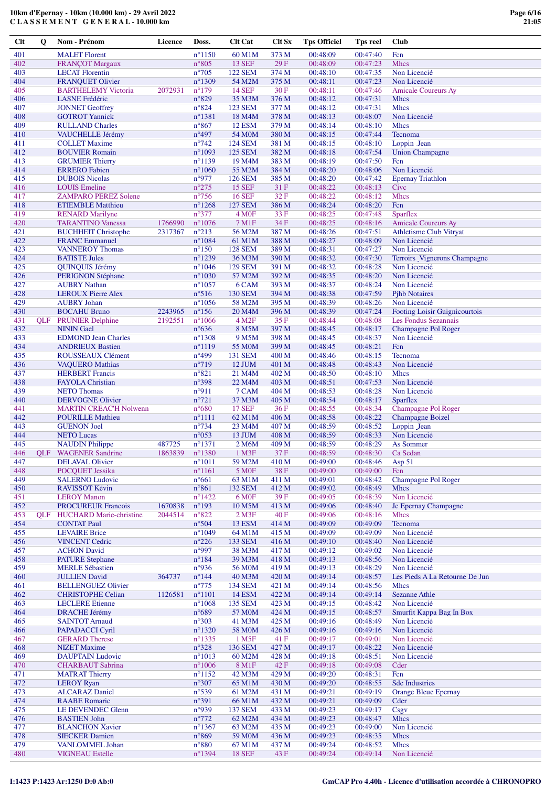| $Cl$ t | Q          | Nom - Prénom                   | Licence | Doss.                        | <b>Clt Cat</b>      | <b>Clt Sx</b> | <b>Tps Officiel</b> | Tps reel | Club                                 |
|--------|------------|--------------------------------|---------|------------------------------|---------------------|---------------|---------------------|----------|--------------------------------------|
| 401    |            | <b>MALET</b> Florent           |         | $n^{\circ}1150$              | 60 M1M              | 373 M         | 00:48:09            | 00:47:40 | Fcn                                  |
| 402    |            | <b>FRANÇOT Margaux</b>         |         | $n^{\circ}805$               | <b>13 SEF</b>       | 29F           | 00:48:09            | 00:47:23 | <b>Mhcs</b>                          |
| 403    |            | <b>LECAT Florentin</b>         |         | $n^{\circ}705$               | 122 SEM             | 374 M         | 00:48:10            | 00:47:35 | Non Licencié                         |
|        |            |                                |         |                              |                     |               |                     |          |                                      |
| 404    |            | <b>FRANQUET Olivier</b>        |         | $n^{\circ}1309$              | 54 M2M              | 375 M         | 00:48:11            | 00:47:23 | Non Licencié                         |
| 405    |            | <b>BARTHELEMY Victoria</b>     | 2072931 | $n^{\circ}179$               | <b>14 SEF</b>       | 30 F          | 00:48:11            | 00:47:46 | <b>Amicale Coureurs Ay</b>           |
| 406    |            | <b>LASNE</b> Frédéric          |         | $n^{\circ}829$               | 35 M3M              | 376 M         | 00:48:12            | 00:47:31 | <b>Mhcs</b>                          |
| 407    |            | <b>JONNET Geoffrey</b>         |         | $n^{\circ}824$               | <b>123 SEM</b>      | 377 M         | 00:48:12            | 00:47:31 | <b>Mhcs</b>                          |
| 408    |            | <b>GOTROT Yannick</b>          |         | $n^{\circ}$ 1381             | 18 M4M              | 378 M         | 00:48:13            | 00:48:07 | Non Licencié                         |
| 409    |            | <b>RULLAND Charles</b>         |         | $n^{\circ}867$               | <b>12 ESM</b>       | 379 M         | 00:48:14            | 00:48:10 | <b>Mhcs</b>                          |
| 410    |            | VAUCHELLE Jérémy               |         | $n^{\circ}497$               | 54 M0M              | 380 M         | 00:48:15            | 00:47:44 | Tecnoma                              |
| 411    |            | <b>COLLET Maxime</b>           |         | $n^{\circ}$ 742              | <b>124 SEM</b>      | 381 M         | 00:48:15            | 00:48:10 | Loppin Jean                          |
| 412    |            | <b>BOUVIER Romain</b>          |         | $n^{\circ}1093$              | <b>125 SEM</b>      | 382 M         | 00:48:18            | 00:47:54 | <b>Union Champagne</b>               |
| 413    |            | <b>GRUMIER Thierry</b>         |         | $n^{\circ}1139$              | 19 M4M              | 383 M         | 00:48:19            | 00:47:50 | Fcn                                  |
| 414    |            | <b>ERRERO</b> Fabien           |         | $n^{\circ}1060$              | 55 M2M              | 384 M         | 00:48:20            | 00:48:06 | Non Licencié                         |
| 415    |            | <b>DUBOIS Nicolas</b>          |         | n°977                        | <b>126 SEM</b>      | 385 M         | 00:48:20            | 00:47:42 | <b>Epernay Triathlon</b>             |
| 416    |            | <b>LOUIS</b> Emeline           |         | $n^{\circ}275$               | <b>15 SEF</b>       | 31 F          | 00:48:22            | 00:48:13 | Cive                                 |
| 417    |            | <b>ZAMPARO PEREZ Solene</b>    |         | $n^{\circ}$ 756              | <b>16 SEF</b>       | 32 F          | 00:48:22            | 00:48:12 | <b>Mhcs</b>                          |
| 418    |            | <b>ETIEMBLE Matthieu</b>       |         | $n^{\circ}1268$              | <b>127 SEM</b>      | 386 M         | 00:48:24            | 00:48:20 | Fcn                                  |
| 419    |            | <b>RENARD Marilyne</b>         |         | $n^{\circ}377$               | 4 M0F               | 33 F          | 00:48:25            | 00:47:48 | <b>Sparflex</b>                      |
| 420    |            | <b>TARANTINO Vanessa</b>       | 1766990 | $n^{\circ}1076$              | 7 M1F               | 34 F          | 00:48:25            | 00:48:16 | <b>Amicale Coureurs Ay</b>           |
| 421    |            |                                |         | $n^{\circ}213$               | 56 M2M              |               |                     | 00:47:51 |                                      |
|        |            | <b>BUCHHEIT Christophe</b>     | 2317367 |                              |                     | 387 M         | 00:48:26            |          | <b>Athletisme Club Vitryat</b>       |
| 422    |            | <b>FRANC</b> Emmanuel          |         | $n^{\circ}1084$              | 61 M1M              | 388 M         | 00:48:27            | 00:48:09 | Non Licencié                         |
| 423    |            | <b>VANNEROY Thomas</b>         |         | $n^{\circ}150$               | <b>128 SEM</b>      | 389 M         | 00:48:31            | 00:47:27 | Non Licencié                         |
| 424    |            | <b>BATISTE Jules</b>           |         | $n^{\circ}$ 1239             | 36 M3M              | 390 M         | 00:48:32            | 00:47:30 | <b>Terroirs _Vignerons Champagne</b> |
| 425    |            | QUINQUIS Jérémy                |         | $n^{\circ}1046$              | <b>129 SEM</b>      | 391 M         | 00:48:32            | 00:48:28 | Non Licencié                         |
| 426    |            | <b>PERIGNON Stéphane</b>       |         | $n^{\circ}1030$              | 57 M2M              | 392 M         | 00:48:35            | 00:48:20 | Non Licencié                         |
| 427    |            | <b>AUBRY Nathan</b>            |         | $n^{\circ}1057$              | 6 CAM               | 393 M         | 00:48:37            | 00:48:24 | Non Licencié                         |
| 428    |            | <b>LEROUX Pierre Alex</b>      |         | $n^{\circ}516$               | <b>130 SEM</b>      | 394 M         | 00:48:38            | 00:47:59 | <b>Pjhb Notaires</b>                 |
| 429    |            | <b>AUBRY Johan</b>             |         | $n^{\circ}1056$              | 58 M2M              | 395 M         | 00:48:39            | 00:48:26 | Non Licencié                         |
| 430    |            | <b>BOCAHU Bruno</b>            | 2243965 | $n^{\circ}156$               | 20 M <sub>4</sub> M | 396 M         | 00:48:39            | 00:47:24 | Footing Loisir Guignicourtois        |
| 431    | <b>OLF</b> | <b>PRUNIER Delphine</b>        | 2192551 | $n^{\circ}1066$              | 4 M <sub>2</sub> F  | 35 F          | 00:48:44            | 00:48:08 | Les Fondus Sezannais                 |
| 432    |            | <b>NININ</b> Gael              |         | $n^{\circ}636$               | 8 M5M               | 397 M         | 00:48:45            | 00:48:17 | Champagne Pol Roger                  |
| 433    |            | <b>EDMOND Jean Charles</b>     |         | $n^{\circ}$ 1308             | 9 M5M               | 398 M         | 00:48:45            | 00:48:37 | Non Licencié                         |
| 434    |            | <b>ANDRIEUX Bastien</b>        |         | $n^{\circ}1119$              | 55 M <sub>0</sub> M | 399 M         | 00:48:45            | 00:48:21 | Fcn                                  |
| 435    |            | ROUSSEAUX Clément              |         | $n^{\circ}499$               | <b>131 SEM</b>      | 400 M         | 00:48:46            | 00:48:15 | Tecnoma                              |
| 436    |            | <b>VAQUERO</b> Mathias         |         | $n^{\circ}719$               | 12 JUM              | 401 M         | 00:48:48            | 00:48:43 | Non Licencié                         |
| 437    |            | <b>HERBERT</b> Francis         |         | $n^{\circ}821$               | 21 M <sub>4</sub> M | 402 M         | 00:48:50            | 00:48:10 | <b>Mhcs</b>                          |
| 438    |            | <b>FAYOLA Christian</b>        |         | n°398                        | 22 M <sub>4</sub> M | 403 M         | 00:48:51            | 00:47:53 | Non Licencié                         |
| 439    |            | <b>NETO Thomas</b>             |         | n°911                        | 7 CAM               | 404 M         | 00:48:53            | 00:48:28 | Non Licencié                         |
| 440    |            | <b>DERVOGNE Olivier</b>        |         | $n^{\circ}721$               | 37 M3M              | 405 M         | 00:48:54            | 00:48:17 | <b>Sparflex</b>                      |
| 441    |            | <b>MARTIN CREAC'H Nolwenn</b>  |         | $n^{\circ}680$               | <b>17 SEF</b>       | 36 F          | 00:48:55            | 00:48:34 | Champagne Pol Roger                  |
| 442    |            | <b>POURILLE Mathieu</b>        |         | $n^{\circ}1111$              | 62 M1M              | 406 M         | 00:48:58            | 00:48:22 | <b>Champagne Boizel</b>              |
| 443    |            | <b>GUENON Joel</b>             |         | $n^{\circ}$ 734              | 23 M4M              | 407 M         | 00:48:59            | 00:48:52 | Loppin Jean                          |
| 444    |            | <b>NETO Lucas</b>              |         | $n^{\circ}053$               | 13 JUM              | 408 M         | 00:48:59            | 00:48:33 | Non Licencié                         |
| 445    |            | <b>NAUDIN</b> Philippe         | 487725  | $n^{\circ}1371$              | 2 M6M               | 409 M         | 00:48:59            | 00:48:29 | As Sommer                            |
| 446    | <b>OLF</b> | <b>WAGENER Sandrine</b>        | 1863839 | $n^{\circ}1380$              | 1 M3F               | 37F           | 00:48:59            | 00:48:30 | Ca Sedan                             |
|        |            |                                |         |                              |                     |               |                     | 00:48:46 |                                      |
| 447    |            | <b>DELAVAL Olivier</b>         |         | $n^{\circ}1011$              | 59 M2M              | 410 M         | 00:49:00            |          | Asp 51                               |
| 448    |            | POCQUET Jessika                |         | $n^{\circ}1161$              | 5 M <sub>OF</sub>   | 38 F          | 00:49:00            | 00:49:00 | Fcn                                  |
| 449    |            | <b>SALERNO Ludovic</b>         |         | $n^{\circ}661$               | 63 M1M              | 411 M         | 00:49:01            | 00:48:42 | Champagne Pol Roger                  |
| 450    |            | RAVISSOT Kévin                 |         | $n^{\circ}861$               | <b>132 SEM</b>      | 412 M         | 00:49:02            | 00:48:49 | Mhcs                                 |
| 451    |            | <b>LEROY Manon</b>             |         | $n^{\circ}$ 1422             | 6 M <sub>OF</sub>   | 39F           | 00:49:05            | 00:48:39 | Non Licencié                         |
| 452    |            | <b>PROCUREUR Francois</b>      | 1670838 | $n^{\circ}193$               | 10 M5M              | 413 M         | 00:49:06            | 00:48:40 | Jc Epernay Champagne                 |
| 453    | <b>OLF</b> | <b>HUCHARD Marie-christine</b> | 2044514 | $n^{\circ}822$               | $2$ M $3F$          | 40 F          | 00:49:06            | 00:48:16 | <b>Mhcs</b>                          |
| 454    |            | <b>CONTAT Paul</b>             |         | $n^{\circ}504$               | <b>13 ESM</b>       | 414 M         | 00:49:09            | 00:49:09 | Tecnoma                              |
| 455    |            | <b>LEVAIRE</b> Brice           |         | $n^{\circ}1049$              | 64 M1M              | 415 M         | 00:49:09            | 00:49:09 | Non Licencié                         |
| 456    |            | <b>VINCENT Cedric</b>          |         | $n^{\circ}226$               | <b>133 SEM</b>      | 416 M         | 00:49:10            | 00:48:40 | Non Licencié                         |
| 457    |            | <b>ACHON David</b>             |         | n°997                        | 38 M3M              | 417 M         | 00:49:12            | 00:49:02 | Non Licencié                         |
| 458    |            | <b>PATURE Stephane</b>         |         | $n^{\circ}184$               | 39 M3M              | 418 M         | 00:49:13            | 00:48:56 | Non Licencié                         |
| 459    |            | <b>MERLE Sébastien</b>         |         | n°936                        | 56 M0M              | 419 M         | 00:49:13            | 00:48:29 | Non Licencié                         |
| 460    |            | <b>JULLIEN David</b>           | 364737  | $n^{\circ}$ 144              | 40 M3M              | 420 M         | 00:49:14            | 00:48:57 | Les Pieds A La Retourne De Jun       |
| 461    |            | <b>BELLENGUEZ Olivier</b>      |         | $n^{\circ}775$               | <b>134 SEM</b>      | 421 M         | 00:49:14            | 00:48:56 | <b>Mhcs</b>                          |
| 462    |            | <b>CHRISTOPHE Celian</b>       | 1126581 | $n^{\circ}1101$              | 14 ESM              | 422 M         | 00:49:14            | 00:49:14 | <b>Sezanne Athle</b>                 |
| 463    |            | <b>LECLERE</b> Etienne         |         | $n^{\circ}1068$              | <b>135 SEM</b>      | 423 M         | 00:49:15            | 00:48:42 | Non Licencié                         |
| 464    |            | <b>DRACHE Jérémy</b>           |         | $n^{\circ}689$               | 57 M0M              | 424 M         | 00:49:15            | 00:48:57 | Smurfit Kappa Bag In Box             |
| 465    |            | <b>SAINTOT Arnaud</b>          |         | $n^{\circ}303$               | 41 M3M              | 425 M         | 00:49:16            | 00:48:49 | Non Licencié                         |
| 466    |            | PAPADACCI Cyril                |         | $n^{\circ}$ 1320             | 58 M0M              | 426 M         | 00:49:16            | 00:49:16 | Non Licencié                         |
| 467    |            |                                |         |                              |                     |               | 00:49:17            | 00:49:01 | Non Licencié                         |
|        |            | <b>GERARD</b> Therese          |         | $n^{\circ}$ 1335             | 1 M5F               | 41 F          |                     |          |                                      |
| 468    |            | <b>NIZET</b> Maxime            |         | $n^{\circ}328$               | 136 SEM             | 427 M         | 00:49:17            | 00:48:22 | Non Licencié                         |
| 469    |            | <b>DAUPTAIN Ludovic</b>        |         | $n^{\circ}1013$              | 60 M2M              | 428 M         | 00:49:18            | 00:48:51 | Non Licencié                         |
| 470    |            | <b>CHARBAUT</b> Sabrina        |         | $n^{\circ}1006$              | 8 M1F               | 42 F          | 00:49:18            | 00:49:08 | Cder                                 |
| 471    |            | <b>MATRAT Thierry</b>          |         | $n^{\circ}1152$              | 42 M3M              | 429 M         | 00:49:20            | 00:48:31 | Fcn                                  |
| 472    |            | <b>LEROY Ryan</b>              |         | $n^{\circ}307$               | 65 M1M              | 430 M         | 00:49:20            | 00:48:55 | <b>Sdc Industries</b>                |
| 473    |            | <b>ALCARAZ Daniel</b>          |         | $n^{\circ}539$               | 61 M2M              | 431 M         | 00:49:21            | 00:49:19 | <b>Orange Bleue Epernay</b>          |
| 474    |            | <b>RAABE</b> Romaric           |         | n°391                        | 66 M1M              | 432 M         | 00:49:21            | 00:49:09 | Cder                                 |
| 475    |            | LE DEVENDEC Glenn              |         | n°939                        | <b>137 SEM</b>      | 433 M         | 00:49:23            | 00:49:17 | Csgv                                 |
| 476    |            | <b>BASTIEN John</b>            |         | $n^{\circ}772$               | 62 M2M              | 434 M         | 00:49:23            | 00:48:47 | <b>Mhcs</b>                          |
| 477    |            | <b>BLANCHON Xavier</b>         |         | $n^{\circ}$ 1367             | 63 M2M              | 435 M         | 00:49:23            | 00:49:00 | Non Licencié                         |
| 478    |            | <b>SIECKER Damien</b>          |         | $n^{\circ}869$               | 59 M0M              | 436 M         | 00:49:23            | 00:48:35 | <b>Mhcs</b>                          |
| 479    |            | VANLOMMEL Johan                |         | $\mathtt{n}^{\mathtt{o}}880$ | 67 M1M              | 437 M         | 00:49:24            | 00:48:52 | <b>Mhcs</b>                          |
| 480    |            | <b>VIGNEAU Estelle</b>         |         | n°1394                       | <b>18 SEF</b>       | 43 F          | 00:49:24            | 00:49:14 | Non Licencié                         |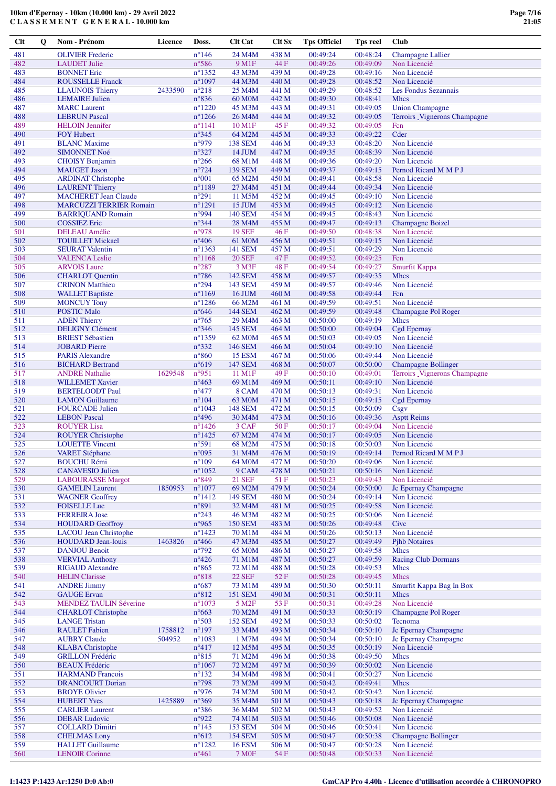| <b>Clt</b> | Q | Nom - Prénom                                     | <b>Licence</b>    | Doss.                                     | <b>Clt Cat</b>                     | Clt Sx         | <b>Tps Officiel</b>  | <b>Tps reel</b>      | <b>Club</b>                                  |
|------------|---|--------------------------------------------------|-------------------|-------------------------------------------|------------------------------------|----------------|----------------------|----------------------|----------------------------------------------|
| 481        |   | <b>OLIVIER Frederic</b>                          |                   | $n^{\circ}$ 146                           | 24 M4M                             | 438 M          | 00:49:24             | 00:48:24             | <b>Champagne Lallier</b>                     |
| 482        |   | <b>LAUDET Julie</b>                              |                   | $n^{\circ}586$                            | 9 M1F                              | 44 F           | 00:49:26             | 00:49:09             | Non Licencié                                 |
| 483        |   | <b>BONNET Eric</b>                               |                   | $n^{\circ}$ 1352                          | 43 M3M                             | 439 M          | 00:49:28             | 00:49:16             | Non Licencié                                 |
| 484        |   | <b>ROUSSELLE Franck</b>                          |                   | $n^{\circ}1097$                           | 44 M3M                             | 440 M          | 00:49:28             | 00:48:52<br>00:48:52 | Non Licencié                                 |
| 485<br>486 |   | <b>LLAUNOIS Thierry</b><br><b>LEMAIRE Julien</b> | 2433590           | $n^{\circ}218$<br>$n^{\circ}836$          | 25 M4M<br>60 M <sub>0</sub> M      | 441 M<br>442 M | 00:49:29<br>00:49:30 | 00:48:41             | Les Fondus Sezannais<br><b>Mhcs</b>          |
| 487        |   | <b>MARC</b> Laurent                              |                   | $n^{\circ}1220$                           | 45 M3M                             | 443 M          | 00:49:31             | 00:49:05             | <b>Union Champagne</b>                       |
| 488        |   | <b>LEBRUN Pascal</b>                             |                   | $n^{\circ}$ 1266                          | 26 M <sub>4</sub> M                | 444 M          | 00:49:32             | 00:49:05             | Terroirs _Vignerons Champagne                |
| 489        |   | <b>HELOIN</b> Jennifer                           |                   | $n^{\circ}1141$                           | 10 M1F                             | 45 F           | 00:49:32             | 00:49:05             | Fcn                                          |
| 490        |   | <b>FOY Hubert</b>                                |                   | $n^{\circ}345$                            | 64 M2M                             | 445 M          | 00:49:33             | 00:49:22             | Cder                                         |
| 491        |   | <b>BLANC</b> Maxime                              |                   | n°979                                     | <b>138 SEM</b>                     | 446 M<br>447 M | 00:49:33             | 00:48:20             | Non Licencié                                 |
| 492<br>493 |   | <b>SIMONNET Noé</b><br><b>CHOISY Benjamin</b>    |                   | $n^{\circ}327$<br>$n^{\circ}266$          | 14 JUM<br>68 M1M                   | 448 M          | 00:49:35<br>00:49:36 | 00:48:39<br>00:49:20 | Non Licencié<br>Non Licencié                 |
| 494        |   | <b>MAUGET Jason</b>                              |                   | $n^{\circ}$ 724                           | <b>139 SEM</b>                     | 449 M          | 00:49:37             | 00:49:15             | Pernod Ricard M M P J                        |
| 495        |   | <b>ARDINAT Christophe</b>                        |                   | $n^{\circ}001$                            | 65 M2M                             | 450 M          | 00:49:41             | 00:48:58             | Non Licencié                                 |
| 496        |   | <b>LAURENT Thierry</b>                           |                   | $n^{\circ}$ 1189                          | 27 M4M                             | 451 M          | 00:49:44             | 00:49:34             | Non Licencié                                 |
| 497        |   | <b>MACHERET Jean Claude</b>                      |                   | $n^{\circ}291$                            | 11 M5M                             | 452 M          | 00:49:45             | 00:49:10             | Non Licencié                                 |
| 498<br>499 |   | <b>MARCUZZI TERRIER Romain</b>                   |                   | $n^{\circ}1291$                           | 15 JUM<br><b>140 SEM</b>           | 453 M          | 00:49:45             | 00:49:12<br>00:48:43 | Non Licencié                                 |
| 500        |   | <b>BARRIQUAND Romain</b><br><b>COSSIEZ Eric</b>  |                   | n°994<br>n°344                            | 28 M <sub>4</sub> M                | 454 M<br>455 M | 00:49:45<br>00:49:47 | 00:49:13             | Non Licencié<br><b>Champagne Boizel</b>      |
| 501        |   | <b>DELEAU</b> Amélie                             |                   | n°978                                     | <b>19 SEF</b>                      | 46 F           | 00:49:50             | 00:48:38             | Non Licencié                                 |
| 502        |   | <b>TOUILLET Mickael</b>                          |                   | $n^{\circ}406$                            | 61 M <sub>0</sub> M                | 456 M          | 00:49:51             | 00:49:15             | Non Licencié                                 |
| 503        |   | <b>SEURAT Valentin</b>                           |                   | $n^{\circ}$ 1363                          | 141 SEM                            | 457 M          | 00:49:51             | 00:49:29             | Non Licencié                                 |
| 504        |   | <b>VALENCA Leslie</b>                            |                   | $n^{\circ}1168$                           | <b>20 SEF</b>                      | 47 F           | 00:49:52             | 00:49:25             | Fcn                                          |
| 505        |   | <b>ARVOIS Laure</b>                              |                   | $n^{\circ}287$                            | 3 M3F                              | 48 F           | 00:49:54             | 00:49:27             | Smurfit Kappa                                |
| 506<br>507 |   | <b>CHARLOT</b> Quentin<br><b>CRINON Matthieu</b> |                   | $n^{\circ}786$<br>$n^{\circ}294$          | <b>142 SEM</b><br>143 SEM          | 458 M<br>459 M | 00:49:57<br>00:49:57 | 00:49:35<br>00:49:46 | <b>Mhcs</b><br>Non Licencié                  |
| 508        |   | <b>WALLET Baptiste</b>                           |                   | $n^{\circ}1169$                           | 16 JUM                             | 460 M          | 00:49:58             | 00:49:44             | Fcn                                          |
| 509        |   | <b>MONCUY Tony</b>                               |                   | $n^{\circ}$ 1286                          | 66 M2M                             | 461 M          | 00:49:59             | 00:49:51             | Non Licencié                                 |
| 510        |   | <b>POSTIC Malo</b>                               |                   | $n^{\circ}646$                            | 144 SEM                            | 462 M          | 00:49:59             | 00:49:48             | Champagne Pol Roger                          |
| 511        |   | <b>ADEN</b> Thierry                              |                   | $n^{\circ}765$                            | 29 M <sub>4</sub> M                | 463 M          | 00:50:00             | 00:49:19             | <b>Mhcs</b>                                  |
| 512        |   | <b>DELIGNY Clément</b>                           |                   | $n^{\circ}346$                            | <b>145 SEM</b>                     | 464 M          | 00:50:00             | 00:49:04             | Cgd Epernay                                  |
| 513<br>514 |   | <b>BRIEST Sébastien</b><br><b>JOBARD</b> Pierre  |                   | $n^{\circ}$ 1359<br>$n^{\circ}332$        | 62 M <sub>0</sub> M<br>146 SEM     | 465 M<br>466 M | 00:50:03<br>00:50:04 | 00:49:05<br>00:49:10 | Non Licencié<br>Non Licencié                 |
| 515        |   | <b>PARIS Alexandre</b>                           |                   | $n^{\circ}860$                            | <b>15 ESM</b>                      | 467 M          | 00:50:06             | 00:49:44             | Non Licencié                                 |
| 516        |   | <b>BICHARD Bertrand</b>                          |                   | $n^{\circ}619$                            | 147 SEM                            | 468 M          | 00:50:07             | 00:50:00             | <b>Champagne Bollinger</b>                   |
| 517        |   | <b>ANDRE Nathalie</b>                            | 1629548           | n°951                                     | 11 M1F                             | 49 F           | 00:50:10             | 00:49:01             | Terroirs Vignerons Champagne                 |
| 518        |   | <b>WILLEMET Xavier</b>                           |                   | $n^{\circ}463$                            | 69 M1M                             | 469 M          | 00:50:11             | 00:49:10             | Non Licencié                                 |
| 519        |   | <b>BERTELOODT Paul</b>                           |                   | $n^{\circ}477$                            | 8 CAM                              | 470 M          | 00:50:13             | 00:49:31             | Non Licencié                                 |
| 520<br>521 |   | <b>LAMON</b> Guillaume<br><b>FOURCADE Julien</b> |                   | $n^{\circ}104$<br>$n^{\circ}1043$         | 63 M0M<br><b>148 SEM</b>           | 471 M<br>472 M | 00:50:15<br>00:50:15 | 00:49:15<br>00:50:09 | <b>Cgd Epernay</b><br>Csgv                   |
| 522        |   | <b>LEBON Pascal</b>                              |                   | $n^{\circ}496$                            | 30 M <sub>4</sub> M                | 473 M          | 00:50:16             | 00:49:36             | <b>Asptt Reims</b>                           |
| 523        |   | <b>ROUYER Lisa</b>                               |                   | $n^{\circ}$ 1426                          | 3 CAF                              | 50 F           | 00:50:17             | 00:49:04             | Non Licencié                                 |
| 524        |   | <b>ROUYER Christophe</b>                         |                   | $n^{\circ}$ 1425                          | 67 M2M                             | 474 M          | 00:50:17             | 00:49:05             | Non Licencié                                 |
| 525        |   | <b>LOUETTE Vincent</b>                           |                   | $n^{\circ}591$                            | 68 M2M                             | 475 M          | 00:50:18             | 00:50:03             | Non Licencié                                 |
| 526<br>527 |   | <b>VARET Stéphane</b><br><b>BOUCHU Rémi</b>      |                   | $n^{\circ}095$<br>$n^{\circ}109$          | 31 M4M<br>64 M <sub>0</sub> M      | 476 M<br>477 M | 00:50:19<br>00:50:20 | 00:49:14<br>00:49:06 | Pernod Ricard M M P J<br>Non Licencié        |
| 528        |   | <b>CANAVESIO Julien</b>                          |                   | $n^{\circ}1052$                           | 9 CAM                              | 478 M          | 00:50:21             | 00:50:16             | Non Licencié                                 |
| 529        |   | <b>LABOURASSE Margot</b>                         |                   | $n^{\circ}849$                            | <b>21 SEF</b>                      | 51 F           | 00:50:23             | 00:49:43             | Non Licencié                                 |
| 530        |   | <b>GAMELIN Laurent</b>                           | 1850953           | $n^{\circ}1077$                           | 69 M2M                             | 479 M          | 00:50:24             | 00:50:00             | Jc Epernay Champagne                         |
| 531        |   | <b>WAGNER Geoffrey</b>                           |                   | $n^{\circ}$ 1412                          | 149 SEM                            | 480 M          | 00:50:24             | 00:49:14             | Non Licencié                                 |
| 532        |   | <b>FOISELLE Luc</b>                              |                   | n°891                                     | 32 M4M                             | 481 M          | 00:50:25             | 00:49:58             | Non Licencié                                 |
| 533<br>534 |   | <b>FERREIRA Jose</b><br><b>HOUDARD Geoffroy</b>  |                   | $n^{\circ}243$<br>n°965                   | 46 M3M<br><b>150 SEM</b>           | 482 M<br>483 M | 00:50:25<br>00:50:26 | 00:50:06<br>00:49:48 | Non Licencié<br>Cive                         |
| 535        |   | <b>LACOU</b> Jean Christophe                     |                   | $n^{\circ}$ 1423                          | 70 M1M                             | 484 M          | 00:50:26             | 00:50:13             | Non Licencié                                 |
| 536        |   | <b>HOUDARD Jean-louis</b>                        | 1463826           | $n^{\circ}466$                            | 47 M3M                             | 485 M          | 00:50:27             | 00:49:49             | <b>Pihb Notaires</b>                         |
| 537        |   | <b>DANJOU Benoit</b>                             |                   | $n^{\circ}792$                            | <b>65 MOM</b>                      | 486 M          | 00:50:27             | 00:49:58             | <b>Mhcs</b>                                  |
| 538        |   | <b>VERVIAL Anthony</b>                           |                   | $n^{\circ}426$                            | 71 M1M                             | 487 M          | 00:50:27             | 00:49:59             | <b>Racing Club Dormans</b>                   |
| 539<br>540 |   | <b>RIGAUD Alexandre</b><br><b>HELIN</b> Clarisse |                   | $n^{\circ}865$<br>$n^{\circ}818$          | 72 M1M<br>$22\,\mathrm{SEF}$       | 488 M<br>52F   | 00:50:28<br>00:50:28 | 00:49:53<br>00:49:45 | <b>Mhcs</b><br><b>Mhcs</b>                   |
| 541        |   | <b>ANDRE Jimmy</b>                               |                   | $n^{\circ}687$                            | 73 M1M                             | 489 M          | 00:50:30             | 00:50:11             | Smurfit Kappa Bag In Box                     |
| 542        |   | <b>GAUGE</b> Ervan                               |                   | $n^{\circ}812$                            | <b>151 SEM</b>                     | 490 M          | 00:50:31             | 00:50:11             | Mhcs                                         |
| 543        |   | <b>MENDEZ TAULIN Séverine</b>                    |                   | $n^{\circ}1073$                           | 5 M2F                              | 53 F           | 00:50:31             | 00:49:28             | Non Licencié                                 |
| 544        |   | <b>CHARLOT</b> Christophe                        |                   | $n^{\circ}663$                            | 70 M2M                             | 491 M          | 00:50:33             | 00:50:19             | Champagne Pol Roger                          |
| 545        |   | <b>LANGE Tristan</b>                             |                   | $n^{\circ}503$                            | <b>152 SEM</b>                     | 492 M          | 00:50:33             | 00:50:02             | Tecnoma                                      |
| 546<br>547 |   | <b>RAULET</b> Fabien<br><b>AUBRY Claude</b>      | 1758812<br>504952 | $\mathtt{n}^\circ 197$<br>$n^{\circ}1083$ | 33 M4M<br>1 M7M                    | 493 M<br>494 M | 00:50:34<br>00:50:34 | 00:50:10<br>00:50:10 | Jc Epernay Champagne<br>Jc Epernay Champagne |
| 548        |   | <b>KLABA</b> Christophe                          |                   | $n^{\circ}417$                            | 12 M5M                             | 495 M          | 00:50:35             | 00:50:19             | Non Licencié                                 |
| 549        |   | <b>GRILLON Frédéric</b>                          |                   | $n^{\circ}815$                            | 71 M2M                             | 496 M          | 00:50:38             | 00:49:50             | <b>Mhcs</b>                                  |
| 550        |   | <b>BEAUX</b> Frédéric                            |                   | $n^{\circ}1067$                           | 72 M2M                             | 497 M          | 00:50:39             | 00:50:02             | Non Licencié                                 |
| 551        |   | <b>HARMAND</b> Francois                          |                   | $n^{\circ}132$                            | 34 M4M                             | 498 M          | 00:50:41             | 00:50:27             | Non Licencié                                 |
| 552        |   | <b>DRANCOURT Dorian</b>                          |                   | $n^{\circ}798$                            | 73 M2M                             | 499 M          | 00:50:42             | 00:49:41             | <b>Mhcs</b>                                  |
| 553<br>554 |   | <b>BROYE Olivier</b><br><b>HUBERT Yves</b>       | 1425889           | n°976<br>$n^{\circ}369$                   | 74 M2M<br>35 M4M                   | 500 M<br>501 M | 00:50:42<br>00:50:43 | 00:50:42<br>00:50:18 | Non Licencié<br>Jc Epernay Champagne         |
| 555        |   | <b>CARLIER Laurent</b>                           |                   | $n^{\circ}386$                            | 36 M4M                             | 502 M          | 00:50:43             | 00:49:52             | Non Licencié                                 |
| 556        |   | <b>DEBAR Ludovic</b>                             |                   | n°922                                     | 74 M1M                             | 503 M          | 00:50:46             | 00:50:08             | Non Licencié                                 |
| 557        |   | <b>COLLARD Dimitri</b>                           |                   | $n^{\circ}145$                            | <b>153 SEM</b>                     | 504 M          | 00:50:46             | 00:50:41             | Non Licencié                                 |
| 558        |   | <b>CHELMAS Lony</b>                              |                   | $n^{\circ}612$                            | <b>154 SEM</b>                     | 505 M          | 00:50:47             | 00:50:38             | <b>Champagne Bollinger</b>                   |
| 559<br>560 |   | <b>HALLET</b> Guillaume<br><b>LENOIR Corinne</b> |                   | $n^{\circ}1282$<br>$n^{\circ}461$         | <b>16 ESM</b><br>$7\,\mathrm{M0F}$ | 506 M<br>54 F  | 00:50:47<br>00:50:48 | 00:50:28<br>00:50:33 | Non Licencié<br>Non Licencié                 |
|            |   |                                                  |                   |                                           |                                    |                |                      |                      |                                              |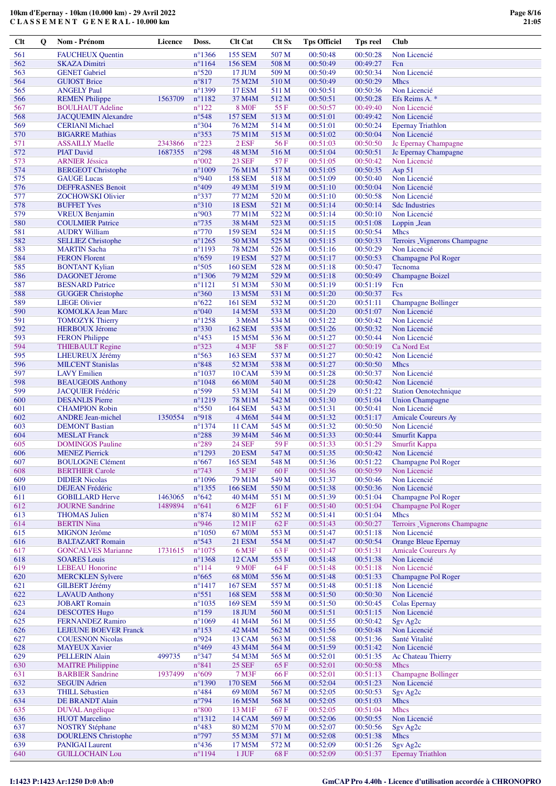| $Cl$ t | Q | Nom - Prénom                                    | Licence | Doss.            | <b>Clt Cat</b>           | <b>Clt Sx</b> | <b>Tps Officiel</b> | Tps reel | Club                          |
|--------|---|-------------------------------------------------|---------|------------------|--------------------------|---------------|---------------------|----------|-------------------------------|
| 561    |   | <b>FAUCHEUX Quentin</b>                         |         | $n^{\circ}$ 1366 | <b>155 SEM</b>           | 507 M         | 00:50:48            | 00:50:28 | Non Licencié                  |
| 562    |   | <b>SKAZA Dimitri</b>                            |         | $n^{\circ}1164$  | <b>156 SEM</b>           | 508 M         | 00:50:49            | 00:49:27 | Fcn                           |
| 563    |   | <b>GENET</b> Gabriel                            |         | $n^{\circ}520$   | 17 JUM                   | 509 M         | 00:50:49            | 00:50:34 | Non Licencié                  |
| 564    |   | <b>GUIOST Brice</b>                             |         | $n^{\circ}817$   | 75 M2M                   | 510 M         | 00:50:49            | 00:50:29 | <b>Mhcs</b>                   |
| 565    |   | <b>ANGELY Paul</b>                              |         | n°1399           | <b>17 ESM</b>            | 511 M         | 00:50:51            | 00:50:36 | Non Licencié                  |
| 566    |   | <b>REMEN Philippe</b>                           | 1563709 | $n^{\circ}1182$  | 37 M4M                   | 512 M         | 00:50:51            | 00:50:28 | Efs Reims A. *                |
| 567    |   | <b>BOULHAUT Adeline</b>                         |         | $n^{\circ}122$   | 8 M <sub>OF</sub>        | 55 F          | 00:50:57            | 00:49:40 | Non Licencié                  |
| 568    |   | <b>JACQUEMIN Alexandre</b>                      |         | $n^{\circ}548$   | <b>157 SEM</b>           | 513 M         | 00:51:01            | 00:49:42 | Non Licencié                  |
| 569    |   | <b>CERIANI</b> Michael                          |         | $n^{\circ}304$   | 76 M2M                   | 514 M         | 00:51:01            | 00:50:24 | <b>Epernay Triathlon</b>      |
| 570    |   | <b>BIGARRE Mathias</b>                          |         | $n^{\circ}353$   | 75 M1M                   | 515 M         | 00:51:02            | 00:50:04 | Non Licencié                  |
| 571    |   | <b>ASSAILLY Maelle</b>                          | 2343866 | $n^{\circ}223$   | $2$ ESF                  | 56F           | 00:51:03            | 00:50:50 | Jc Epernay Champagne          |
| 572    |   | <b>PIAT David</b>                               | 1687355 | $n^{\circ}298$   | 48 M3M                   | 516 M         | 00:51:04            | 00:50:51 | Jc Epernay Champagne          |
| 573    |   | <b>ARNIER Jéssica</b>                           |         | $n^{\circ}002$   | <b>23 SEF</b>            | 57 F          | 00:51:05            | 00:50:42 | Non Licencié                  |
| 574    |   |                                                 |         | $n^{\circ}1009$  |                          | 517 M         | 00:51:05            | 00:50:35 |                               |
| 575    |   | <b>BERGEOT Christophe</b><br><b>GAUGE</b> Lucas |         | n°940            | 76 M1M<br><b>158 SEM</b> | 518 M         | 00:51:09            | 00:50:40 | Asp 51<br>Non Licencié        |
| 576    |   |                                                 |         | $n^{\circ}409$   |                          |               | 00:51:10            | 00:50:04 | Non Licencié                  |
| 577    |   | <b>DEFFRASNES Benoit</b>                        |         |                  | 49 M3M                   | 519 M         |                     | 00:50:58 | Non Licencié                  |
|        |   | <b>ZOCHOWSKI</b> Olivier                        |         | $n^{\circ}337$   | 77 M2M                   | 520 M         | 00:51:10            |          |                               |
| 578    |   | <b>BUFFET Yves</b>                              |         | $n^{\circ}310$   | <b>18 ESM</b>            | 521 M         | 00:51:14            | 00:50:14 | <b>Sdc Industries</b>         |
| 579    |   | <b>VREUX Benjamin</b>                           |         | n°903            | 77 M1M                   | 522 M         | 00:51:14            | 00:50:10 | Non Licencié                  |
| 580    |   | <b>COULMIER Patrice</b>                         |         | $n^{\circ}$ 735  | 38 M4M                   | 523 M         | 00:51:15            | 00:51:08 | Loppin Jean                   |
| 581    |   | <b>AUDRY William</b>                            |         | $n^{\circ}770$   | <b>159 SEM</b>           | 524 M         | 00:51:15            | 00:50:54 | <b>Mhcs</b>                   |
| 582    |   | <b>SELLIEZ Christophe</b>                       |         | $n^{\circ}1265$  | 50 M3M                   | 525 M         | 00:51:15            | 00:50:33 | Terroirs _Vignerons Champagne |
| 583    |   | <b>MARTIN Sacha</b>                             |         | $n^{\circ}1193$  | 78 M2M                   | 526 M         | 00:51:16            | 00:50:29 | Non Licencié                  |
| 584    |   | <b>FERON Florent</b>                            |         | $n^{\circ}659$   | <b>19 ESM</b>            | 527 M         | 00:51:17            | 00:50:53 | Champagne Pol Roger           |
| 585    |   | <b>BONTANT Kylian</b>                           |         | $n^{\circ}505$   | <b>160 SEM</b>           | 528 M         | 00:51:18            | 00:50:47 | Tecnoma                       |
| 586    |   | <b>DAGONET Jérome</b>                           |         | $n^{\circ}$ 1306 | 79 M2M                   | 529 M         | 00:51:18            | 00:50:49 | <b>Champagne Boizel</b>       |
| 587    |   | <b>BESNARD</b> Patrice                          |         | $n^{\circ}1121$  | 51 M3M                   | 530 M         | 00:51:19            | 00:51:19 | Fcn                           |
| 588    |   | <b>GUGGER Christophe</b>                        |         | $n^{\circ}360$   | 13 M5M                   | 531 M         | 00:51:20            | 00:50:37 | Fcs                           |
| 589    |   | <b>LIEGE Olivier</b>                            |         | $n^{\circ}622$   | <b>161 SEM</b>           | 532 M         | 00:51:20            | 00:51:11 | <b>Champagne Bollinger</b>    |
| 590    |   | <b>KOMOLKA Jean Marc</b>                        |         | $n^{\circ}040$   | 14 M5M                   | 533 M         | 00:51:20            | 00:51:07 | Non Licencié                  |
| 591    |   | <b>TOMOZYK Thierry</b>                          |         | $n^{\circ}$ 1258 | 3 M6M                    | 534 M         | 00:51:22            | 00:50:42 | Non Licencié                  |
| 592    |   | <b>HERBOUX Jérome</b>                           |         | $n^{\circ}330$   | 162 SEM                  | 535 M         | 00:51:26            | 00:50:32 | Non Licencié                  |
| 593    |   | <b>FERON Philippe</b>                           |         | $n^{\circ}453$   | 15 M5M                   | 536 M         | 00:51:27            | 00:50:44 | Non Licencié                  |
| 594    |   | <b>THIEBAULT Regine</b>                         |         | $n^{\circ}323$   | 4 M3F                    | 58F           | 00:51:27            | 00:50:19 | Ca Nord Est                   |
| 595    |   | LHEUREUX Jérémy                                 |         | $n^{\circ}$ 563  | <b>163 SEM</b>           | 537 M         | 00:51:27            | 00:50:42 | Non Licencié                  |
| 596    |   | <b>MILCENT Stanislas</b>                        |         | $n^{\circ}848$   | 52 M3M                   | 538 M         | 00:51:27            | 00:50:50 | Mhcs                          |
| 597    |   | <b>LAVY</b> Emilien                             |         | $n^{\circ}1037$  | <b>10 CAM</b>            | 539 M         | 00:51:28            | 00:50:37 | Non Licencié                  |
| 598    |   | <b>BEAUGEOIS Anthony</b>                        |         | $n^{\circ}1048$  | 66 M <sub>0</sub> M      | 540 M         | 00:51:28            | 00:50:42 | Non Licencié                  |
| 599    |   | <b>JACQUIER Frédéric</b>                        |         | n°599            | 53 M3M                   | 541 M         | 00:51:29            | 00:51:22 | <b>Station Oenotechnique</b>  |
| 600    |   | <b>DESANLIS Pierre</b>                          |         | $n^{\circ}1219$  | 78 M1M                   | 542 M         | 00:51:30            | 00:51:04 | <b>Union Champagne</b>        |
| 601    |   | <b>CHAMPION Robin</b>                           |         | $n^{\circ}550$   | 164 SEM                  | 543 M         | 00:51:31            | 00:50:41 | Non Licencié                  |
| 602    |   | <b>ANDRE Jean-michel</b>                        | 1350554 | n°918            | 4 M6M                    | 544 M         | 00:51:32            | 00:51:17 | <b>Amicale Coureurs Ay</b>    |
| 603    |   | <b>DEMONT Bastian</b>                           |         | $n^{\circ}$ 1374 | 11 CAM                   | 545 M         | 00:51:32            | 00:50:50 | Non Licencié                  |
| 604    |   | <b>MESLAT</b> Franck                            |         | $n^{\circ}288$   | 39 M4M                   | 546 M         | 00:51:33            | 00:50:44 | Smurfit Kappa                 |
| 605    |   | <b>DOMINGOS Pauline</b>                         |         | $n^{\circ}289$   | <b>24 SEF</b>            | 59 F          | 00:51:33            | 00:51:29 | Smurfit Kappa                 |
| 606    |   | <b>MENEZ Pierrick</b>                           |         | $n^{\circ}1293$  | <b>20 ESM</b>            | 547 M         | 00:51:35            | 00:50:42 | Non Licencié                  |
| 607    |   | <b>BOULOGNE Clément</b>                         |         | $n^{\circ}667$   | <b>165 SEM</b>           | 548 M         | 00:51:36            | 00:51:22 | Champagne Pol Roger           |
| 608    |   | <b>BERTHIER Carole</b>                          |         | $n^{\circ}$ 743  | 5 M3F                    | 60 F          | 00:51:36            | 00:50:59 | Non Licencié                  |
| 609    |   | <b>DIDIER Nicolas</b>                           |         | $n^{\circ}1096$  | 79 M1M                   | 549 M         | 00:51:37            | 00:50:46 | Non Licencié                  |
| 610    |   | <b>DEJEAN Frédéric</b>                          |         | $n^{\circ}$ 1355 | <b>166 SEM</b>           | 550 M         | 00:51:38            | 00:50:36 | Non Licencié                  |
| 611    |   | <b>GOBILLARD Herve</b>                          | 1463065 | $n^{\circ}642$   | 40 M4M                   | 551 M         | 00:51:39            | 00:51:04 | Champagne Pol Roger           |
| 612    |   | <b>JOURNE Sandrine</b>                          | 1489894 | $n^{\circ}641$   | 6 M <sub>2F</sub>        | 61 F          | 00:51:40            | 00:51:04 | <b>Champagne Pol Roger</b>    |
| 613    |   | <b>THOMAS Julien</b>                            |         | $n^{\circ}874$   | 80 M1M                   | 552 M         | 00:51:41            | 00:51:04 | <b>Mhcs</b>                   |
| 614    |   | <b>BERTIN Nina</b>                              |         | n°946            | 12 M1F                   | 62 F          | 00:51:43            | 00:50:27 | Terroirs Vignerons Champagne  |
| 615    |   | <b>MIGNON Jérôme</b>                            |         | $n^{\circ}1050$  | 67 M0M                   | 553 M         | 00:51:47            | 00:51:18 | Non Licencié                  |
| 616    |   | <b>BALTAZART Romain</b>                         |         | $n^{\circ}543$   | <b>21 ESM</b>            | 554 M         | 00:51:47            | 00:50:54 | <b>Orange Bleue Epernay</b>   |
| 617    |   | <b>GONCALVES Marianne</b>                       | 1731615 | $n^{\circ}1075$  | 6 M3F                    | 63 F          | 00:51:47            | 00:51:31 | <b>Amicale Coureurs Ay</b>    |
| 618    |   | <b>SOARES Louis</b>                             |         | $n^{\circ}$ 1368 | 12 CAM                   | 555 M         | 00:51:48            | 00:51:38 | Non Licencié                  |
| 619    |   | <b>LEBEAU</b> Honorine                          |         | $n^{\circ}114$   | <b>9 MOF</b>             | 64 F          | 00:51:48            | 00:51:18 | Non Licencié                  |
| 620    |   | <b>MERCKLEN Sylvere</b>                         |         | $n^{\circ}665$   | <b>68 MOM</b>            | 556 M         | 00:51:48            | 00:51:33 | Champagne Pol Roger           |
| 621    |   | <b>GILBERT Jérémy</b>                           |         | $n^{\circ}$ 1417 | <b>167 SEM</b>           | 557 M         | 00:51:48            | 00:51:18 | Non Licencié                  |
| 622    |   | <b>LAVAUD Anthony</b>                           |         | $n^{\circ}551$   | <b>168 SEM</b>           | 558 M         | 00:51:50            | 00:50:30 | Non Licencié                  |
| 623    |   | <b>JOBART Romain</b>                            |         | $n^{\circ}1035$  | <b>169 SEM</b>           | 559 M         | 00:51:50            | 00:50:45 | Colas Epernay                 |
| 624    |   | <b>DESCOTES Hugo</b>                            |         | $n^{\circ}159$   | 18 JUM                   | 560 M         | 00:51:51            | 00:51:15 | Non Licencié                  |
| 625    |   | <b>FERNANDEZ Ramiro</b>                         |         | $n^{\circ}1069$  | 41 M4M                   | 561 M         | 00:51:55            | 00:50:42 | Sgv Ag2c                      |
| 626    |   | <b>LEJEUNE BOEVER Franck</b>                    |         | $n^{\circ}153$   | 42 M4M                   | 562 M         | 00:51:56            | 00:50:48 | Non Licencié                  |
| 627    |   | <b>COUESNON Nicolas</b>                         |         | n°924            | 13 CAM                   | 563 M         | 00:51:58            | 00:51:36 | Santé Vitalité                |
| 628    |   | <b>MAYEUX Xavier</b>                            |         | $n^{\circ}469$   | 43 M4M                   | 564 M         | 00:51:59            | 00:51:42 | Non Licencié                  |
| 629    |   | <b>PELLERIN Alain</b>                           | 499735  | $n^{\circ}347$   | 54 M3M                   | 565 M         | 00:52:01            | 00:51:35 | Ac Chateau Thierry            |
| 630    |   | <b>MAITRE Philippine</b>                        |         | $n^{\circ}841$   | <b>25 SEF</b>            | 65F           | 00:52:01            | 00:50:58 | <b>Mhcs</b>                   |
| 631    |   | <b>BARBIER Sandrine</b>                         | 1937499 | $n^{\circ}609$   | 7 M3F                    | 66 F          | 00:52:01            | 00:51:13 | <b>Champagne Bollinger</b>    |
| 632    |   | <b>SEGUIN Adrien</b>                            |         | $n^{\circ}$ 1390 | <b>170 SEM</b>           | 566 M         | 00:52:04            | 00:51:23 | Non Licencié                  |
| 633    |   | <b>THILL Sébastien</b>                          |         | $n^{\circ}484$   | 69 M0M                   | 567 M         | 00:52:05            | 00:50:53 | Sgv Ag <sub>2c</sub>          |
| 634    |   | DE BRANDT Alain                                 |         | $n^{\circ}$ 794  | 16 M5M                   | 568 M         | 00:52:05            | 00:51:03 | Mhcs                          |
| 635    |   | DUVAL Angélique                                 |         | $n^{\circ}800$   | 13 M1F                   | 67 F          | 00:52:05            | 00:51:04 | <b>Mhcs</b>                   |
| 636    |   | <b>HUOT</b> Marcelino                           |         | $n^{\circ}1312$  | 14 CAM                   | 569 M         | 00:52:06            | 00:50:55 | Non Licencié                  |
| 637    |   | <b>NOSTRY Stéphane</b>                          |         | $n^{\circ}483$   | 80 M2M                   | 570 M         | 00:52:07            | 00:50:56 | Sgv Ag <sub>2c</sub>          |
| 638    |   | <b>DOURLENS</b> Christophe                      |         | n°797            | 55 M3M                   | 571 M         | 00:52:08            | 00:51:38 | <b>Mhcs</b>                   |
| 639    |   | <b>PANIGAI Laurent</b>                          |         | $n^{\circ}436$   | 17 M5M                   | 572 M         | 00:52:09            | 00:51:26 | Sgv Ag2c                      |
| 640    |   | <b>GUILLOCHAIN Lou</b>                          |         | $n^{\circ}1194$  | $1$ JUF                  | 68F           | 00:52:09            | 00:51:37 | <b>Epernay Triathlon</b>      |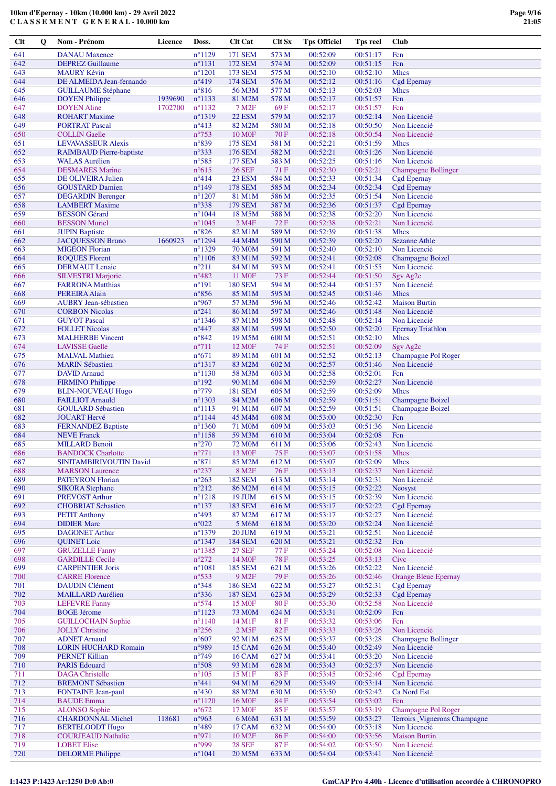**Clt Q Nom - Prénom Licence Doss. Clt Cat Clt Sx Tps Officiel Tps reel Club**

| 641        | <b>DANAU</b> Maxence                                |         | $n^{\circ}1129$                   | 171 SEM                                  | 573 M          | 00:52:09             | 00:51:17             | Fcn                                  |
|------------|-----------------------------------------------------|---------|-----------------------------------|------------------------------------------|----------------|----------------------|----------------------|--------------------------------------|
| 642        | <b>DEPREZ</b> Guillaume                             |         | $n^{\circ}1131$                   | 172 SEM                                  | 574 M          | 00:52:09             | 00:51:15             | Fcn                                  |
| 643        | <b>MAURY Kévin</b>                                  |         | $n^{\circ}1201$                   | 173 SEM                                  | 575 M          | 00:52:10             | 00:52:10             | <b>Mhcs</b>                          |
| 644        | DE ALMEIDA Jean-fernando                            |         | $n^{\circ}419$                    | <b>174 SEM</b>                           | 576 M          | 00:52:12             | 00:51:16             | Cgd Epernay                          |
| 645        | <b>GUILLAUME Stéphane</b>                           |         | $n^{\circ}816$                    | 56 M3M                                   | 577 M          | 00:52:13             | 00:52:03             | <b>Mhcs</b>                          |
| 646        | <b>DOYEN</b> Philippe                               | 1939690 | $n^{\circ}1133$                   | 81 M2M                                   | 578 M          | 00:52:17             | 00:51:57             | Fcn                                  |
| 647        | <b>DOYEN</b> Aline                                  | 1702700 | $n^{\circ}1132$                   | 7 M <sub>2</sub> F                       | 69F            | 00:52:17             | 00:51:57             | Fcn                                  |
| 648        | <b>ROHART Maxime</b>                                |         | $n^{\circ}1319$                   | <b>22 ESM</b>                            | 579 M          | 00:52:17             | 00:52:14             | Non Licencié                         |
| 649        | <b>PORTRAT Pascal</b>                               |         | $n^{\circ}413$                    | 82 M2M                                   | 580 M          | 00:52:18             | 00:50:50             | Non Licencié                         |
| 650        | <b>COLLIN</b> Gaelle                                |         | $n^{\circ}753$                    | <b>10 MOF</b>                            | 70 F           | 00:52:18             | 00:50:54             | Non Licencié                         |
| 651        | <b>LEVAVASSEUR Alexis</b>                           |         | n°839                             | 175 SEM                                  | 581 M          | 00:52:21             | 00:51:59             | <b>Mhcs</b>                          |
| 652        | <b>RAIMBAUD Pierre-baptiste</b>                     |         | n°333                             | 176 SEM                                  | 582 M          | 00:52:21             | 00:51:26             | Non Licencié                         |
| 653        | <b>WALAS</b> Aurélien                               |         | $n^{\circ}585$                    | <b>177 SEM</b>                           | 583 M          | 00:52:25             | 00:51:16             | Non Licencié                         |
| 654        | <b>DESMARES Marine</b>                              |         | $n^{\circ}615$                    | <b>26 SEF</b>                            | 71 F           | 00:52:30             | 00:52:21             | <b>Champagne Bollinger</b>           |
| 655        | DE OLIVEIRA Julien                                  |         | $n^{\circ}414$                    | <b>23 ESM</b>                            | 584 M          | 00:52:33             | 00:51:34             | <b>Cgd Epernay</b>                   |
| 656        | <b>GOUSTARD Damien</b>                              |         | $n^{\circ}149$<br>$n^{\circ}1207$ | <b>178 SEM</b>                           | 585 M<br>586 M | 00:52:34<br>00:52:35 | 00:52:34<br>00:51:54 | Cgd Epernay<br>Non Licencié          |
| 657<br>658 | <b>DEGARDIN</b> Berenger                            |         | $n^{\circ}338$                    | 81 M1M<br><b>179 SEM</b>                 | 587 M          | 00:52:36             | 00:51:37             |                                      |
| 659        | <b>LAMBERT</b> Maxime<br><b>BESSON</b> Gérard       |         | $n^{\circ}1044$                   | 18 M5M                                   | 588 M          | 00:52:38             | 00:52:20             | <b>Cgd Epernay</b><br>Non Licencié   |
| 660        | <b>BESSON Muriel</b>                                |         | $n^{\circ}1045$                   | 2 M4F                                    | 72 F           | 00:52:38             | 00:52:21             | Non Licencié                         |
| 661        | <b>JUPIN Baptiste</b>                               |         | $n^{\circ}826$                    | 82 M1M                                   | 589 M          | 00:52:39             | 00:51:38             | <b>Mhcs</b>                          |
| 662        | <b>JACQUESSON Bruno</b>                             | 1660923 | $n^{\circ}1294$                   | 44 M4M                                   | 590 M          | 00:52:39             | 00:52:20             | <b>Sezanne Athle</b>                 |
| 663        | <b>MIGEON Florian</b>                               |         | $n^{\circ}1329$                   | <b>70 MOM</b>                            | 591 M          | 00:52:40             | 00:52:10             | Non Licencié                         |
| 664        | <b>ROQUES Florent</b>                               |         | $n^{\circ}1106$                   | 83 M1M                                   | 592 M          | 00:52:41             | 00:52:08             | <b>Champagne Boizel</b>              |
| 665        | <b>DERMAUT</b> Lenaic                               |         | $n^{\circ}211$                    | 84 M1M                                   | 593 M          | 00:52:41             | 00:51:55             | Non Licencié                         |
| 666        | <b>SILVESTRI</b> Marjorie                           |         | $n^{\circ}482$                    | 11 M <sub>OF</sub>                       | 73 F           | 00:52:44             | 00:51:50             | Sgv Ag <sub>2c</sub>                 |
| 667        | <b>FARRONA Matthias</b>                             |         | $n^{\circ}191$                    | <b>180 SEM</b>                           | 594 M          | 00:52:44             | 00:51:37             | Non Licencié                         |
| 668        | <b>PEREIRA Alain</b>                                |         | $n^{\circ}856$                    | 85 M1M                                   | 595 M          | 00:52:45             | 00:51:46             | <b>Mhcs</b>                          |
| 669        | <b>AUBRY Jean-sébastien</b>                         |         | n°967                             | 57 M3M                                   | 596 M          | 00:52:46             | 00:52:42             | <b>Maison Burtin</b>                 |
| 670        | <b>CORBON Nicolas</b>                               |         | $n^{\circ}241$                    | 86 M1M                                   | 597 M          | 00:52:46             | 00:51:48             | Non Licencié                         |
| 671        | <b>GUYOT</b> Pascal                                 |         | $n^{\circ}$ 1346                  | 87 M1M                                   | 598 M          | 00:52:48             | 00:52:14             | Non Licencié                         |
| 672        | <b>FOLLET Nicolas</b>                               |         | $n^{\circ}447$                    | 88 M1M                                   | 599 M          | 00:52:50             | 00:52:20             | <b>Epernay Triathlon</b>             |
| 673        | <b>MALHERBE</b> Vincent                             |         | $n^{\circ}842$                    | 19 M5M                                   | 600 M          | 00:52:51             | 00:52:10             | <b>Mhcs</b>                          |
| 674        | <b>LAVISSE Gaelle</b>                               |         | $n^{\circ}711$                    | 12 M <sub>OF</sub>                       | 74 F           | 00:52:51             | 00:52:09             | Sgv Ag <sub>2c</sub>                 |
| 675        | <b>MALVAL Mathieu</b>                               |         | $n^{\circ}671$                    | 89 M1M                                   | 601 M          | 00:52:52             | 00:52:13             | Champagne Pol Roger                  |
| 676        | <b>MARIN Sébastien</b>                              |         | $n^{\circ}1317$                   | 83 M2M                                   | 602 M          | 00:52:57             | 00:51:46             | Non Licencié                         |
| 677        | <b>DAVID</b> Arnaud                                 |         | $n^{\circ}1130$                   | 58 M3M                                   | 603 M          | 00:52:58             | 00:52:01             | Fcn                                  |
| 678        | <b>FIRMINO Philippe</b>                             |         | $n^{\circ}192$                    | 90 M1M                                   | 604 M          | 00:52:59             | 00:52:27             | Non Licencié                         |
| 679        | <b>BLIN-NOUVEAU Hugo</b>                            |         | $n^{\circ}779$                    | <b>181 SEM</b>                           | 605 M          | 00:52:59             | 00:52:09             | <b>Mhcs</b>                          |
| 680        | <b>FAILLIOT Arnauld</b>                             |         | $n^{\circ}1303$                   | 84 M2M                                   | 606 M          | 00:52:59             | 00:51:51             | <b>Champagne Boizel</b>              |
| 681        | <b>GOULARD Sébastien</b>                            |         | $n^{\circ}1113$                   | 91 M1M                                   | 607 M          | 00:52:59             | 00:51:51             | <b>Champagne Boizel</b>              |
| 682        | <b>JOUART Hervé</b>                                 |         | $n^{\circ}$ 1144                  | 45 M4M                                   | 608 M          | 00:53:00             | 00:52:30             | Fcn                                  |
| 683        | <b>FERNANDEZ Baptiste</b>                           |         | $n^{\circ}$ 1360                  | 71 M <sub>0</sub> M                      | 609 M          | 00:53:03             | 00:51:36             | Non Licencié                         |
| 684        | <b>NEVE</b> Franck                                  |         | $n^{\circ}$ 1158                  | 59 M3M                                   | 610 M          | 00:53:04             | 00:52:08             | Fcn                                  |
| 685        | <b>MILLARD Benoit</b>                               |         | $n^{\circ}270$                    | 72 M <sub>0</sub> M                      | 611 M          | 00:53:06             | 00:52:43             | Non Licencié                         |
| 686        | <b>BANDOCK Charlotte</b>                            |         | $n^{\circ}771$                    | 13 M <sub>OF</sub>                       | 75 F           | 00:53:07             | 00:51:58             | <b>Mhcs</b>                          |
| 687        | SINITAMBIRIVOUTIN David                             |         | $n^{\circ}871$                    | 85 M2M                                   | 612 M          | 00:53:07             | 00:52:09             | <b>Mhcs</b>                          |
| 688        | <b>MARSON</b> Laurence                              |         | $n^{\circ}237$                    | 8 M2F                                    | 76 F           | 00:53:13             | 00:52:37             | Non Licencié                         |
| 689        | <b>PATEYRON Florian</b>                             |         | $n^{\circ}263$                    | <b>182 SEM</b>                           | 613 M          | 00:53:14             | 00:52:31             | Non Licencié                         |
| 690        | <b>SIKORA</b> Stephane                              |         | $n^{\circ}212$                    | 86 M2M                                   | 614 M          | 00:53:15             | 00:52:22             | Neosyst                              |
| 691        | <b>PREVOST Arthur</b>                               |         | $n^{\circ}1218$                   | 19 JUM                                   | 615 M          | 00:53:15             | 00:52:39             | Non Licencié                         |
| 692        | <b>CHOBRIAT Sebastien</b>                           |         | $n^{\circ}137$                    | 183 SEM                                  | 616 M          | 00:53:17             | 00:52:22             | <b>Cgd Epernay</b>                   |
| 693        | <b>PETIT Anthony</b>                                |         | $n^{\circ}493$                    | 87 M2M                                   | 617 M          | 00:53:17             | 00:52:27             | Non Licencié                         |
| 694        | <b>DIDIER Marc</b>                                  |         | $n^{\circ}022$                    | 5 M6M                                    | 618 M          | 00:53:20             | 00:52:24             | Non Licencié                         |
| 695        | <b>DAGONET Arthur</b>                               |         | $n^{\circ}1379$                   | 20 JUM                                   | 619 M          | 00:53:21             | 00:52:51             | Non Licencié                         |
| 696        | <b>QUINET Loic</b>                                  |         | $n^{\circ}$ 1347                  | <b>184 SEM</b>                           | 620 M          | 00:53:21             | 00:52:32             | Fcn                                  |
| 697        | <b>GRUZELLE Fanny</b>                               |         | $n^{\circ}$ 1385                  | <b>27 SEF</b>                            | 77 F           | 00:53:24             | 00:52:08             | Non Licencié                         |
| 698        | <b>GARDILLE Cecile</b>                              |         | $n^{\circ}272$                    | 14 M <sub>OF</sub>                       | <b>78 F</b>    | 00:53:25             | 00:53:13             | Civc                                 |
| 699        | <b>CARPENTIER Joris</b>                             |         | $n^{\circ}1081$                   | <b>185 SEM</b>                           | 621 M          | 00:53:26             | 00:52:22             | Non Licencié                         |
| 700        | <b>CARRE Florence</b>                               |         | $n^{\circ}$ 533                   | 9 M <sub>2F</sub>                        | 79F            | 00:53:26             | 00:52:46             | <b>Orange Bleue Epernay</b>          |
| 701        | <b>DAUDIN Clément</b>                               |         | $n^{\circ}348$                    | <b>186 SEM</b>                           | 622 M          | 00:53:27             | 00:52:31             | <b>Cgd Epernay</b>                   |
| 702        | <b>MAILLARD</b> Aurélien                            |         | $n^{\circ}336$                    | <b>187 SEM</b>                           | 623 M          | 00:53:29             | 00:52:33             | Cgd Epernay                          |
| 703        | <b>LEFEVRE Fanny</b>                                |         | n°574                             | <b>15 MOF</b>                            | 80F            | 00:53:30             | 00:52:58             | Non Licencié                         |
| 704        | <b>BOGE Jérome</b>                                  |         | $n^{\circ}1123$                   | 73 M <sub>0</sub> M                      | 624 M          | 00:53:31             | 00:52:09             | Fcn                                  |
| 705        | <b>GUILLOCHAIN Sophie</b>                           |         | $n^{\circ}1140$                   | 14 M1F                                   | 81 F           | 00:53:32             | 00:53:06             | Fcn                                  |
| 706        | <b>JOLLY Christine</b>                              |         | $n^{\circ}256$                    | 2 M <sub>5</sub> F                       | 82F            | 00:53:33             | 00:53:26             | Non Licencié                         |
| 707        | <b>ADNET Arnaud</b>                                 |         | $n^{\circ}607$                    | 92 M1M                                   | 625 M          | 00:53:37             | 00:53:28             | <b>Champagne Bollinger</b>           |
| 708        | <b>LORIN HUCHARD Romain</b>                         |         | n°989                             | 15 CAM                                   | 626 M          | 00:53:40             | 00:52:49             | Non Licencié                         |
| 709        | <b>PERNET Killian</b>                               |         | $n^{\circ}$ 749                   | <b>16 CAM</b>                            | 627 M          | 00:53:41             | 00:53:20             | Non Licencié                         |
| 710        | <b>PARIS Edouard</b>                                |         | n°508                             | 93 M1M                                   | 628 M          | 00:53:43             | 00:52:37             | Non Licencié                         |
| 711        | <b>DAGA</b> Christelle                              |         | $n^{\circ}105$                    | 15 M1F                                   | 83 F           | 00:53:45             | 00:52:46             | <b>Cgd Epernay</b>                   |
| 712        | <b>BREMONT Sébastien</b>                            |         | $n^{\circ}441$                    | 94 M1M                                   | 629 M          | 00:53:49             | 00:53:14             | Non Licencié                         |
| 713        | <b>FONTAINE Jean-paul</b>                           |         | $n^{\circ}430$                    | 88 M2M                                   | 630 M          | 00:53:50             | 00:52:42             | Ca Nord Est                          |
| 714<br>715 | <b>BAUDE</b> Emma                                   |         | $n^{\circ}1120$<br>$n^{\circ}672$ | 16 M <sub>OF</sub><br>17 M <sub>OF</sub> | 84 F<br>85F    | 00:53:54<br>00:53:57 | 00:53:02<br>00:53:19 | Fcn<br>Champagne Pol Roger           |
|            | <b>ALONSO Sophie</b>                                |         |                                   |                                          |                |                      |                      | Terroirs _Vignerons Champagne        |
| 716        | <b>CHARDONNAL Michel</b>                            | 118681  | n°963<br>$n^{\circ}489$           | 6 M6M                                    | 631 M          | 00:53:59             | 00:53:27<br>00:53:18 |                                      |
| 717<br>718 | <b>BERTELOODT Hugo</b><br><b>COURJEAUD Nathalie</b> |         | n°971                             | <b>17 CAM</b><br>10 M <sub>2F</sub>      | 632 M<br>86 F  | 00:54:00<br>00:54:00 | 00:53:56             | Non Licencié<br><b>Maison Burtin</b> |
| 719        | <b>LOBET Elise</b>                                  |         | n°999                             | <b>28 SEF</b>                            | 87 F           | 00:54:02             | 00:53:50             | Non Licencié                         |
| 720        |                                                     |         | $n^{\circ}1041$                   |                                          |                |                      |                      |                                      |
|            | <b>DELORME</b> Philippe                             |         |                                   | 20 M5M                                   | 633 M          | 00:54:04             | 00:53:41             | Non Licencié                         |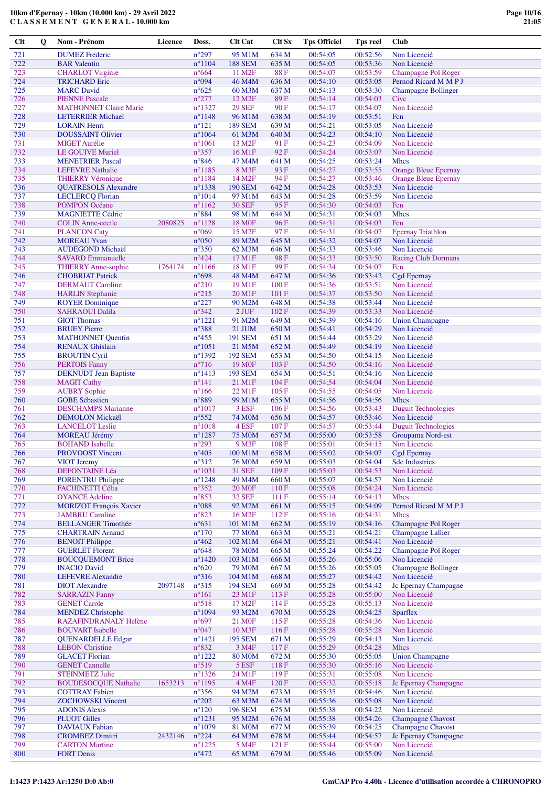| Clt        | Q | Nom - Prénom                                           | Licence | Doss.                              | <b>Clt Cat</b>                       | Clt Sx         | <b>Tps Officiel</b>  | Tps reel             | <b>Club</b>                                            |
|------------|---|--------------------------------------------------------|---------|------------------------------------|--------------------------------------|----------------|----------------------|----------------------|--------------------------------------------------------|
| 721        |   | <b>DUMEZ</b> Frederic                                  |         | $n^{\circ}297$                     | 95 M1M                               | 634 M          | 00:54:05             | 00:52:56             | Non Licencié                                           |
| 722        |   | <b>BAR</b> Valentin                                    |         | $n^{\circ}1104$                    | <b>188 SEM</b>                       | 635 M          | 00:54:05             | 00:53:36             | Non Licencié                                           |
| 723        |   | <b>CHARLOT</b> Virginie                                |         | $n^{\circ}664$                     | 11 M <sub>2</sub> F                  | 88F            | 00:54:07             | 00:53:59             | Champagne Pol Roger                                    |
| 724        |   | <b>TRICHARD Eric</b>                                   |         | n°094                              | 46 M4M                               | 636 M          | 00:54:10             | 00:53:05             | Pernod Ricard M M P J                                  |
| 725<br>726 |   | <b>MARC</b> David<br><b>PIENNE Pascale</b>             |         | $n^{\circ}625$<br>$n^{\circ}277$   | 60 M3M<br>12 M <sub>2</sub> F        | 637 M<br>89F   | 00:54:13<br>00:54:14 | 00:53:30<br>00:54:03 | <b>Champagne Bollinger</b><br>Cive                     |
| 727        |   | <b>MATHONNET Claire Marie</b>                          |         | $n^{\circ}$ 1327                   | <b>29 SEF</b>                        | 90 F           | 00:54:17             | 00:54:07             | Non Licencié                                           |
| 728        |   | <b>LETERRIER Michael</b>                               |         | $n^{\circ}1148$                    | 96 M1M                               | 638 M          | 00:54:19             | 00:53:51             | Fcn                                                    |
| 729        |   | <b>LORAIN Henri</b>                                    |         | $n^{\circ}121$                     | <b>189 SEM</b>                       | 639 M          | 00:54:21             | 00:53:05             | Non Licencié                                           |
| 730        |   | <b>DOUSSAINT Olivier</b>                               |         | $n^{\circ}1064$                    | 61 M3M                               | 640 M          | 00:54:23             | 00:54:10             | Non Licencié                                           |
| 731        |   | <b>MIGET</b> Aurélie                                   |         | $n^{\circ}1061$                    | 13 M <sub>2F</sub>                   | 91F            | 00:54:23             | 00:54:09             | Non Licencié                                           |
| 732<br>733 |   | <b>LE GOUIVE Muriel</b><br><b>MENETRIER Pascal</b>     |         | $n^{\circ}357$<br>$n^{\circ}846$   | 16 M1F<br>47 M4M                     | 92F<br>641 M   | 00:54:24<br>00:54:25 | 00:53:07<br>00:53:24 | Non Licencié<br><b>Mhcs</b>                            |
| 734        |   | <b>LEFEVRE</b> Nathalie                                |         | $n^{\circ}1185$                    | 8 M3F                                | 93 F           | 00:54:27             | 00:53:55             | <b>Orange Bleue Epernay</b>                            |
| 735        |   | <b>THIERRY Véronique</b>                               |         | $n^{\circ}$ 1184                   | 14 M <sub>2F</sub>                   | 94 F           | 00:54:27             | 00:53:46             | <b>Orange Bleue Epernay</b>                            |
| 736        |   | <b>QUATRESOLS Alexandre</b>                            |         | $n^{\circ}$ 1338                   | <b>190 SEM</b>                       | 642 M          | 00:54:28             | 00:53:53             | Non Licencié                                           |
| 737        |   | <b>LECLERCQ</b> Florian                                |         | $n^{\circ}1014$                    | 97 M1M                               | 643 M          | 00:54:28             | 00:53:59             | Non Licencié                                           |
| 738<br>739 |   | <b>POMPON Océane</b><br><b>MAGNIETTE Cédric</b>        |         | $n^{\circ}1162$<br>$n^{\circ}884$  | <b>30 SEF</b><br>98 M1M              | 95F<br>644 M   | 00:54:30<br>00:54:31 | 00:54:03<br>00:54:03 | Fcn<br><b>Mhcs</b>                                     |
| 740        |   | <b>COLIN</b> Anne-cecile                               | 2080825 | $n^{\circ}1128$                    | 18 M <sub>OF</sub>                   | 96F            | 00:54:31             | 00:54:03             | Fcn                                                    |
| 741        |   | <b>PLANCON Caty</b>                                    |         | $n^{\circ}069$                     | 15 M2F                               | 97F            | 00:54:31             | 00:54:07             | <b>Epernay Triathlon</b>                               |
| 742        |   | <b>MOREAU Yvan</b>                                     |         | $n^{\circ}050$                     | 89 M2M                               | 645 M          | 00:54:32             | 00:54:07             | Non Licencié                                           |
| 743        |   | <b>AUDEGOND Michaël</b>                                |         | $n^{\circ}350$                     | 62 M3M                               | 646 M          | 00:54:33             | 00:53:46             | Non Licencié                                           |
| 744<br>745 |   | <b>SAVARD Emmanuelle</b><br><b>THIERRY Anne-sophie</b> |         | $n^{\circ}424$<br>$n^{\circ}1166$  | 17 M1F<br>18 M1F                     | 98F<br>99F     | 00:54:33<br>00:54:34 | 00:53:50<br>00:54:07 | <b>Racing Club Dormans</b>                             |
| 746        |   | <b>CHOBRIAT Patrick</b>                                | 1764174 | $n^{\circ}698$                     | 48 M4M                               | 647 M          | 00:54:36             | 00:53:42             | Fcn<br>Cgd Epernay                                     |
| 747        |   | <b>DERMAUT Caroline</b>                                |         | $n^{\circ}210$                     | 19 M1F                               | 100 F          | 00:54:36             | 00:53:51             | Non Licencié                                           |
| 748        |   | <b>HARLIN</b> Stephanie                                |         | $n^{\circ}215$                     | 20 M1F                               | 101 F          | 00:54:37             | 00:53:50             | Non Licencié                                           |
| 749        |   | <b>ROYER Dominique</b>                                 |         | $n^{\circ}227$                     | 90 M2M                               | 648 M          | 00:54:38             | 00:53:44             | Non Licencié                                           |
| 750        |   | <b>SAHRAOUI Dalila</b>                                 |         | $n^{\circ}342$                     | $2$ JUF                              | 102 F          | 00:54:39             | 00:53:33             | Non Licencié                                           |
| 751<br>752 |   | <b>GIOT Thomas</b><br><b>BRUEY Pierre</b>              |         | $n^{\circ}1221$<br>$n^{\circ}388$  | 91 M2M<br>21 JUM                     | 649 M<br>650 M | 00:54:39<br>00:54:41 | 00:54:16<br>00:54:29 | <b>Union Champagne</b><br>Non Licencié                 |
| 753        |   | <b>MATHONNET Quentin</b>                               |         | $n^{\circ}455$                     | <b>191 SEM</b>                       | 651 M          | 00:54:44             | 00:53:29             | Non Licencié                                           |
| 754        |   | <b>RENAUX Ghislain</b>                                 |         | $n^{\circ}1051$                    | 21 M5M                               | 652 M          | 00:54:49             | 00:54:19             | Non Licencié                                           |
| 755        |   | <b>BROUTIN Cyril</b>                                   |         | $n^{\circ}1392$                    | <b>192 SEM</b>                       | 653 M          | 00:54:50             | 00:54:15             | Non Licencié                                           |
| 756        |   | <b>PERTOIS Fanny</b>                                   |         | $n^{\circ}716$                     | 19 M <sub>OF</sub>                   | 103 F          | 00:54:50             | 00:54:16             | Non Licencié                                           |
| 757<br>758 |   | <b>DEKNUDT</b> Jean Baptiste                           |         | $n^{\circ}1413$<br>$n^{\circ}141$  | 193 SEM                              | 654 M<br>104F  | 00:54:51<br>00:54:54 | 00:54:16<br>00:54:04 | Non Licencié                                           |
| 759        |   | <b>MAGIT Cathy</b><br><b>AUBRY Sophie</b>              |         | $n^{\circ}166$                     | 21 M1F<br>22 M1F                     | 105 F          | 00:54:55             | 00:54:05             | Non Licencié<br>Non Licencié                           |
| 760        |   | <b>GOBE Sébastien</b>                                  |         | n°889                              | 99 M1M                               | 655 M          | 00:54:56             | 00:54:56             | <b>Mhcs</b>                                            |
| 761        |   | <b>DESCHAMPS Marianne</b>                              |         | $n^{\circ}1017$                    | 3 ESF                                | 106 F          | 00:54:56             | 00:53:43             | <b>Duguit Technologies</b>                             |
| 762        |   | <b>DEMOLON Mickaël</b>                                 |         | $n^{\circ}552$                     | <b>74 M0M</b>                        | 656 M          | 00:54:57             | 00:53:46             | Non Licencié                                           |
| 763<br>764 |   | <b>LANCELOT</b> Leslie<br><b>MOREAU Jérémy</b>         |         | $n^{\circ}1018$<br>$n^{\circ}1287$ | 4 ESF<br><b>75 M0M</b>               | 107 F<br>657 M | 00:54:57<br>00:55:00 | 00:53:44<br>00:53:58 | <b>Duguit Technologies</b><br>Groupama Nord-est        |
| 765        |   | <b>BOHAND</b> Isabelle                                 |         | $n^{\circ}293$                     | 9 M3F                                | 108 F          | 00:55:01             | 00:54:15             | Non Licencié                                           |
| 766        |   | PROVOOST Vincent                                       |         | $n^{\circ}405$                     | 100 M1M                              | 658 M          | 00:55:02             | 00:54:07             | <b>Cgd Epernay</b>                                     |
| 767        |   | <b>VIOT Jeremy</b>                                     |         | $n^{\circ}312$                     | <b>76 MOM</b>                        | 659 M          | 00:55:03             | 00:54:04             | <b>Sdc Industries</b>                                  |
| 768        |   | <b>DEFONTAINE Léa</b>                                  |         | $n^{\circ}1031$                    | 31 SEF                               | 109F           | 00:55:03             | 00:54:53             | Non Licencié                                           |
| 769<br>770 |   | <b>PORENTRU Philippe</b><br>FACHINETTI Célia           |         | $n^{\circ}1248$<br>$n^{\circ}352$  | 49 M <sub>4</sub> M<br><b>20 MOF</b> | 660 M<br>110F  | 00:55:07<br>00:55:08 | 00:54:57<br>00:54:24 | Non Licencié<br>Non Licencié                           |
| 771        |   | <b>OYANCE Adeline</b>                                  |         | $n^{\circ}853$                     | <b>32 SEF</b>                        | 111F           | 00:55:14             | 00:54:13             | <b>Mhcs</b>                                            |
| 772        |   | <b>MORIZOT François Xavier</b>                         |         | $n^{\circ}088$                     | 92 M2M                               | 661 M          | 00:55:15             | 00:54:09             | Pernod Ricard M M P J                                  |
| 773        |   | <b>JAMBRU Caroline</b>                                 |         | $n^{\circ}823$                     | 16 M <sub>2F</sub>                   | 112F           | 00:55:16             | 00:54:31             | <b>Mhcs</b>                                            |
| 774<br>775 |   | <b>BELLANGER Timothée</b>                              |         | $n^{\circ}631$<br>$n^{\circ}170$   | 101 M1M                              | 662 M          | 00:55:19<br>00:55:21 | 00:54:16             | <b>Champagne Pol Roger</b><br><b>Champagne Lallier</b> |
| 776        |   | <b>CHARTRAIN Arnaud</b><br><b>BENOIT Philippe</b>      |         | $n^{\circ}462$                     | <b>77 MOM</b><br>102 M1M             | 663 M<br>664 M | 00:55:21             | 00:54:21<br>00:54:41 | Non Licencié                                           |
| 777        |   | <b>GUERLET Florent</b>                                 |         | $n^{\circ}648$                     | <b>78 MOM</b>                        | 665 M          | 00:55:24             | 00:54:22             | Champagne Pol Roger                                    |
| 778        |   | <b>BOUCQUEMONT Brice</b>                               |         | $n^{\circ}$ 1420                   | 103 M1M                              | 666 M          | 00:55:26             | 00:55:06             | Non Licencié                                           |
| 779        |   | <b>INACIO David</b>                                    |         | $n^{\circ}620$                     | 79 M <sub>0</sub> M                  | 667 M          | 00:55:26             | 00:55:05             | <b>Champagne Bollinger</b>                             |
| 780        |   | <b>LEFEVRE</b> Alexandre                               |         | $n^{\circ}316$                     | 104 M1M                              | 668 M          | 00:55:27             | 00:54:42             | Non Licencié                                           |
| 781<br>782 |   | <b>DIOT</b> Alexandre<br><b>SARRAZIN Fanny</b>         | 2097148 | $n^{\circ}315$<br>$n^{\circ}161$   | <b>194 SEM</b><br>23 M1F             | 669 M<br>113F  | 00:55:28<br>00:55:28 | 00:54:42<br>00:55:00 | Jc Epernay Champagne<br>Non Licencié                   |
| 783        |   | <b>GENET Carole</b>                                    |         | $n^{\circ}518$                     | 17 M <sub>2</sub> F                  | 114F           | 00:55:28             | 00:55:13             | Non Licencié                                           |
| 784        |   | <b>MENDEZ Christophe</b>                               |         | $n^{\circ}1094$                    | 93 M2M                               | 670 M          | 00:55:28             | 00:54:25             | <b>Sparflex</b>                                        |
| 785        |   | RAZAFINDRANALY Hélène                                  |         | $n^{\circ}697$                     | 21 M <sub>OF</sub>                   | 115F           | 00:55:28             | 00:54:36             | Non Licencié                                           |
| 786        |   | <b>BOUVART</b> Isabelle                                |         | $n^{\circ}047$                     | 10 M3F                               | 116F           | 00:55:28             | 00:55:28             | Non Licencié                                           |
| 787<br>788 |   | <b>QUENARDELLE Edgar</b><br><b>LEBON Christine</b>     |         | $n^{\circ}1421$<br>$n^{\circ}832$  | <b>195 SEM</b><br>3 M4F              | 671 M<br>117F  | 00:55:29<br>00:55:29 | 00:54:13<br>00:54:28 | Non Licencié<br><b>Mhcs</b>                            |
| 789        |   | <b>GLACET Florian</b>                                  |         | $n^{\circ}1222$                    | <b>80 MOM</b>                        | 672 M          | 00:55:30             | 00:55:05             | <b>Union Champagne</b>                                 |
| 790        |   | <b>GENET Cannelle</b>                                  |         | $n^{\circ}519$                     | 5 ESF                                | 118F           | 00:55:30             | 00:55:16             | Non Licencié                                           |
| 791        |   | <b>STEINMETZ Julie</b>                                 |         | $n^{\circ}$ 1326                   | 24 M1F                               | 119F           | 00:55:31             | 00:55:08             | Non Licencié                                           |
| 792        |   | <b>BOUDESOCQUE Nathalie</b>                            | 1653213 | $n^{\circ}1195$                    | 4 M4F                                | 120F           | 00:55:32             | 00:55:18             | Jc Epernay Champagne                                   |
| 793<br>794 |   | <b>COTTRAY Fabien</b><br><b>ZOCHOWSKI Vincent</b>      |         | $n^{\circ}356$<br>$n^{\circ}202$   | 94 M2M<br>63 M3M                     | 673 M<br>674 M | 00:55:35<br>00:55:36 | 00:54:46<br>00:55:08 | Non Licencié<br>Non Licencié                           |
| 795        |   | <b>ADONIS Alexis</b>                                   |         | $n^{\circ}120$                     | <b>196 SEM</b>                       | 675 M          | 00:55:38             | 00:54:22             | Non Licencié                                           |
| 796        |   | <b>PLUOT</b> Gilles                                    |         | $n^{\circ}1231$                    | 95 M2M                               | 676 M          | 00:55:38             | 00:54:26             | <b>Champagne Chavost</b>                               |
| 797        |   | <b>DAVIAUX</b> Fabian                                  |         | $n^{\circ}1079$                    | 81 M <sub>0</sub> M                  | 677 M          | 00:55:39             | 00:54:25             | <b>Champagne Chavost</b>                               |
| 798<br>799 |   | <b>CROMBEZ Dimitri</b><br><b>CARTON Martine</b>        | 2432146 | $n^{\circ}224$<br>$n^{\circ}1225$  | 64 M3M<br>5 M4F                      | 678 M<br>121 F | 00:55:44<br>00:55:44 | 00:54:57<br>00:55:00 | Jc Epernay Champagne<br>Non Licencié                   |
| 800        |   | <b>FORT Denis</b>                                      |         | $n^{\circ}472$                     | 65 M3M                               | 679 M          | 00:55:46             | 00:55:09             | Non Licencié                                           |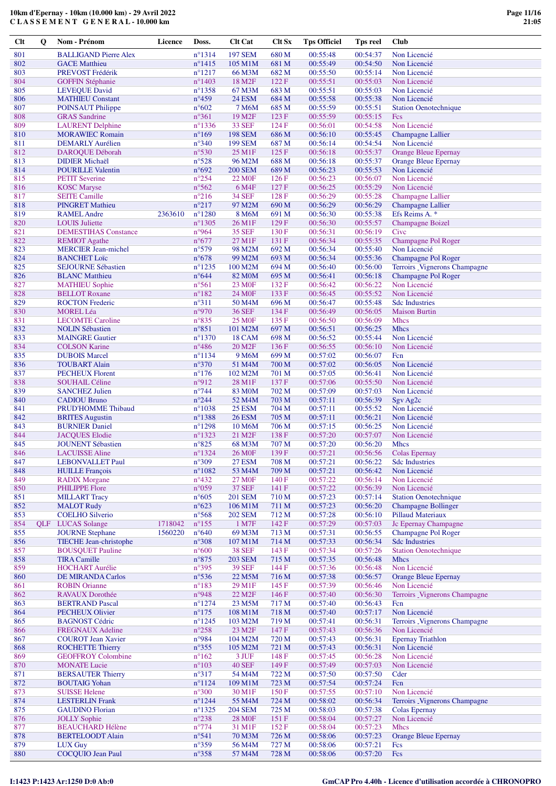| Clt        | Q | Nom - Prénom                                             | <b>Licence</b> | Doss.                              | <b>Clt Cat</b>                | <b>Clt Sx</b>  | <b>Tps Officiel</b>  | <b>Tps reel</b>      | <b>Club</b>                                           |
|------------|---|----------------------------------------------------------|----------------|------------------------------------|-------------------------------|----------------|----------------------|----------------------|-------------------------------------------------------|
| 801        |   | <b>BALLIGAND Pierre Alex</b>                             |                | $n^{\circ}1314$                    | <b>197 SEM</b>                | 680 M          | 00:55:48             | 00:54:37             | Non Licencié                                          |
| 802        |   | <b>GACE Matthieu</b>                                     |                | $n^{\circ}$ 1415                   | 105 M1M                       | 681 M          | 00:55:49             | 00:54:50             | Non Licencié                                          |
| 803        |   | PREVOST Frédérik                                         |                | $n^{\circ}1217$                    | 66 M3M                        | 682 M          | 00:55:50             | 00:55:14             | Non Licencié                                          |
| 804        |   | <b>GOFFIN Stéphanie</b>                                  |                | $n^{\circ}$ 1403                   | 18 M <sub>2F</sub>            | 122 F          | 00:55:51             | 00:55:03             | Non Licencié                                          |
| 805        |   | <b>LEVEQUE David</b>                                     |                | $n^{\circ}$ 1358                   | 67 M3M                        | 683 M          | 00:55:51             | 00:55:03             | Non Licencié                                          |
| 806        |   | <b>MATHIEU Constant</b>                                  |                | $n^{\circ}459$                     | <b>24 ESM</b>                 | 684 M          | 00:55:58             | 00:55:38             | Non Licencié                                          |
| 807<br>808 |   | POINSAUT Philippe<br><b>GRAS</b> Sandrine                |                | $n^{\circ}602$<br>$n^{\circ}361$   | 7 M6M<br>19 M <sub>2F</sub>   | 685 M<br>123 F | 00:55:59<br>00:55:59 | 00:55:51<br>00:55:15 | <b>Station Oenotechnique</b><br>Fcs                   |
| 809        |   | <b>LAURENT</b> Delphine                                  |                | $n^{\circ}$ 1336                   | <b>33 SEF</b>                 | 124F           | 00:56:01             | 00:54:58             | Non Licencié                                          |
| 810        |   | <b>MORAWIEC Romain</b>                                   |                | $n^{\circ}169$                     | <b>198 SEM</b>                | 686 M          | 00:56:10             | 00:55:45             | <b>Champagne Lallier</b>                              |
| 811        |   | <b>DEMARLY Aurélien</b>                                  |                | $n^{\circ}340$                     | <b>199 SEM</b>                | 687 M          | 00:56:14             | 00:54:54             | Non Licencié                                          |
| 812        |   | DAROQUE Déborah                                          |                | $n^{\circ}530$                     | 25 M1F                        | 125 F          | 00:56:18             | 00:55:37             | Orange Bleue Epernay                                  |
| 813        |   | <b>DIDIER Michaël</b>                                    |                | $n^{\circ}528$                     | 96 M2M                        | 688 M          | 00:56:18             | 00:55:37             | <b>Orange Bleue Epernay</b>                           |
| 814        |   | <b>POURILLE Valentin</b>                                 |                | $n^{\circ}692$                     | <b>200 SEM</b>                | 689 M          | 00:56:23             | 00:55:53             | Non Licencié                                          |
| 815<br>816 |   | <b>PETIT Severine</b><br><b>KOSC</b> Maryse              |                | $n^{\circ}254$<br>$n^{\circ}562$   | 22 M <sub>OF</sub><br>6 M4F   | 126F<br>127F   | 00:56:23<br>00:56:25 | 00:56:07<br>00:55:29 | Non Licencié<br>Non Licencié                          |
| 817        |   | <b>SEITE Camille</b>                                     |                | $n^{\circ}216$                     | <b>34 SEF</b>                 | 128F           | 00:56:29             | 00:55:28             | <b>Champagne Lallier</b>                              |
| 818        |   | <b>PINGRET Mathieu</b>                                   |                | $n^{\circ}217$                     | 97 M2M                        | 690 M          | 00:56:29             | 00:56:29             | <b>Champagne Lallier</b>                              |
| 819        |   | <b>RAMEL</b> Andre                                       | 2363610        | $n^{\circ}1280$                    | 8 M6M                         | 691 M          | 00:56:30             | 00:55:38             | Efs Reims A. *                                        |
| 820        |   | <b>LOUIS</b> Juliette                                    |                | $n^{\circ}$ 1305                   | 26 M1F                        | 129F           | 00:56:30             | 00:55:57             | <b>Champagne Boizel</b>                               |
| 821        |   | <b>DEMESTIHAS Constance</b>                              |                | n°964                              | 35 SEF                        | 130 F          | 00:56:31             | 00:56:19             | Civc                                                  |
| 822        |   | <b>REMIOT</b> Agathe                                     |                | $n^{\circ}677$                     | 27 M1F                        | 131 F          | 00:56:34             | 00:55:35             | Champagne Pol Roger                                   |
| 823<br>824 |   | <b>MERCIER Jean-michel</b>                               |                | $n^{\circ}579$<br>$n^{\circ}678$   | 98 M2M                        | 692 M          | 00:56:34<br>00:56:34 | 00:55:40<br>00:55:36 | Non Licencié<br><b>Champagne Pol Roger</b>            |
| 825        |   | <b>BANCHET</b> Loïc<br><b>SEJOURNE Sébastien</b>         |                | $n^{\circ}$ 1235                   | 99 M2M<br>100 M2M             | 693 M<br>694 M | 00:56:40             | 00:56:00             | Terroirs _Vignerons Champagne                         |
| 826        |   | <b>BLANC</b> Matthieu                                    |                | $n^{\circ}644$                     | 82 M <sub>0</sub> M           | 695 M          | 00:56:41             | 00:56:18             | Champagne Pol Roger                                   |
| 827        |   | <b>MATHIEU</b> Sophie                                    |                | $n^{\circ}561$                     | 23 M <sub>OF</sub>            | 132 F          | 00:56:42             | 00:56:22             | Non Licencié                                          |
| 828        |   | <b>BELLOT</b> Roxane                                     |                | $n^{\circ}182$                     | 24 M <sub>OF</sub>            | 133 F          | 00:56:45             | 00:55:52             | Non Licencié                                          |
| 829        |   | <b>ROCTON</b> Frederic                                   |                | $n^{\circ}311$                     | 50 M <sub>4</sub> M           | 696 M          | 00:56:47             | 00:55:48             | <b>Sdc Industries</b>                                 |
| 830        |   | <b>MOREL Léa</b>                                         |                | n°970                              | 36 SEF                        | 134 F          | 00:56:49             | 00:56:05             | <b>Maison Burtin</b>                                  |
| 831        |   | <b>LECOMTE Caroline</b>                                  |                | $n^{\circ}835$                     | <b>25 MOF</b>                 | 135 F          | 00:56:50             | 00:56:09             | Mhcs                                                  |
| 832<br>833 |   | <b>NOLIN Sébastien</b><br><b>MAINGRE Gautier</b>         |                | $n^{\circ}851$<br>$n^{\circ}$ 1370 | 101 M2M<br><b>18 CAM</b>      | 697 M<br>698 M | 00:56:51<br>00:56:52 | 00:56:25<br>00:55:44 | <b>Mhcs</b><br>Non Licencié                           |
| 834        |   | <b>COLSON Karine</b>                                     |                | $n^{\circ}486$                     | 20 M <sub>2F</sub>            | 136F           | 00:56:55             | 00:56:10             | Non Licencié                                          |
| 835        |   | <b>DUBOIS Marcel</b>                                     |                | $n^{\circ}$ 1134                   | 9 M6M                         | 699 M          | 00:57:02             | 00:56:07             | Fcn                                                   |
| 836        |   | <b>TOUBART Alain</b>                                     |                | $n^{\circ}370$                     | 51 M4M                        | 700 M          | 00:57:02             | 00:56:05             | Non Licencié                                          |
| 837        |   | <b>PECHEUX Florent</b>                                   |                | $n^{\circ}176$                     | 102 M2M                       | 701 M          | 00:57:05             | 00:56:41             | Non Licencié                                          |
| 838        |   | <b>SOUHAIL Céline</b>                                    |                | n°912                              | 28 M1F                        | 137 F          | 00:57:06             | 00:55:50             | Non Licencié                                          |
| 839        |   | <b>SANCHEZ Julien</b>                                    |                | $n^{\circ}$ 744                    | 83 M <sub>0</sub> M           | 702 M          | 00:57:09             | 00:57:03             | Non Licencié                                          |
| 840<br>841 |   | <b>CADIOU Bruno</b><br>PRUD'HOMME Thibaud                |                | $n^{\circ}244$<br>$n^{\circ}1038$  | 52 M4M<br><b>25 ESM</b>       | 703 M<br>704 M | 00:57:11<br>00:57:11 | 00:56:39<br>00:55:52 | Sgv Ag <sub>2c</sub><br>Non Licencié                  |
| 842        |   | <b>BRITES</b> Augustin                                   |                | $n^{\circ}$ 1388                   | <b>26 ESM</b>                 | 705 M          | 00:57:11             | 00:56:21             | Non Licencié                                          |
| 843        |   | <b>BURNIER Daniel</b>                                    |                | $n^{\circ}1298$                    | 10 M6M                        | 706 M          | 00:57:15             | 00:56:25             | Non Licencié                                          |
| 844        |   | <b>JACQUES Elodie</b>                                    |                | $n^{\circ}$ 1323                   | 21 M <sub>2F</sub>            | 138 F          | 00:57:20             | 00:57:07             | Non Licencié                                          |
| 845        |   | <b>JOUNENT Sébastien</b>                                 |                | $n^{\circ}825$                     | 68 M3M                        | 707 M          | 00:57:20             | 00:56:20             | <b>Mhcs</b>                                           |
| 846        |   | <b>LACUISSE</b> Aline                                    |                | $n^{\circ}$ 1324                   | <b>26 MOF</b>                 | 139F           | 00:57:21             | 00:56:56             | Colas Epernay                                         |
| 847        |   | <b>LEBONVALLET Paul</b>                                  |                | $n^{\circ}309$                     | <b>27 ESM</b>                 | 708 M          | 00:57:21             | 00:56:22             | <b>Sdc Industries</b>                                 |
| 848<br>849 |   | <b>HUILLE</b> François                                   |                | $n^{\circ}1082$<br>$n^{\circ}432$  | 53 M4M<br><b>27 MOF</b>       | 709 M          | 00:57:21<br>00:57:22 | 00:56:42<br>00:56:14 | Non Licencié<br>Non Licencié                          |
| 850        |   | <b>RADIX Morgane</b><br>PHILIPPE Flore                   |                | $n^{\circ}059$                     | <b>37 SEF</b>                 | 140 F<br>141 F | 00:57:22             | 00:56:39             | Non Licencié                                          |
| 851        |   | <b>MILLART Tracy</b>                                     |                | $n^{\circ}605$                     | <b>201 SEM</b>                | 710 M          | 00:57:23             | 00:57:14             | <b>Station Oenotechnique</b>                          |
| 852        |   | <b>MALOT Rudy</b>                                        |                | $n^{\circ}623$                     | 106 M1M                       | 711 M          | 00:57:23             | 00:56:20             | <b>Champagne Bollinger</b>                            |
| 853        |   | <b>COELHO Silverio</b>                                   |                | $n^{\circ}$ 568                    | <b>202 SEM</b>                | 712 M          | 00:57:28             | 00:56:10             | <b>Pillaud Materiaux</b>                              |
| 854        |   | <b>OLF</b> LUCAS Solange                                 | 1718042        | $n^{\circ}155$                     | 1 M7F                         | 142 F          | 00:57:29             | 00:57:03             | Jc Epernay Champagne                                  |
| 855        |   | <b>JOURNE Stephane</b>                                   | 1560220        | $n^{\circ}640$                     | 69 M3M                        | 713 M          | 00:57:31             | 00:56:55             | Champagne Pol Roger                                   |
| 856<br>857 |   | <b>TIECHE Jean-christophe</b><br><b>BOUSQUET Pauline</b> |                | $n^{\circ}308$<br>$n^{\circ}600$   | 107 M1M<br><b>38 SEF</b>      | 714 M<br>143 F | 00:57:33<br>00:57:34 | 00:56:34<br>00:57:26 | <b>Sdc Industries</b><br><b>Station Oenotechnique</b> |
| 858        |   | <b>TIRA Camille</b>                                      |                | $\rm n^o875$                       | <b>203 SEM</b>                | 715 M          | 00:57:35             | 00:56:48             | Mhcs                                                  |
| 859        |   | <b>HOCHART</b> Aurélie                                   |                | $n^{\circ}395$                     | <b>39 SEF</b>                 | 144 F          | 00:57:36             | 00:56:48             | Non Licencié                                          |
| 860        |   | <b>DE MIRANDA Carlos</b>                                 |                | $n^{\circ}$ 536                    | 22 M5M                        | 716 M          | 00:57:38             | 00:56:57             | <b>Orange Bleue Epernay</b>                           |
| 861        |   | <b>ROBIN Orianne</b>                                     |                | $n^{\circ}183$                     | 29 M1F                        | 145 F          | 00:57:39             | 00:56:46             | Non Licencié                                          |
| 862        |   | <b>RAVAUX Dorothée</b>                                   |                | n°948                              | 22 M2F                        | 146 F          | 00:57:40             | 00:56:30             | Terroirs _Vignerons Champagne                         |
| 863        |   | <b>BERTRAND Pascal</b>                                   |                | $n^{\circ}$ 1274                   | 23 M5M                        | 717 M          | 00:57:40             | 00:56:43             | Fcn                                                   |
| 864<br>865 |   | <b>PECHEUX Olivier</b>                                   |                | $n^{\circ}175$                     | 108 M1M                       | 718 M          | 00:57:40             | 00:57:17<br>00:56:31 | Non Licencié                                          |
| 866        |   | <b>BAGNOST Cédric</b><br><b>FREGNAUX Adeline</b>         |                | $n^{\circ}$ 1245<br>$n^{\circ}258$ | 103 M2M<br>23 M <sub>2F</sub> | 719 M<br>147 F | 00:57:41<br>00:57:43 | 00:56:36             | Terroirs Vignerons Champagne<br>Non Licencié          |
| 867        |   | <b>COUROT</b> Jean Xavier                                |                | n°984                              | 104 M2M                       | 720 M          | 00:57:43             | 00:56:31             | <b>Epernay Triathlon</b>                              |
| 868        |   | <b>ROCHETTE Thierry</b>                                  |                | $n^{\circ}355$                     | 105 M2M                       | 721 M          | 00:57:43             | 00:56:31             | Non Licencié                                          |
| 869        |   | <b>GEOFFROY Colombine</b>                                |                | $n^{\circ}162$                     | 3 JUF                         | 148 F          | 00:57:45             | 00:56:28             | Non Licencié                                          |
| 870        |   | <b>MONATE Lucie</b>                                      |                | $n^{\circ}103$                     | <b>40 SEF</b>                 | 149 F          | 00:57:49             | 00:57:03             | Non Licencié                                          |
| 871        |   | <b>BERSAUTER Thierry</b>                                 |                | $n^{\circ}317$                     | 54 M4M                        | 722 M          | 00:57:50             | 00:57:50             | Cder                                                  |
| 872        |   | <b>BOUTAIG Yohan</b>                                     |                | $n^{\circ}1124$                    | 109 M1M                       | 723 M          | 00:57:54             | 00:57:24             | Fcn                                                   |
| 873<br>874 |   | <b>SUISSE Helene</b><br><b>LESTERLIN</b> Frank           |                | $n^{\circ}300$<br>$n^{\circ}1244$  | 30 M1F<br>55 M4M              | 150F<br>724 M  | 00:57:55<br>00:58:02 | 00:57:10<br>00:56:34 | Non Licencié<br>Terroirs _Vignerons Champagne         |
| 875        |   | <b>GAUDINO</b> Florian                                   |                | $n^{\circ}$ 1325                   | <b>204 SEM</b>                | 725 M          | 00:58:03             | 00:57:38             | Colas Epernay                                         |
| 876        |   | <b>JOLLY Sophie</b>                                      |                | $n^{\circ}238$                     | <b>28 MOF</b>                 | 151F           | 00:58:04             | 00:57:27             | Non Licencié                                          |
| 877        |   | <b>BEAUCHARD Hélène</b>                                  |                | $n^{\circ}774$                     | 31 M1F                        | 152 F          | 00:58:04             | 00:57:23             | <b>Mhcs</b>                                           |
| 878        |   | <b>BERTELOODT Alain</b>                                  |                | n°541                              | 70 M3M                        | 726 M          | 00:58:06             | 00:57:23             | <b>Orange Bleue Epernay</b>                           |
| 879        |   | <b>LUX Guy</b>                                           |                | $n^{\circ}359$                     | 56 M4M                        | 727 M          | 00:58:06             | 00:57:21             | Fcs                                                   |
| 880        |   | <b>COCQUIO Jean Paul</b>                                 |                | $n^{\circ}358$                     | 57 M4M                        | 728 M          | 00:58:06             | 00:57:20             | Fcs                                                   |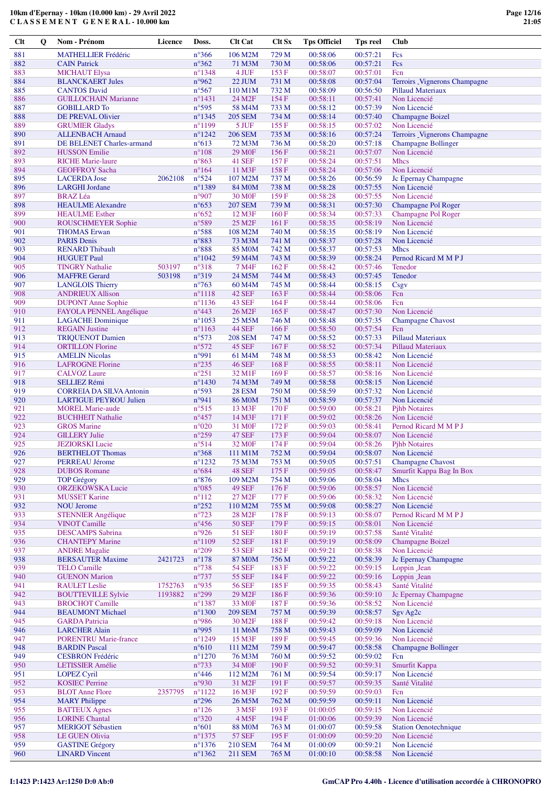| Clt        | Q | Nom - Prénom                                         | Licence | Doss.                              | <b>Clt Cat</b>                       | <b>Clt Sx</b>              | <b>Tps Officiel</b>  | <b>Tps reel</b>      | <b>Club</b>                                |
|------------|---|------------------------------------------------------|---------|------------------------------------|--------------------------------------|----------------------------|----------------------|----------------------|--------------------------------------------|
| 881        |   | <b>MATHELLIER Frédéric</b>                           |         | $n^{\circ}366$                     | 106 M2M                              | 729 M                      | 00:58:06             | 00:57:21             | Fcs                                        |
| 882        |   | <b>CAIN Patrick</b>                                  |         | $n^{\circ}362$                     | 71 M3M                               | 730 M                      | 00:58:06             | 00:57:21             | Fcs                                        |
| 883        |   | <b>MICHAUT Elysa</b>                                 |         | $n^{\circ}$ 1348                   | 4 JUF                                | 153 F                      | 00:58:07             | 00:57:01             | Fcn                                        |
| 884        |   | <b>BLANCKAERT Jules</b>                              |         | n°962                              | 22 JUM                               | 731 M                      | 00:58:08             | 00:57:04             | Terroirs _Vignerons Champagne              |
| 885        |   | <b>CANTOS David</b>                                  |         | $n^{\circ}567$                     | 110 M1M                              | 732 M                      | 00:58:09             | 00:56:50             | <b>Pillaud Materiaux</b>                   |
| 886<br>887 |   | <b>GUILLOCHAIN Marianne</b>                          |         | $n^{\circ}$ 1431<br>n°595          | 24 M <sub>2F</sub><br>58 M4M         | 154 F                      | 00:58:11             | 00:57:41<br>00:57:39 | Non Licencié<br>Non Licencié               |
| 888        |   | <b>GOBILLARD To</b><br>DE PREVAL Olivier             |         | $n^{\circ}$ 1345                   | <b>205 SEM</b>                       | 733 M<br>734 M             | 00:58:12<br>00:58:14 | 00:57:40             | <b>Champagne Boizel</b>                    |
| 889        |   | <b>GRUMIER Gladys</b>                                |         | $n^{\circ}1199$                    | 5 JUF                                | 155 F                      | 00:58:15             | 00:57:02             | Non Licencié                               |
| 890        |   | <b>ALLENBACH Arnaud</b>                              |         | $n^{\circ}$ 1242                   | <b>206 SEM</b>                       | 735 M                      | 00:58:16             | 00:57:24             | Terroirs _Vignerons Champagne              |
| 891        |   | DE BELENET Charles-armand                            |         | $n^{\circ}613$                     | 72 M3M                               | 736 M                      | 00:58:20             | 00:57:18             | <b>Champagne Bollinger</b>                 |
| 892        |   | <b>HUSSON</b> Emilie                                 |         | $n^{\circ}108$                     | <b>29 M0F</b>                        | 156F                       | 00:58:21             | 00:57:07             | Non Licencié                               |
| 893        |   | <b>RICHE Marie-laure</b>                             |         | $n^{\circ}863$                     | 41 SEF                               | 157 F                      | 00:58:24             | 00:57:51             | <b>Mhcs</b>                                |
| 894        |   | <b>GEOFFROY Sacha</b>                                |         | $n^{\circ}164$                     | 11 M3F                               | 158F                       | 00:58:24             | 00:57:06             | Non Licencié                               |
| 895        |   | <b>LACERDA</b> Jose                                  | 2062108 | $n^{\circ}524$                     | 107 M2M                              | 737 M                      | 00:58:26             | 00:56:59             | Jc Epernay Champagne                       |
| 896        |   | <b>LARGHI</b> Jordane                                |         | n°1389                             | 84 M <sub>0</sub> M                  | 738 M                      | 00:58:28             | 00:57:55             | Non Licencié                               |
| 897<br>898 |   | <b>BRAZ</b> Léa                                      |         | n°907<br>$n^{\circ}653$            | 30 M <sub>OF</sub><br><b>207 SEM</b> | 159F                       | 00:58:28<br>00:58:31 | 00:57:55<br>00:57:30 | Non Licencié                               |
| 899        |   | <b>HEAULME</b> Alexandre<br><b>HEAULME</b> Esther    |         | $n^{\circ}652$                     | 12 M3F                               | 739 M<br>160 F             | 00:58:34             | 00:57:33             | Champagne Pol Roger<br>Champagne Pol Roger |
| 900        |   | ROUSCHMEYER Sophie                                   |         | n°589                              | 25 M <sub>2F</sub>                   | 161 F                      | 00:58:35             | 00:58:19             | Non Licencié                               |
| 901        |   | <b>THOMAS Erwan</b>                                  |         | $n^{\circ}588$                     | 108 M2M                              | 740 M                      | 00:58:35             | 00:58:19             | Non Licencié                               |
| 902        |   | <b>PARIS Denis</b>                                   |         | n°883                              | 73 M3M                               | 741 M                      | 00:58:37             | 00:57:28             | Non Licencié                               |
| 903        |   | <b>RENARD Thibault</b>                               |         | $\rm n^o888$                       | 85 M <sub>0</sub> M                  | 742 M                      | 00:58:37             | 00:57:53             | <b>Mhcs</b>                                |
| 904        |   | <b>HUGUET Paul</b>                                   |         | $n^{\circ}1042$                    | 59 M4M                               | 743 M                      | 00:58:39             | 00:58:24             | Pernod Ricard M M P J                      |
| 905        |   | <b>TINGRY Nathalie</b>                               | 503197  | $n^{\circ}318$                     | 7 M4F                                | 162F                       | 00:58:42             | 00:57:46             | Tenedor                                    |
| 906        |   | <b>MAFFRE</b> Gerard                                 | 503198  | $n^{\circ}319$                     | 24 M5M                               | 744 M                      | 00:58:43             | 00:57:45             | Tenedor                                    |
| 907        |   | <b>LANGLOIS Thierry</b>                              |         | $n^{\circ}763$                     | 60 M <sub>4</sub> M                  | 745 M                      | 00:58:44             | 00:58:15             | Csgv                                       |
| 908<br>909 |   | <b>ANDRIEUX Allison</b><br><b>DUPONT</b> Anne Sophie |         | $n^{\circ}1118$<br>$n^{\circ}1136$ | <b>42 SEF</b><br>43 SEF              | 163 F<br>164 F             | 00:58:44<br>00:58:44 | 00:58:06<br>00:58:06 | Fcn<br>Fcn                                 |
| 910        |   | FAYOLA PENNEL Angélique                              |         | $n^{\circ}443$                     | 26 M <sub>2F</sub>                   | 165F                       | 00:58:47             | 00:57:30             | Non Licencié                               |
| 911        |   | <b>LAGACHE</b> Dominique                             |         | $n^{\circ}1053$                    | 25 M5M                               | 746 M                      | 00:58:48             | 00:57:35             | <b>Champagne Chavost</b>                   |
| 912        |   | <b>REGAIN</b> Justine                                |         | $n^{\circ}1163$                    | <b>44 SEF</b>                        | 166F                       | 00:58:50             | 00:57:54             | Fcn                                        |
| 913        |   | <b>TRIQUENOT Damien</b>                              |         | $n^{\circ}573$                     | <b>208 SEM</b>                       | 747 M                      | 00:58:52             | 00:57:33             | <b>Pillaud Materiaux</b>                   |
| 914        |   | <b>ORTILLON Florine</b>                              |         | $n^{\circ}572$                     | 45 SEF                               | 167 F                      | 00:58:52             | 00:57:34             | Pillaud Materiaux                          |
| 915        |   | <b>AMELIN Nicolas</b>                                |         | n°991                              | 61 M4M                               | 748 M                      | 00:58:53             | 00:58:42             | Non Licencié                               |
| 916        |   | <b>LAFROGNE Florine</b>                              |         | $n^{\circ}235$                     | <b>46 SEF</b>                        | 168F                       | 00:58:55             | 00:58:11             | Non Licencié                               |
| 917        |   | <b>CALVOZ</b> Laure                                  |         | $n^{\circ}251$                     | 32 M1F                               | 169F                       | 00:58:57             | 00:58:16             | Non Licencié                               |
| 918<br>919 |   | SELLIEZ Rémi<br><b>CORREIA DA SILVA Antonin</b>      |         | $n^{\circ}$ 1430<br>n°593          | 74 M3M<br><b>28 ESM</b>              | 749 M<br>750 M             | 00:58:58<br>00:58:59 | 00:58:15<br>00:57:32 | Non Licencié<br>Non Licencié               |
| 920        |   | <b>LARTIGUE PEYROU Julien</b>                        |         | n°941                              | <b>86 MOM</b>                        | 751 M                      | 00:58:59             | 00:57:37             | Non Licencié                               |
| 921        |   | <b>MOREL Marie-aude</b>                              |         | $n^{\circ}515$                     | 13 M3F                               | 170F                       | 00:59:00             | 00:58:21             | <b>Pjhb Notaires</b>                       |
| 922        |   | <b>BUCHHEIT Nathalie</b>                             |         | $n^{\circ}457$                     | 14 M3F                               | 171 F                      | 00:59:02             | 00:58:26             | Non Licencié                               |
| 923        |   | <b>GROS</b> Marine                                   |         | $n^{\circ}020$                     | 31 M <sub>OF</sub>                   | 172 F                      | 00:59:03             | 00:58:41             | Pernod Ricard M M P J                      |
| 924        |   | <b>GILLERY Julie</b>                                 |         | $n^{\circ}259$                     | <b>47 SEF</b>                        | 173 F                      | 00:59:04             | 00:58:07             | Non Licencié                               |
| 925        |   | <b>JEZIORSKI</b> Lucie                               |         | n°514                              | 32 M <sub>OF</sub>                   | 174F                       | 00:59:04             | 00:58:26             | <b>Pihb Notaires</b>                       |
| 926<br>927 |   | <b>BERTHELOT Thomas</b><br><b>PERREAU Jérome</b>     |         | $n^{\circ}368$<br>$n^{\circ}1232$  | 111 M1M<br>75 M3M                    | 752 M<br>753 M             | 00:59:04<br>00:59:05 | 00:58:07<br>00:57:51 | Non Licencié<br><b>Champagne Chavost</b>   |
| 928        |   | <b>DUBOS</b> Romane                                  |         | $n^{\circ}684$                     | <b>48 SEF</b>                        | 175F                       | 00:59:05             | 00:58:47             | Smurfit Kappa Bag In Box                   |
| 929        |   | <b>TOP Grégory</b>                                   |         | $n^{\circ}876$                     | 109 M2M                              | 754 M                      | 00:59:06             | 00:58:04             | <b>Mhcs</b>                                |
| 930        |   | <b>ORZEKOWSKA Lucie</b>                              |         | $n^{\circ}085$                     | <b>49 SEF</b>                        | 176F                       | 00:59:06             | 00:58:57             | Non Licencié                               |
| 931        |   | <b>MUSSET Karine</b>                                 |         | $n^{\circ}112$                     | 27 M <sub>2F</sub>                   | 177 F                      | 00:59:06             | 00:58:32             | Non Licencié                               |
| 932        |   | <b>NOU Jerome</b>                                    |         | $n^{\circ}252$                     | 110 M2M                              | 755 M                      | 00:59:08             | 00:58:27             | Non Licencié                               |
| 933        |   | <b>STENNIER Angélique</b>                            |         | $n^{\circ}723$                     | 28 M <sub>2F</sub>                   | 178F                       | 00:59:13             | 00:58:07             | Pernod Ricard M M P J                      |
| 934        |   | <b>VINOT Camille</b>                                 |         | $n^{\circ}456$                     | <b>50 SEF</b>                        | 179F                       | 00:59:15             | 00:58:01             | Non Licencié                               |
| 935        |   | <b>DESCAMPS</b> Sabrina                              |         | n°926                              | 51 SEF<br><b>52 SEF</b>              | 180F                       | 00:59:19             | 00:57:58             | Santé Vitalité<br><b>Champagne Boizel</b>  |
| 936<br>937 |   | <b>CHANTEPY Marine</b><br><b>ANDRE Magalie</b>       |         | $n^{\circ}1109$<br>$n^{\circ}209$  | <b>53 SEF</b>                        | $181\,\mathrm{F}$<br>182 F | 00:59:19<br>00:59:21 | 00:58:09<br>00:58:38 | Non Licencié                               |
| 938        |   | <b>BERSAUTER Maxime</b>                              | 2421723 | $\mathtt{n}^\circ 178$             | <b>87 MOM</b>                        | 756 M                      | 00:59:22             | 00:58:39             | Jc Epernay Champagne                       |
| 939        |   | <b>TELO Camille</b>                                  |         | $n^{\circ}738$                     | <b>54 SEF</b>                        | 183F                       | 00:59:22             | 00:59:15             | Loppin Jean                                |
| 940        |   | <b>GUENON Marion</b>                                 |         | $n^{\circ}737$                     | <b>55 SEF</b>                        | 184 F                      | 00:59:22             | 00:59:16             | Loppin Jean                                |
| 941        |   | <b>RAULET</b> Leslie                                 | 1752763 | n°935                              | <b>56 SEF</b>                        | 185F                       | 00:59:35             | 00:58:43             | Santé Vitalité                             |
| 942        |   | <b>BOUTTEVILLE Sylvie</b>                            | 1193882 | $n^{\circ}299$                     | 29 M <sub>2F</sub>                   | 186F                       | 00:59:36             | 00:59:10             | Jc Epernay Champagne                       |
| 943        |   | <b>BROCHOT Camille</b>                               |         | $n^{\circ}$ 1387                   | 33 M <sub>OF</sub>                   | 187F                       | 00:59:36             | 00:58:52             | Non Licencié                               |
| 944        |   | <b>BEAUMONT Michael</b>                              |         | $n^{\circ}$ 1300                   | <b>209 SEM</b>                       | 757 M                      | 00:59:39             | 00:58:57             | Sgv Ag2c                                   |
| 945        |   | <b>GARDA Patricia</b>                                |         | n°986                              | 30 M <sub>2F</sub>                   | 188 F                      | 00:59:42             | 00:59:18             | Non Licencié                               |
| 946<br>947 |   | <b>LARCHER Alain</b><br><b>PORENTRU Marie-france</b> |         | n°995<br>$n^{\circ}$ 1249          | 11 M6M<br>15 M3F                     | 758 M<br>189F              | 00:59:43<br>00:59:45 | 00:59:09<br>00:59:36 | Non Licencié<br>Non Licencié               |
| 948        |   | <b>BARDIN Pascal</b>                                 |         | $n^{\circ}610$                     | 111 M2M                              | 759 M                      | 00:59:47             | 00:58:58             | <b>Champagne Bollinger</b>                 |
| 949        |   | <b>CESBRON Frédéric</b>                              |         | $n^{\circ}1270$                    | 76 M3M                               | 760 M                      | 00:59:52             | 00:59:02             | Fcn                                        |
| 950        |   | <b>LETISSIER Amélie</b>                              |         | $n^{\circ}733$                     | 34 M <sub>OF</sub>                   | 190F                       | 00:59:52             | 00:59:31             | Smurfit Kappa                              |
| 951        |   | <b>LOPEZ Cyril</b>                                   |         | $n^{\circ}446$                     | 112 M2M                              | 761 M                      | 00:59:54             | 00:59:17             | Non Licencié                               |
| 952        |   | <b>KOSIEC Perrine</b>                                |         | n°930                              | 31 M <sub>2F</sub>                   | 191 F                      | 00:59:57             | 00:59:35             | Santé Vitalité                             |
| 953        |   | <b>BLOT</b> Anne Flore                               | 2357795 | $n^{\circ}1122$                    | 16 M3F                               | 192F                       | 00:59:59             | 00:59:03             | Fcn                                        |
| 954<br>955 |   | <b>MARY</b> Philippe                                 |         | $n^{\circ}296$                     | 26 M5M                               | 762 M<br>193 F             | 00:59:59<br>01:00:05 | 00:59:11<br>00:59:15 | Non Licencié<br>Non Licencié               |
| 956        |   | <b>BATTEUX Agnes</b><br><b>LORINE Chantal</b>        |         | $n^{\circ}126$<br>$n^{\circ}320$   | 3 M5F<br>4 M5F                       | 194 F                      | 01:00:06             | 00:59:39             | Non Licencié                               |
| 957        |   | <b>MERIGOT Sébastien</b>                             |         | $n^{\circ}601$                     | <b>88 MOM</b>                        | 763 M                      | 01:00:07             | 00:59:58             | <b>Station Oenotechnique</b>               |
| 958        |   | LE GUEN Olivia                                       |         | $n^{\circ}$ 1375                   | <b>57 SEF</b>                        | 195F                       | 01:00:09             | 00:59:20             | Non Licencié                               |
| 959        |   | <b>GASTINE Grégory</b>                               |         | $n^{\circ}$ 1376                   | <b>210 SEM</b>                       | 764 M                      | 01:00:09             | 00:59:21             | Non Licencié                               |
| 960        |   | <b>LINARD</b> Vincent                                |         | $n^{\circ}$ 1362                   | 211 SEM                              | 765 M                      | 01:00:10             | 00:58:58             | Non Licencié                               |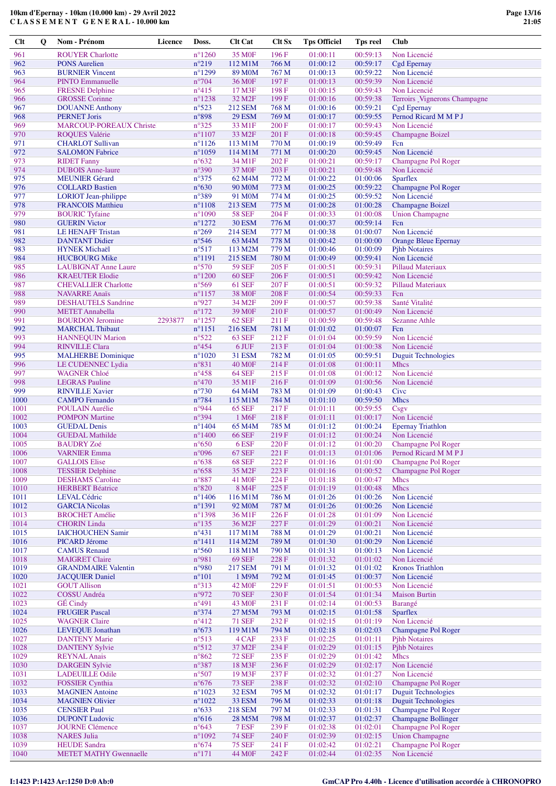| Clt          | Q | Nom - Prénom                                    | Licence | Doss.                            | <b>Clt Cat</b>         | <b>Clt Sx</b>  | <b>Tps Officiel</b>  | Tps reel             | <b>Club</b>                                 |
|--------------|---|-------------------------------------------------|---------|----------------------------------|------------------------|----------------|----------------------|----------------------|---------------------------------------------|
| 961          |   | <b>ROUYER Charlotte</b>                         |         | $n^{\circ}1260$                  | 35 M <sub>OF</sub>     | 196F           | 01:00:11             | 00:59:13             | Non Licencié                                |
| 962          |   | <b>PONS Aurelien</b>                            |         | $n^{\circ}219$                   | 112 M1M                | 766 M          | 01:00:12             | 00:59:17             | Cgd Epernay                                 |
| 963          |   | <b>BURNIER Vincent</b>                          |         | $n^{\circ}1299$                  | 89 M <sub>0</sub> M    | 767 M          | 01:00:13             | 00:59:22             | Non Licencié                                |
| 964          |   | <b>PINTO Emmanuelle</b>                         |         | $n^{\circ}704$                   | 36 M <sub>OF</sub>     | 197 F          | 01:00:13             | 00:59:39             | Non Licencié                                |
| 965          |   | <b>FRESNE Delphine</b>                          |         | $n^{\circ}415$                   | 17 M3F                 | 198 F          | 01:00:15             | 00:59:43             | Non Licencié                                |
| 966          |   | <b>GROSSE</b> Corinne                           |         | $n^{\circ}1238$                  | 32 M <sub>2F</sub>     | 199F           | 01:00:16             | 00:59:38             | Terroirs _Vignerons Champagne               |
| 967          |   | <b>DOUANNE Anthony</b>                          |         | $n^{\circ}523$                   | 212 SEM                | 768 M          | 01:00:16             | 00:59:21             | <b>Cgd Epernay</b>                          |
| 968          |   | <b>PERNET Joris</b>                             |         | $n^{\circ}898$                   | <b>29 ESM</b>          | 769 M          | 01:00:17             | 00:59:55             | Pernod Ricard M M P J                       |
| 969          |   | <b>MARCOUP-POREAUX Christe</b>                  |         | $n^{\circ}325$                   | 33 M1F                 | 200 F          | 01:00:17             | 00:59:43             | Non Licencié                                |
| 970          |   | <b>ROQUES Valérie</b>                           |         | $n^{\circ}1107$                  | 33 M <sub>2F</sub>     | 201 F          | 01:00:18             | 00:59:45             | <b>Champagne Boizel</b>                     |
| 971          |   | <b>CHARLOT Sullivan</b>                         |         | $n^{\circ}1126$                  | 113 M1M                | 770 M          | 01:00:19             | 00:59:49             | Fcn                                         |
| 972          |   | <b>SALOMON Fabrice</b>                          |         | $n^{\circ}1059$                  | 114 M1M                | 771 M          | 01:00:20             | 00:59:45             | Non Licencié                                |
| 973          |   | <b>RIDET</b> Fanny                              |         | $n^{\circ}632$                   | 34 M1F                 | 202 F          | 01:00:21             | 00:59:17             | Champagne Pol Roger                         |
| 974          |   | <b>DUBOIS</b> Anne-laure                        |         | $n^{\circ}390$                   | 37 M <sub>OF</sub>     | 203 F          | 01:00:21             | 00:59:48             | Non Licencié                                |
| 975          |   | <b>MEUNIER Gérard</b>                           |         | $n^{\circ}375$                   | 62 M <sub>4</sub> M    | 772 M          | 01:00:22             | 01:00:06             | <b>Sparflex</b>                             |
| 976          |   | <b>COLLARD Bastien</b>                          |         | $n^{\circ}630$                   | 90 M <sub>0</sub> M    | 773 M          | 01:00:25             | 00:59:22             | Champagne Pol Roger                         |
| 977          |   | <b>LORIOT</b> Jean-philippe                     |         | n°389                            | 91 M <sub>0</sub> M    | 774 M          | 01:00:25             | 00:59:52             | Non Licencié                                |
| 978          |   | <b>FRANCOIS Matthieu</b>                        |         | $n^{\circ}1108$                  | 213 SEM                | 775 M          | 01:00:28             | 01:00:28             | <b>Champagne Boizel</b>                     |
| 979          |   | <b>BOURIC Tyfaine</b>                           |         | $n^{\circ}1090$                  | <b>58 SEF</b>          | 204 F          | 01:00:33             | 01:00:08             | <b>Union Champagne</b>                      |
| 980          |   | <b>GUERIN Victor</b>                            |         | $n^{\circ}1272$                  | <b>30 ESM</b>          | 776 M          | 01:00:37             | 00:59:14             | Fcn                                         |
| 981          |   | <b>LE HENAFF Tristan</b>                        |         | $n^{\circ}269$                   | <b>214 SEM</b>         | 777 M          | 01:00:38             | 01:00:07             | Non Licencié                                |
| 982          |   | <b>DANTANT Didier</b>                           |         | $n^{\circ}$ 546                  | 63 M <sub>4</sub> M    | 778 M          | 01:00:42             | 01:00:00             | <b>Orange Bleue Epernay</b>                 |
| 983          |   | <b>HYNEK Michaël</b>                            |         | $n^{\circ}517$                   | 113 M2M                | 779 M          | 01:00:46             | 01:00:09             | <b>Pihb Notaires</b>                        |
| 984          |   | <b>HUCBOURG Mike</b>                            |         | $n^{\circ}1191$                  | 215 SEM                | 780 M          | 01:00:49             | 00:59:41             | Non Licencié                                |
| 985          |   | <b>LAUBIGNAT Anne Laure</b>                     |         | $n^{\circ}570$                   | <b>59 SEF</b>          | 205 F          | 01:00:51             | 00:59:31             | <b>Pillaud Materiaux</b>                    |
| 986          |   | <b>KRAEUTER Elodie</b>                          |         | $n^{\circ}1200$                  | <b>60 SEF</b>          | 206 F          | 01:00:51             | 00:59:42             | Non Licencié                                |
| 987          |   | <b>CHEVALLIER Charlotte</b>                     |         | $n^{\circ}$ 569                  | <b>61 SEF</b>          | 207 F          | 01:00:51             | 00:59:32             | <b>Pillaud Materiaux</b>                    |
| 988          |   | <b>NAVARRE Anaïs</b>                            |         | $n^{\circ}$ 1157                 | <b>38 MOF</b>          | 208 F          | 01:00:54             | 00:59:33             | Fcn                                         |
| 989          |   | <b>DESHAUTELS Sandrine</b>                      |         | n°927                            | 34 M2F                 | 209F           | 01:00:57             | 00:59:38             | Santé Vitalité                              |
| 990          |   | <b>METET Annabella</b>                          |         | $n^{\circ}172$                   | 39 M <sub>OF</sub>     | 210F           | 01:00:57             | 01:00:49             | Non Licencié                                |
| 991          |   | <b>BOURDON Jeromine</b>                         | 2293877 | $n^{\circ}$ 1257                 | <b>62 SEF</b>          | 211F           | 01:00:59             | 00:59:48             | <b>Sezanne Athle</b>                        |
| 992          |   | <b>MARCHAL Thibaut</b>                          |         | $n^{\circ}1151$                  | 216 SEM                | 781 M          | 01:01:02             | 01:00:07             | Fcn                                         |
| 993          |   | <b>HANNEQUIN Marion</b>                         |         | $n^{\circ}522$                   | 63 SEF                 | 212F           | 01:01:04             | 00:59:59             | Non Licencié                                |
| 994          |   | <b>RINVILLE Clara</b>                           |         | $n^{\circ}454$                   | 6 JUF                  | 213 F          | 01:01:04             | 01:00:38             | Non Licencié                                |
| 995          |   | <b>MALHERBE</b> Dominique                       |         | $n^{\circ}1020$                  | <b>31 ESM</b>          | 782 M          | 01:01:05             | 00:59:51             | <b>Duguit Technologies</b>                  |
| 996          |   | LE CUDENNEC Lydia                               |         | $n^{\circ}831$                   | <b>40 MOF</b>          | 214F           | 01:01:08             | 01:00:11             | <b>Mhcs</b>                                 |
| 997          |   | <b>WAGNER Chloé</b>                             |         | $n^{\circ}458$                   | 64 SEF                 | 215F           | 01:01:08             | 01:00:12             | Non Licencié                                |
| 998          |   | <b>LEGRAS</b> Pauline                           |         | $n^{\circ}470$                   | 35 M1F                 | 216F           | 01:01:09             | 01:00:56             | Non Licencié                                |
| 999          |   | <b>RINVILLE Xavier</b>                          |         | $n^{\circ}730$                   | 64 M4M                 | 783 M          | 01:01:09             | 01:00:43             | Cive                                        |
| 1000         |   | <b>CAMPO</b> Fernando                           |         | $n^{\circ}784$<br>n°944          | 115 M1M                | 784 M          | 01:01:10             | 00:59:50<br>00:59:55 | <b>Mhcs</b>                                 |
| 1001<br>1002 |   | POULAIN Aurélie                                 |         | n°394                            | <b>65 SEF</b><br>1 M6F | 217 F<br>218F  | 01:01:11             | 01:00:17             | Csgv<br>Non Licencié                        |
| 1003         |   | <b>POMPON Martine</b><br><b>GUEDAL Denis</b>    |         | $n^{\circ}$ 1404                 | 65 M4M                 | 785 M          | 01:01:11<br>01:01:12 | 01:00:24             | <b>Epernay Triathlon</b>                    |
| 1004         |   | <b>GUEDAL Mathilde</b>                          |         | $n^{\circ}$ 1400                 | <b>66 SEF</b>          | 219F           | 01:01:12             | 01:00:24             | Non Licencié                                |
| 1005         |   | <b>BAUDRY Zoé</b>                               |         | $n^{\circ}650$                   | 6ESF                   | 220 F          | 01:01:12             | 01:00:20             | Champagne Pol Roger                         |
| 1006         |   | <b>VARNIER Emma</b>                             |         | n°096                            | <b>67 SEF</b>          | 221 F          | 01:01:13             | 01:01:06             | Pernod Ricard M M P J                       |
| 1007         |   | <b>GALLOIS Elise</b>                            |         | $n^{\circ}638$                   | <b>68 SEF</b>          | 222 F          | 01:01:16             | 01:01:00             | Champagne Pol Roger                         |
| 1008         |   | <b>TESSIER Delphine</b>                         |         | $n^{\circ}658$                   | 35 M2F                 | 223 F          | 01:01:16             | 01:00:52             | Champagne Pol Roger                         |
| 1009         |   | <b>DESHAMS</b> Caroline                         |         | $n^{\circ}887$                   | 41 M <sub>OF</sub>     | 224 F          | 01:01:18             | 01:00:47             | Mhcs                                        |
| 1010         |   | <b>HERBERT Béatrice</b>                         |         | $n^{\circ}820$                   | 8 M4F                  | 225 F          | 01:01:19             | 01:00:48             | Mhcs                                        |
| 1011         |   | <b>LEVAL Cédric</b>                             |         | $n^{\circ}$ 1406                 | 116 M1M                | 786 M          | 01:01:26             | 01:00:26             | Non Licencié                                |
| 1012         |   | <b>GARCIA Nicolas</b>                           |         | $n^{\circ}1391$                  | 92 M <sub>0</sub> M    | 787 M          | 01:01:26             | 01:00:26             | Non Licencié                                |
| 1013         |   | <b>BROCHET</b> Amélie                           |         | $n^{\circ}$ 1398                 | 36 M1F                 | 226F           | 01:01:28             | 01:01:09             | Non Licencié                                |
| 1014         |   | <b>CHORIN</b> Linda                             |         | $n^{\circ}135$                   | 36 M2F                 | 227 F          | 01:01:29             | 01:00:21             | Non Licencié                                |
| 1015         |   | <b>IAICHOUCHEN Samir</b>                        |         | $n^{\circ}431$                   | 117 M1M                | 788 M          | 01:01:29             | 01:00:21             | Non Licencié                                |
| 1016         |   | <b>PICARD Jérome</b>                            |         | $n^{\circ}1411$                  | 114 M2M                | 789 M          | 01:01:30             | 01:00:29             | Non Licencié                                |
| 1017         |   | <b>CAMUS</b> Renaud                             |         | $n^{\circ}560$                   | 118 M1M                | 790 M          | 01:01:31             | 01:00:13             | Non Licencié                                |
| 1018         |   | <b>MAIGRET Claire</b>                           |         | n°981                            | <b>69 SEF</b>          | 228 F          | 01:01:32             | 01:01:02             | Non Licencié                                |
| 1019         |   | <b>GRANDMAIRE Valentin</b>                      |         | n°980                            | <b>217 SEM</b>         | 791 M          | 01:01:32             | 01:01:02             | <b>Kronos Triathlon</b>                     |
| 1020         |   | <b>JACQUIER Daniel</b>                          |         | $n^{\circ}101$                   | 1 M9M                  | 792 M          | 01:01:45             | 01:00:37             | Non Licencié                                |
| 1021         |   | <b>GOUT Allison</b>                             |         | $n^{\circ}313$                   | <b>42 MOF</b>          | 229F           | 01:01:51             | 01:00:53             | Non Licencié                                |
| 1022         |   | <b>COSSU</b> Andréa                             |         | n°972                            | <b>70 SEF</b>          | 230 F          | 01:01:54             | 01:01:34             | <b>Maison Burtin</b>                        |
| 1023         |   | GÉ Cindy                                        |         | $n^{\circ}491$                   | 43 M <sub>OF</sub>     | 231 F          | 01:02:14             | 01:00:53             | Barangé                                     |
| 1024         |   | <b>FRUGIER Pascal</b>                           |         | $n^{\circ}374$                   | 27 M5M                 | 793 M<br>232 F | 01:02:15<br>01:02:15 | 01:01:58             | <b>Sparflex</b><br>Non Licencié             |
| 1025         |   | <b>WAGNER Claire</b>                            |         | $n^{\circ}412$                   | <b>71 SEF</b>          |                |                      | 01:01:19             |                                             |
| 1026<br>1027 |   | <b>LEVEQUE Jonathan</b><br><b>DANTENY Marie</b> |         | $n^{\circ}673$<br>$n^{\circ}513$ | 119 M1M<br>4 CAF       | 794 M<br>233 F | 01:02:18<br>01:02:25 | 01:02:03<br>01:01:11 | Champagne Pol Roger<br><b>Pihb Notaires</b> |
| 1028         |   | <b>DANTENY Sylvie</b>                           |         | $n^{\circ}512$                   | 37 M2F                 | 234 F          | 01:02:29             | 01:01:15             | <b>Pihb Notaires</b>                        |
| 1029         |   | <b>REYNAL Anais</b>                             |         | $n^{\circ}862$                   | <b>72 SEF</b>          | 235 F          | 01:02:29             | 01:01:42             | Mhcs                                        |
| 1030         |   | <b>DARGEIN Sylvie</b>                           |         | $n^{\circ}387$                   | 18 M3F                 | 236F           | 01:02:29             | 01:02:17             | Non Licencié                                |
| 1031         |   | <b>LADEUILLE Odile</b>                          |         | $n^{\circ}507$                   | 19 M3F                 | 237 F          | 01:02:32             | 01:01:27             | Non Licencié                                |
| 1032         |   | <b>FOSSIER</b> Cynthia                          |         | $n^{\circ}676$                   | <b>73 SEF</b>          | 238 F          | 01:02:32             | 01:02:10             | Champagne Pol Roger                         |
| 1033         |   | <b>MAGNIEN</b> Antoine                          |         | $n^{\circ}1023$                  | <b>32 ESM</b>          | 795 M          | 01:02:32             | 01:01:17             | <b>Duguit Technologies</b>                  |
| 1034         |   | <b>MAGNIEN Olivier</b>                          |         | $n^{\circ}1022$                  | 33 ESM                 | 796 M          | 01:02:33             | 01:01:18             | <b>Duguit Technologies</b>                  |
| 1035         |   | <b>CENSIER Paul</b>                             |         | $n^{\circ}633$                   | <b>218 SEM</b>         | 797 M          | 01:02:33             | 01:01:31             | Champagne Pol Roger                         |
| 1036         |   | <b>DUPONT</b> Ludovic                           |         | $n^{\circ}616$                   | 28 M5M                 | 798 M          | 01:02:37             | 01:02:37             | <b>Champagne Bollinger</b>                  |
| 1037         |   | <b>JOURNE Clémence</b>                          |         | $n^{\circ}643$                   | 7 ESF                  | 239 F          | 01:02:38             | 01:02:01             | Champagne Pol Roger                         |
| 1038         |   | <b>NARES</b> Julia                              |         | $n^{\circ}1092$                  | <b>74 SEF</b>          | 240 F          | 01:02:39             | 01:02:15             | <b>Union Champagne</b>                      |
| 1039         |   | <b>HEUDE</b> Sandra                             |         | $n^{\circ}674$                   | <b>75 SEF</b>          | 241 F          | 01:02:42             | 01:02:21             | Champagne Pol Roger                         |
| 1040         |   | <b>METET MATHY Gwennaelle</b>                   |         | $n^{\circ}171$                   | 44 M <sub>OF</sub>     | 242 F          | 01:02:44             | 01:02:35             | Non Licencié                                |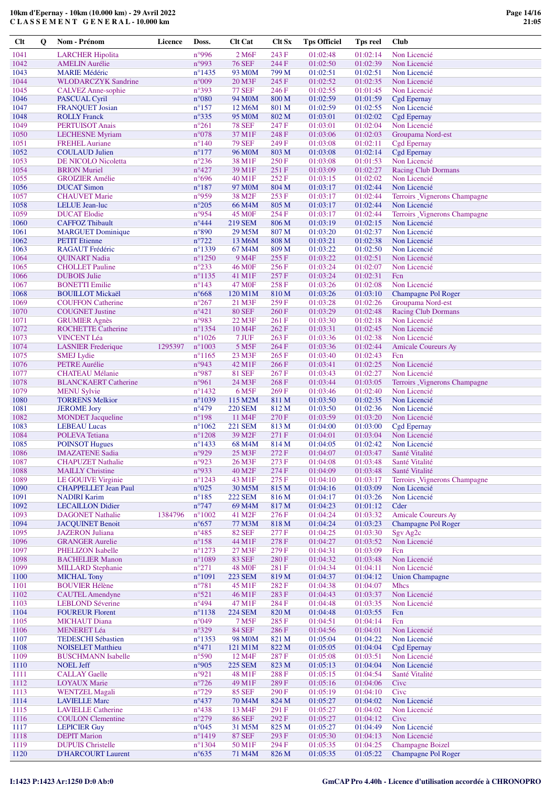**C L A S S E M E N T G E N E R A L - 10.000 km**

| Clt          | $\mathbf 0$ | Nom - Prénom                                          | Licence | Doss.                              | <b>Clt Cat</b>                          | Clt Sx         | <b>Tps Officiel</b>  | <b>Tps reel</b>      | Club                                           |
|--------------|-------------|-------------------------------------------------------|---------|------------------------------------|-----------------------------------------|----------------|----------------------|----------------------|------------------------------------------------|
| 1041         |             | <b>LARCHER Hipolita</b>                               |         | n°996                              | 2 M <sub>6F</sub>                       | 243 F          | 01:02:48             | 01:02:14             | Non Licencié                                   |
| 1042         |             | <b>AMELIN Aurélie</b>                                 |         | n°993                              | <b>76 SEF</b>                           | 244 F          | 01:02:50             | 01:02:39             | Non Licencié                                   |
| 1043         |             | <b>MARIE Médéric</b>                                  |         | $n^{\circ}$ 1435                   | 93 M <sub>0</sub> M                     | 799 M          | 01:02:51             | 01:02:51             | Non Licencié                                   |
| 1044         |             | <b>WLODARCZYK Sandrine</b>                            |         | $n^{\circ}009$                     | 20 M3F                                  | 245 F          | 01:02:52             | 01:02:35             | Non Licencié                                   |
| 1045<br>1046 |             | <b>CALVEZ</b> Anne-sophie<br>PASCUAL Cyril            |         | n°393<br>$n^{\circ}080$            | <b>77 SEF</b><br>94 M <sub>0</sub> M    | 246 F<br>800 M | 01:02:55<br>01:02:59 | 01:01:45<br>01:01:59 | Non Licencié<br><b>Cgd Epernay</b>             |
| 1047         |             | <b>FRANQUET Josian</b>                                |         | $n^{\circ}157$                     | 12 M6M                                  | 801 M          | 01:02:59             | 01:02:55             | Non Licencié                                   |
| 1048         |             | <b>ROLLY Franck</b>                                   |         | $n^{\circ}335$                     | 95 M <sub>0</sub> M                     | 802 M          | 01:03:01             | 01:02:02             | <b>Cgd Epernay</b>                             |
| 1049         |             | <b>PERTUISOT Anais</b>                                |         | $n^{\circ}261$                     | <b>78 SEF</b>                           | 247 F          | 01:03:01             | 01:02:04             | Non Licencié                                   |
| 1050         |             | <b>LECHESNE</b> Myriam                                |         | $n^{\circ}078$                     | 37 M1F                                  | 248 F          | 01:03:06             | 01:02:03             | Groupama Nord-est                              |
| 1051<br>1052 |             | <b>FREHEL Auriane</b><br><b>COULAUD Julien</b>        |         | $n^{\circ}140$<br>$n^{\circ}177$   | <b>79 SEF</b><br>96 M <sub>0</sub> M    | 249 F<br>803 M | 01:03:08<br>01:03:08 | 01:02:11<br>01:02:14 | Cgd Epernay<br><b>Cgd Epernay</b>              |
| 1053         |             | DE NICOLO Nicoletta                                   |         | $n^{\circ}236$                     | 38 M1F                                  | 250 F          | 01:03:08             | 01:01:53             | Non Licencié                                   |
| 1054         |             | <b>BRION</b> Muriel                                   |         | $n^{\circ}427$                     | 39 M1F                                  | 251 F          | 01:03:09             | 01:02:27             | <b>Racing Club Dormans</b>                     |
| 1055         |             | <b>GROIZIER Amélie</b>                                |         | $n^{\circ}696$                     | 40 M1F                                  | 252 F          | 01:03:15             | 01:02:02             | Non Licencié                                   |
| 1056         |             | <b>DUCAT Simon</b>                                    |         | $n^{\circ}187$                     | 97 M <sub>0</sub> M                     | 804 M          | 01:03:17             | 01:02:44             | Non Licencié                                   |
| 1057<br>1058 |             | <b>CHAUVET Marie</b>                                  |         | n°959<br>$n^{\circ}205$            | 38 M <sub>2F</sub>                      | 253F           | 01:03:17<br>01:03:17 | 01:02:44<br>01:02:44 | Terroirs _Vignerons Champagne<br>Non Licencié  |
| 1059         |             | LELUE Jean-luc<br><b>DUCAT Elodie</b>                 |         | n°954                              | 66 M4M<br>45 M <sub>OF</sub>            | 805 M<br>254 F | 01:03:17             | 01:02:44             | Terroirs Vignerons Champagne                   |
| 1060         |             | <b>CAFFOZ Thibault</b>                                |         | $n^{\circ}444$                     | <b>219 SEM</b>                          | 806 M          | 01:03:19             | 01:02:15             | Non Licencié                                   |
| 1061         |             | <b>MARGUET Dominique</b>                              |         | $n^{\circ}890$                     | 29 M5M                                  | 807 M          | 01:03:20             | 01:02:37             | Non Licencié                                   |
| 1062         |             | <b>PETIT</b> Etienne                                  |         | $n^{\circ}722$                     | 13 M6M                                  | 808 M          | 01:03:21             | 01:02:38             | Non Licencié                                   |
| 1063         |             | RAGAUT Frédéric                                       |         | $n^{\circ}1339$                    | 67 M4M                                  | 809 M          | 01:03:22             | 01:02:50             | Non Licencié                                   |
| 1064<br>1065 |             | <b>OUINART Nadia</b><br><b>CHOLLET Pauline</b>        |         | $n^{\circ}$ 1250<br>$n^{\circ}233$ | 9 M <sub>4F</sub><br>46 M <sub>OF</sub> | 255F<br>256 F  | 01:03:22<br>01:03:24 | 01:02:51<br>01:02:07 | Non Licencié<br>Non Licencié                   |
| 1066         |             | <b>DUBOIS</b> Julie                                   |         | $n^{\circ}1135$                    | 41 M1F                                  | 257 F          | 01:03:24             | 01:02:31             | Fcn                                            |
| 1067         |             | <b>BONETTI</b> Emilie                                 |         | $n^{\circ}143$                     | 47 M <sub>OF</sub>                      | 258 F          | 01:03:26             | 01:02:08             | Non Licencié                                   |
| 1068         |             | <b>BOUILLOT Mickaël</b>                               |         | $n^{\circ}668$                     | 120 M1M                                 | 810 M          | 01:03:26             | 01:03:10             | Champagne Pol Roger                            |
| 1069         |             | <b>COUFFON Catherine</b>                              |         | $n^{\circ}267$                     | 21 M3F                                  | 259 F          | 01:03:28             | 01:02:26             | Groupama Nord-est                              |
| 1070         |             | <b>COUGNET Justine</b>                                |         | $n^{\circ}421$                     | <b>80 SEF</b>                           | 260 F          | 01:03:29             | 01:02:48             | <b>Racing Club Dormans</b>                     |
| 1071<br>1072 |             | <b>GRUMIER Agnès</b><br><b>ROCHETTE Catherine</b>     |         | n°983<br>$n^{\circ}$ 1354          | 22 M3F<br>10 M4F                        | 261 F<br>262 F | 01:03:30<br>01:03:31 | 01:02:18<br>01:02:45 | Non Licencié<br>Non Licencié                   |
| 1073         |             | <b>VINCENT Léa</b>                                    |         | $n^{\circ}1026$                    | 7 JUF                                   | 263 F          | 01:03:36             | 01:02:38             | Non Licencié                                   |
| 1074         |             | <b>LASNIER</b> Frederique                             | 1295397 | $n^{\circ}1003$                    | 5 M <sub>5</sub> F                      | 264 F          | 01:03:36             | 01:02:44             | <b>Amicale Coureurs Ay</b>                     |
| 1075         |             | <b>SMEJ</b> Lydie                                     |         | $n^{\circ}1165$                    | 23 M3F                                  | 265 F          | 01:03:40             | 01:02:43             | Fcn                                            |
| 1076         |             | <b>PETRE Aurélie</b>                                  |         | n°943                              | 42 M1F                                  | 266F           | 01:03:41             | 01:02:25             | Non Licencié                                   |
| 1077<br>1078 |             | <b>CHATEAU</b> Mélanie<br><b>BLANCKAERT Catherine</b> |         | n°987<br>n°961                     | <b>81 SEF</b><br>24 M3F                 | 267 F<br>268F  | 01:03:43<br>01:03:44 | 01:02:27<br>01:03:05 | Non Licencié<br>Terroirs _Vignerons Champagne  |
| 1079         |             | <b>MENU Sylvie</b>                                    |         | $n^{\circ}$ 1432                   | 6 M <sub>5F</sub>                       | 269 F          | 01:03:46             | 01:02:40             | Non Licencié                                   |
| 1080         |             | <b>TORRENS Melkior</b>                                |         | $n^{\circ}1039$                    | 115 M2M                                 | 811 M          | 01:03:50             | 01:02:35             | Non Licencié                                   |
| 1081         |             | <b>JEROME</b> Jory                                    |         | $n^{\circ}479$                     | <b>220 SEM</b>                          | 812 M          | 01:03:50             | 01:02:36             | Non Licencié                                   |
| 1082         |             | <b>MONDET</b> Jacqueline                              |         | $n^{\circ}198$                     | 11 M <sub>4</sub> F                     | 270 F          | 01:03:59             | 01:03:20             | Non Licencié                                   |
| 1083<br>1084 |             | <b>LEBEAU Lucas</b><br><b>POLEVA</b> Tetiana          |         | $n^{\circ}1062$<br>$n^{\circ}1208$ | <b>221 SEM</b><br>39 M2F                | 813 M<br>271 F | 01:04:00<br>01:04:01 | 01:03:00<br>01:03:04 | <b>Cgd Epernay</b><br>Non Licencié             |
| 1085         |             | <b>POINSOT Hugues</b>                                 |         | $n^{\circ}$ 1433                   | 68 M4M                                  | 814 M          | 01:04:05             | 01:02:42             | Non Licencié                                   |
| 1086         |             | <b>IMAZATENE Sadia</b>                                |         | n°929                              | 25 M3F                                  | 272F           | 01:04:07             | 01:03:47             | Santé Vitalité                                 |
| 1087         |             | <b>CHAPUZET Nathalie</b>                              |         | $n^{\circ}923$                     | 26 M3F                                  | 273 F          | 01:04:08             | 01:03:48             | Santé Vitalité                                 |
| 1088         |             | <b>MAILLY Christine</b>                               |         | n°933                              | 40 M <sub>2F</sub>                      | 274 F          | 01:04:09             | 01:03:48             | Santé Vitalité                                 |
| 1089<br>1090 |             | LE GOUIVE Virginie<br><b>CHAPPELLET Jean Paul</b>     |         | $n^{\circ}1243$<br>$n^{\circ}025$  | 43 M1F<br>30 M5M                        | 275F<br>815 M  | 01:04:10<br>01:04:16 | 01:03:17<br>01:03:09 | Terroirs _Vignerons Champagne<br>Non Licencié  |
| 1091         |             | <b>NADIRI Karim</b>                                   |         | $n^{\circ}185$                     | <b>222 SEM</b>                          | 816 M          | 01:04:17             | 01:03:26             | Non Licencié                                   |
| 1092         |             | <b>LECAILLON Didier</b>                               |         | $n^{\circ}$ 747                    | 69 M <sub>4</sub> M                     | 817 M          | 01:04:23             | 01:01:12             | Cder                                           |
| 1093         |             | <b>DAGONET Nathalie</b>                               | 1384796 | $n^{\circ}1002$                    | 41 M <sub>2F</sub>                      | 276F           | 01:04:24             | 01:03:32             | <b>Amicale Coureurs Ay</b>                     |
| 1094         |             | <b>JACQUINET Benoit</b>                               |         | $n^{\circ}657$                     | 77 M3M                                  | 818 M          | 01:04:24             | 01:03:23             | Champagne Pol Roger                            |
| 1095<br>1096 |             | <b>JAZERON</b> Juliana<br><b>GRANGER Aurelie</b>      |         | $n^{\circ}485$<br>$n^{\circ}158$   | <b>82 SEF</b><br>44 M1F                 | 277 F<br>278F  | 01:04:25<br>01:04:27 | 01:03:30<br>01:03:52 | Sgv Ag <sub>2c</sub><br>Non Licencié           |
| 1097         |             | PHELIZON Isabelle                                     |         | $n^{\circ}1273$                    | 27 M3F                                  | 279 F          | 01:04:31             | 01:03:09             | Fcn                                            |
| 1098         |             | <b>BACHELIER Manon</b>                                |         | $n^{\circ}1089$                    | <b>83 SEF</b>                           | 280 F          | 01:04:32             | 01:03:48             | Non Licencié                                   |
| 1099         |             | <b>MILLARD</b> Stephanie                              |         | $n^{\circ}271$                     | <b>48 M0F</b>                           | 281 F          | 01:04:34             | 01:04:11             | Non Licencié                                   |
| 1100         |             | <b>MICHAL Tony</b>                                    |         | $n^{\circ}1091$                    | <b>223 SEM</b>                          | 819 M          | 01:04:37             | 01:04:12             | <b>Union Champagne</b>                         |
| 1101<br>1102 |             | <b>BOUVIER Hélène</b><br><b>CAUTEL Amendyne</b>       |         | $n^{\circ}781$<br>$n^{\circ}521$   | 45 M1F<br>46 M1F                        | 282 F<br>283 F | 01:04:38<br>01:04:43 | 01:04:07<br>01:03:37 | <b>Mhcs</b><br>Non Licencié                    |
| 1103         |             | <b>LEBLOND Séverine</b>                               |         | $n^{\circ}494$                     | 47 M1F                                  | 284 F          | 01:04:48             | 01:03:35             | Non Licencié                                   |
| 1104         |             | <b>FOUREUR Florent</b>                                |         | $n^{\circ}1138$                    | <b>224 SEM</b>                          | 820 M          | 01:04:48             | 01:03:55             | Fcn                                            |
| 1105         |             | <b>MICHAUT Diana</b>                                  |         | $n^{\circ}049$                     | 7 M <sub>5F</sub>                       | 285 F          | 01:04:51             | 01:04:14             | Fcn                                            |
| 1106         |             | <b>MENERET Léa</b>                                    |         | $n^{\circ}329$                     | <b>84 SEF</b>                           | 286 F          | 01:04:56             | 01:04:01             | Non Licencié                                   |
| 1107<br>1108 |             | <b>TEDESCHI Sébastien</b><br><b>NOISELET Matthieu</b> |         | $n^{\circ}$ 1353<br>$n^{\circ}471$ | 98 M <sub>0</sub> M<br>121 M1M          | 821 M<br>822 M | 01:05:04<br>01:05:05 | 01:04:22<br>01:04:04 | Non Licencié<br><b>Cgd Epernay</b>             |
| 1109         |             | <b>BUSCHMANN</b> Isabelle                             |         | $n^{\circ}590$                     | 12 M4F                                  | 287 F          | 01:05:08             | 01:03:51             | Non Licencié                                   |
| 1110         |             | <b>NOEL Jeff</b>                                      |         | n°905                              | <b>225 SEM</b>                          | 823 M          | 01:05:13             | 01:04:04             | Non Licencié                                   |
| 1111         |             | <b>CALLAY Gaelle</b>                                  |         | n°921                              | 48 M1F                                  | 288 F          | 01:05:15             | 01:04:54             | Santé Vitalité                                 |
| 1112         |             | <b>LOYAUX Marie</b>                                   |         | $n^{\circ}$ 726                    | 49 M1F                                  | 289F           | 01:05:16             | 01:04:06             | Cive                                           |
| 1113         |             | <b>WENTZEL Magali</b>                                 |         | $n^{\circ}729$                     | <b>85 SEF</b>                           | 290 F          | 01:05:19             | 01:04:10             | Cive                                           |
| 1114<br>1115 |             | <b>LAVIELLE Marc</b><br><b>LAVIELLE Catherine</b>     |         | $n^{\circ}437$<br>$n^{\circ}438$   | 70 M <sub>4</sub> M<br>13 M4F           | 824 M<br>291 F | 01:05:27<br>01:05:27 | 01:04:02<br>01:04:02 | Non Licencié<br>Non Licencié                   |
| 1116         |             | <b>COULON</b> Clementine                              |         | $n^{\circ}279$                     | <b>86 SEF</b>                           | 292 F          | 01:05:27             | 01:04:12             | Cive                                           |
| 1117         |             | <b>LEPICIER Guy</b>                                   |         | $n^{\circ}045$                     | 31 M5M                                  | 825 M          | 01:05:27             | 01:04:49             | Non Licencié                                   |
| 1118         |             | <b>DEPIT Marion</b>                                   |         | $n^{\circ}$ 1419                   | <b>87 SEF</b>                           | 293F           | 01:05:30             | 01:04:13             | Non Licencié                                   |
| 1119<br>1120 |             | <b>DUPUIS Christelle</b><br><b>D'HARCOURT Laurent</b> |         | $n^{\circ}1304$<br>$n^{\circ}635$  | 50 M1F<br>71 M4M                        | 294 F<br>826 M | 01:05:35<br>01:05:35 | 01:04:25<br>01:05:22 | <b>Champagne Boizel</b><br>Champagne Pol Roger |
|              |             |                                                       |         |                                    |                                         |                |                      |                      |                                                |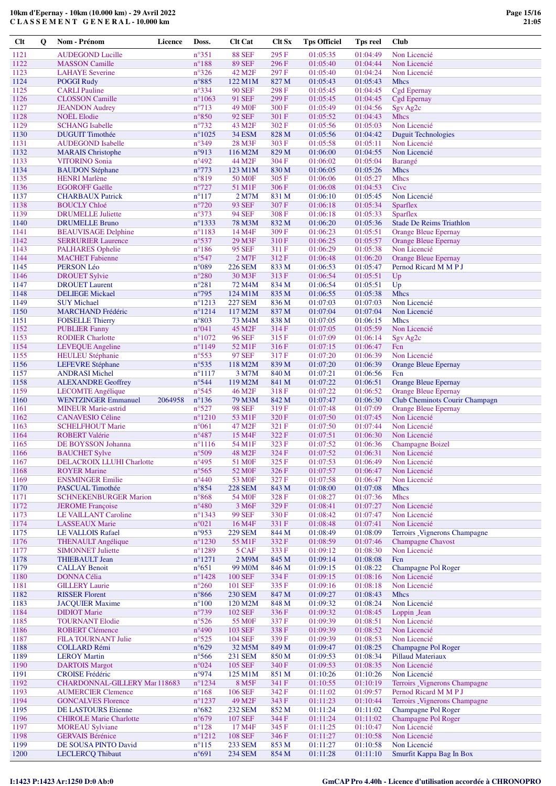| <b>Clt</b>   | Q | Nom - Prénom                                             | <b>Licence</b> | Doss.                              | <b>Clt Cat</b>                           | <b>Clt Sx</b>  | <b>Tps Officiel</b>  | <b>Tps reel</b>      | <b>Club</b>                                                   |
|--------------|---|----------------------------------------------------------|----------------|------------------------------------|------------------------------------------|----------------|----------------------|----------------------|---------------------------------------------------------------|
| 1121         |   | <b>AUDEGOND Lucille</b>                                  |                | $n^{\circ}351$                     | <b>88 SEF</b>                            | 295 F          | 01:05:35             | 01:04:49             | Non Licencié                                                  |
| 1122         |   | <b>MASSON</b> Camille                                    |                | $n^{\circ}188$                     | <b>89 SEF</b>                            | 296 F          | 01:05:40             | 01:04:44             | Non Licencié                                                  |
| 1123         |   | <b>LAHAYE</b> Severine                                   |                | $n^{\circ}326$                     | 42 M <sub>2F</sub>                       | 297 F          | 01:05:40             | 01:04:24             | Non Licencié                                                  |
| 1124         |   | <b>POGGI Rudy</b>                                        |                | $n^{\circ}885$                     | 122 M1M                                  | 827 M          | 01:05:43             | 01:05:43             | <b>Mhcs</b>                                                   |
| 1125<br>1126 |   | <b>CARLI</b> Pauline<br><b>CLOSSON</b> Camille           |                | $n^{\circ}334$<br>$n^{\circ}1063$  | <b>90 SEF</b><br>91 SEF                  | 298F<br>299F   | 01:05:45<br>01:05:45 | 01:04:45<br>01:04:45 | Cgd Epernay<br>Cgd Epernay                                    |
| 1127         |   | <b>JEANDON</b> Audrey                                    |                | $n^{\circ}713$                     | 49 M <sub>OF</sub>                       | 300 F          | 01:05:49             | 01:04:56             | Sgv Ag <sub>2c</sub>                                          |
| 1128         |   | <b>NOËL</b> Elodie                                       |                | $n^{\circ}850$                     | <b>92 SEF</b>                            | 301 F          | 01:05:52             | 01:04:43             | <b>Mhcs</b>                                                   |
| 1129         |   | <b>SCHANG</b> Isabelle                                   |                | $n^{\circ}732$                     | 43 M <sub>2F</sub>                       | 302 F          | 01:05:56             | 01:05:03             | Non Licencié                                                  |
| 1130         |   | <b>DUGUIT Timothée</b>                                   |                | $n^{\circ}1025$                    | <b>34 ESM</b>                            | 828 M          | 01:05:56             | 01:04:42             | <b>Duguit Technologies</b>                                    |
| 1131         |   | <b>AUDEGOND</b> Isabelle                                 |                | $n^{\circ}349$                     | 28 M3F                                   | 303 F          | 01:05:58             | 01:05:11             | Non Licencié                                                  |
| 1132<br>1133 |   | <b>MARAIS</b> Christophe<br><b>VITORINO Sonia</b>        |                | n°913<br>$n^{\circ}492$            | 116 M2M<br>44 M2F                        | 829 M<br>304 F | 01:06:00<br>01:06:02 | 01:04:55<br>01:05:04 | Non Licencié<br>Barangé                                       |
| 1134         |   | <b>BAUDON Stéphane</b>                                   |                | $n^{\circ}773$                     | 123 M1M                                  | 830 M          | 01:06:05             | 01:05:26             | <b>Mhcs</b>                                                   |
| 1135         |   | <b>HENRI</b> Marlène                                     |                | $n^{\circ}819$                     | 50 M <sub>OF</sub>                       | 305 F          | 01:06:06             | 01:05:27             | <b>Mhcs</b>                                                   |
| 1136         |   | <b>EGOROFF Gaëlle</b>                                    |                | $n^{\circ}727$                     | 51 M1F                                   | 306 F          | 01:06:08             | 01:04:53             | Cive                                                          |
| 1137         |   | <b>CHARBAUX Patrick</b>                                  |                | $n^{\circ}117$                     | 2 M7M                                    | 831 M          | 01:06:10             | 01:05:45             | Non Licencié                                                  |
| 1138         |   | <b>BOUCLY Chloé</b>                                      |                | $n^{\circ}720$                     | <b>93 SEF</b>                            | 307F           | 01:06:18             | 01:05:34             | Sparflex                                                      |
| 1139<br>1140 |   | <b>DRUMELLE</b> Juliette<br><b>DRUMELLE Bruno</b>        |                | $n^{\circ}373$<br>$n^{\circ}1333$  | 94 SEF<br>78 M3M                         | 308 F<br>832 M | 01:06:18<br>01:06:20 | 01:05:33<br>01:05:36 | Sparflex<br><b>Stade De Reims Triathlon</b>                   |
| 1141         |   | <b>BEAUVISAGE Delphine</b>                               |                | $n^{\circ}1183$                    | 14 M4F                                   | 309 F          | 01:06:23             | 01:05:51             | <b>Orange Bleue Epernay</b>                                   |
| 1142         |   | <b>SERRURIER Laurence</b>                                |                | $n^{\circ}537$                     | 29 M3F                                   | 310 F          | 01:06:25             | 01:05:57             | <b>Orange Bleue Epernay</b>                                   |
| 1143         |   | <b>PALHARES Ophelie</b>                                  |                | $n^{\circ}186$                     | <b>95 SEF</b>                            | 311 F          | 01:06:29             | 01:05:38             | Non Licencié                                                  |
| 1144         |   | <b>MACHET</b> Fabienne                                   |                | $n^{\circ}547$                     | 2 M7F                                    | 312 F          | 01:06:48             | 01:06:20             | <b>Orange Bleue Epernay</b>                                   |
| 1145         |   | PERSON Léo                                               |                | $n^{\circ}089$                     | <b>226 SEM</b>                           | 833 M          | 01:06:53             | 01:05:47             | Pernod Ricard M M P J                                         |
| 1146<br>1147 |   | <b>DROUET Sylvie</b><br><b>DROUET</b> Laurent            |                | $n^{\circ}280$<br>$n^{\circ}281$   | 30 M3F<br>72 M4M                         | 313 F<br>834 M | 01:06:54<br>01:06:54 | 01:05:51<br>01:05:51 | Up<br>Up                                                      |
| 1148         |   | <b>DELIEGE Mickael</b>                                   |                | $n^{\circ}$ 795                    | 124 M1M                                  | 835 M          | 01:06:55             | 01:05:38             | <b>Mhcs</b>                                                   |
| 1149         |   | <b>SUY Michael</b>                                       |                | $n^{\circ}1213$                    | <b>227 SEM</b>                           | 836 M          | 01:07:03             | 01:07:03             | Non Licencié                                                  |
| 1150         |   | <b>MARCHAND Frédéric</b>                                 |                | $n^{\circ}1214$                    | 117 M2M                                  | 837 M          | 01:07:04             | 01:07:04             | Non Licencié                                                  |
| 1151         |   | <b>FOISELLE Thierry</b>                                  |                | $n^{\circ}803$                     | 73 M4M                                   | 838 M          | 01:07:05             | 01:06:15             | <b>Mhcs</b>                                                   |
| 1152         |   | <b>PUBLIER Fanny</b>                                     |                | $n^{\circ}041$                     | 45 M2F                                   | 314 F          | 01:07:05             | 01:05:59             | Non Licencié                                                  |
| 1153<br>1154 |   | <b>RODIER Charlotte</b>                                  |                | $n^{\circ}1072$<br>$n^{\circ}1149$ | <b>96 SEF</b><br>52 M1F                  | 315 F<br>316 F | 01:07:09<br>01:07:15 | 01:06:14<br>01:06:47 | Sgv Ag <sub>2c</sub><br>Fcn                                   |
| 1155         |   | LEVEQUE Angeline<br>HEULEU Stéphanie                     |                | $n^{\circ}553$                     | <b>97 SEF</b>                            | 317 F          | 01:07:20             | 01:06:39             | Non Licencié                                                  |
| 1156         |   | <b>LEFEVRE</b> Stéphane                                  |                | $n^{\circ}535$                     | 118 M2M                                  | 839 M          | 01:07:20             | 01:06:39             | <b>Orange Bleue Epernay</b>                                   |
| 1157         |   | <b>ANDRASI Michel</b>                                    |                | $n^{\circ}1117$                    | 3 M7M                                    | 840 M          | 01:07:21             | 01:06:56             | Fcn                                                           |
| 1158         |   | <b>ALEXANDRE Geoffrey</b>                                |                | $n^{\circ}$ 544                    | 119 M2M                                  | 841 M          | 01:07:22             | 01:06:51             | <b>Orange Bleue Epernay</b>                                   |
| 1159         |   | LECOMTE Angélique                                        |                | $n^{\circ}545$                     | 46 M <sub>2F</sub>                       | 318 F          | 01:07:22             | 01:06:52             | <b>Orange Bleue Epernay</b>                                   |
| 1160<br>1161 |   | <b>WENTZINGER Emmanuel</b><br><b>MINEUR Marie-astrid</b> | 2064958        | $n^{\circ}136$<br>$n^{\circ}527$   | 79 M3M<br><b>98 SEF</b>                  | 842 M<br>319 F | 01:07:47<br>01:07:48 | 01:06:30<br>01:07:09 | Club Cheminots Courir Champagn<br><b>Orange Bleue Epernay</b> |
| 1162         |   | <b>CANAVESIO Céline</b>                                  |                | $n^{\circ}1210$                    | 53 M1F                                   | 320 F          | 01:07:50             | 01:07:45             | Non Licencié                                                  |
| 1163         |   | <b>SCHELFHOUT Marie</b>                                  |                | $n^{\circ}061$                     | 47 M2F                                   | 321 F          | 01:07:50             | 01:07:44             | Non Licencié                                                  |
| 1164         |   | <b>ROBERT Valérie</b>                                    |                | $n^{\circ}487$                     | 15 M4F                                   | 322 F          | 01:07:51             | 01:06:30             | Non Licencié                                                  |
| 1165         |   | DE BOYSSON Johanna                                       |                | $n^{\circ}1116$                    | 54 M1F                                   | 323 F          | 01:07:52             | 01:06:36             | Champagne Boizel                                              |
| 1166         |   | <b>BAUCHET Sylve</b>                                     |                | n°509                              | 48 M2F                                   | 324 F          | 01:07:52             | 01:06:31             | Non Licencié                                                  |
| 1167<br>1168 |   | DELACROIX LLUHI Charlotte<br><b>ROYER Marine</b>         |                | $n^{\circ}495$<br>$n^{\circ}$ 565  | 51 M <sub>OF</sub><br>52 M <sub>OF</sub> | 325 F<br>326F  | 01:07:53<br>01:07:57 | 01:06:49<br>01:06:47 | Non Licencié<br>Non Licencié                                  |
| 1169         |   | <b>ENSMINGER Emilie</b>                                  |                | $n^{\circ}440$                     | 53 M <sub>OF</sub>                       | 327 F          | 01:07:58             | 01:06:47             | Non Licencié                                                  |
| 1170         |   | PASCUAL Timothée                                         |                | $n^{\circ}854$                     | <b>228 SEM</b>                           | 843 M          | 01:08:00             | 01:07:08             | <b>Mhcs</b>                                                   |
| 1171         |   | <b>SCHNEKENBURGER Marion</b>                             |                | $n^{\circ}868$                     | 54 M0F                                   | 328F           | 01:08:27             | 01:07:36             | <b>Mhcs</b>                                                   |
| 1172         |   | <b>JEROME</b> Francoise                                  |                | $n^{\circ}480$                     | 3 M <sub>6F</sub>                        | 329 F          | 01:08:41             | 01:07:27             | Non Licencié                                                  |
| 1173         |   | <b>LE VAILLANT Caroline</b>                              |                | $n^{\circ}1343$                    | <b>99 SEF</b>                            | 330F           | 01:08:42             | 01:07:47             | Non Licencié                                                  |
| 1174<br>1175 |   | <b>LASSEAUX Marie</b><br><b>LE VALLOIS Rafael</b>        |                | $n^{\circ}021$<br>n°953            | 16 M4F<br><b>229 SEM</b>                 | 331 F<br>844 M | 01:08:48<br>01:08:49 | 01:07:41<br>01:08:09 | Non Licencié<br>Terroirs _Vignerons Champagne                 |
| 1176         |   | <b>THENAULT</b> Angélique                                |                | $n^{\circ}1230$                    | 55 M1F                                   | 332 F          | 01:08:59             | 01:07:46             | <b>Champagne Chavost</b>                                      |
| 1177         |   | <b>SIMONNET Juliette</b>                                 |                | $n^{\circ}1289$                    | 5 CAF                                    | 333F           | 01:09:12             | 01:08:30             | Non Licencié                                                  |
| 1178         |   | <b>THIEBAULT Jean</b>                                    |                | $n^{\circ}1271$                    | 2 M9M                                    | 845 M          | 01:09:14             | 01:08:08             | Fcn                                                           |
| 1179         |   | <b>CALLAY Benoit</b>                                     |                | $n^{\circ}651$                     | 99 M <sub>0</sub> M                      | 846 M          | 01:09:15             | 01:08:22             | Champagne Pol Roger                                           |
| 1180<br>1181 |   | <b>DONNA Célia</b><br><b>GILLERY Laurie</b>              |                | $n^{\circ}$ 1428<br>$n^{\circ}260$ | <b>100 SEF</b><br><b>101 SEF</b>         | 334 F<br>335 F | 01:09:15<br>01:09:16 | 01:08:16<br>01:08:18 | Non Licencié<br>Non Licencié                                  |
| 1182         |   | <b>RISSER Florent</b>                                    |                | $n^{\circ}866$                     | <b>230 SEM</b>                           | 847 M          | 01:09:27             | 01:08:43             | <b>Mhcs</b>                                                   |
| 1183         |   | <b>JACQUIER Maxime</b>                                   |                | $n^{\circ}100$                     | 120 M2M                                  | 848 M          | 01:09:32             | 01:08:24             | Non Licencié                                                  |
| 1184         |   | <b>DIDIOT</b> Marie                                      |                | $n^{\circ}739$                     | <b>102 SEF</b>                           | 336 F          | 01:09:32             | 01:08:45             | Loppin Jean                                                   |
| 1185         |   | <b>TOURNANT Elodie</b>                                   |                | $n^{\circ}526$                     | 55 M <sub>OF</sub>                       | 337 F          | 01:09:39             | 01:08:51             | Non Licencié                                                  |
| 1186         |   | <b>ROBERT Clémence</b>                                   |                | $n^{\circ}490$                     | <b>103 SEF</b>                           | 338 F          | 01:09:39             | 01:08:52             | Non Licencié                                                  |
| 1187<br>1188 |   | <b>FILA TOURNANT Julie</b><br><b>COLLARD Rémi</b>        |                | $n^{\circ}525$<br>$n^{\circ}629$   | 104 SEF<br>32 M5M                        | 339F<br>849 M  | 01:09:39<br>01:09:47 | 01:08:53<br>01:08:25 | Non Licencié<br><b>Champagne Pol Roger</b>                    |
| 1189         |   | <b>LEROY Martin</b>                                      |                | $n^{\circ}$ 566                    | 231 SEM                                  | 850 M          | 01:09:53             | 01:08:34             | <b>Pillaud Materiaux</b>                                      |
| 1190         |   | <b>DARTOIS Margot</b>                                    |                | $n^{\circ}024$                     | <b>105 SEF</b>                           | 340 F          | 01:09:53             | 01:08:35             | Non Licencié                                                  |
| 1191         |   | <b>CROISE</b> Frédéric                                   |                | n°974                              | 125 M1M                                  | 851 M          | 01:10:26             | 01:10:26             | Non Licencié                                                  |
| 1192         |   | CHARDONNAL-GILLERY Mar 118683                            |                | $n^{\circ}$ 1234                   | 8 M5F                                    | 341 F          | 01:10:55             | 01:10:19             | Terroirs _Vignerons Champagne                                 |
| 1193         |   | <b>AUMERCIER Clemence</b>                                |                | $n^{\circ}168$                     | <b>106 SEF</b>                           | 342 F          | 01:11:02             | 01:09:57             | Pernod Ricard M M P J                                         |
| 1194<br>1195 |   | <b>GONCALVES Florence</b><br>DE LASTOURS Etienne         |                | $n^{\circ}1237$<br>$n^{\circ}682$  | 49 M <sub>2F</sub><br>232 SEM            | 343 F<br>852 M | 01:11:23<br>01:11:24 | 01:10:44<br>01:11:02 | Terroirs _Vignerons Champagne<br>Champagne Pol Roger          |
| 1196         |   | <b>CHIROLE Marie Charlotte</b>                           |                | $n^{\circ}679$                     | $107\,\mathrm{SEF}$                      | 344 F          | 01:11:24             | 01:11:02             | Champagne Pol Roger                                           |
| 1197         |   | <b>MOREAU</b> Sylviane                                   |                | $n^{\circ}128$                     | 17 M4F                                   | 345 F          | 01:11:25             | 01:10:47             | Non Licencié                                                  |
| 1198         |   | <b>GERVAIS Bérénice</b>                                  |                | $n^{\circ}1212$                    | <b>108 SEF</b>                           | 346F           | 01:11:27             | 01:10:58             | Non Licencié                                                  |
| 1199         |   | DE SOUSA PINTO David                                     |                | $n^{\circ}115$                     | 233 SEM                                  | 853 M          | 01:11:27             | 01:10:58             | Non Licencié                                                  |
| 1200         |   | <b>LECLERCO</b> Thibaut                                  |                | $n^{\circ}691$                     | <b>234 SEM</b>                           | 854 M          | 01:11:28             | 01:11:10             | Smurfit Kappa Bag In Box                                      |